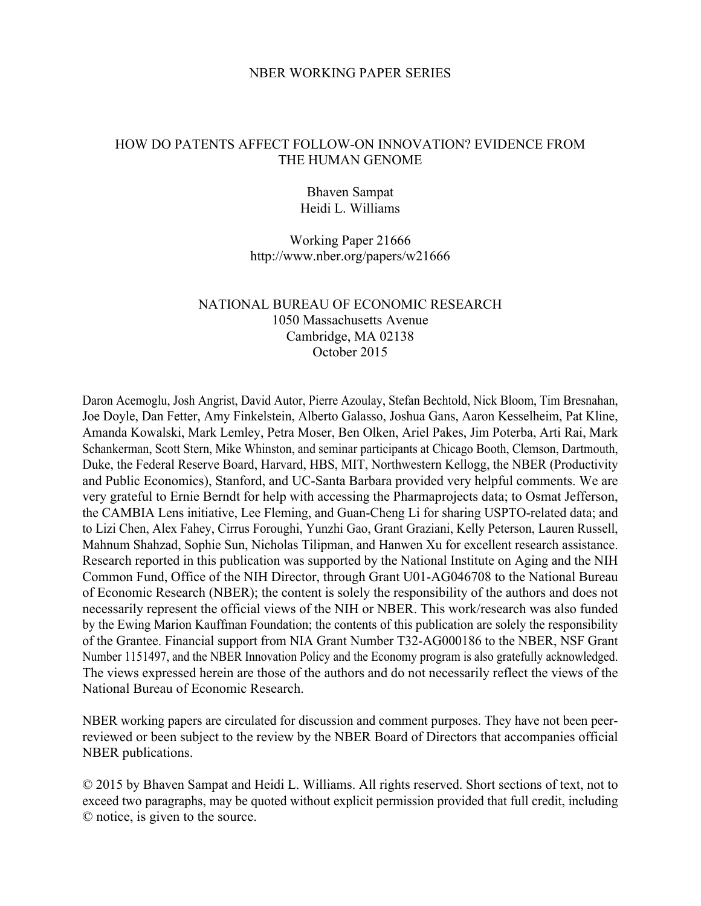### NBER WORKING PAPER SERIES

### HOW DO PATENTS AFFECT FOLLOW-ON INNOVATION? EVIDENCE FROM THE HUMAN GENOME

### Bhaven Sampat Heidi L. Williams

### Working Paper 21666 http://www.nber.org/papers/w21666

### NATIONAL BUREAU OF ECONOMIC RESEARCH 1050 Massachusetts Avenue Cambridge, MA 02138 October 2015

Daron Acemoglu, Josh Angrist, David Autor, Pierre Azoulay, Stefan Bechtold, Nick Bloom, Tim Bresnahan, Joe Doyle, Dan Fetter, Amy Finkelstein, Alberto Galasso, Joshua Gans, Aaron Kesselheim, Pat Kline, Amanda Kowalski, Mark Lemley, Petra Moser, Ben Olken, Ariel Pakes, Jim Poterba, Arti Rai, Mark Schankerman, Scott Stern, Mike Whinston, and seminar participants at Chicago Booth, Clemson, Dartmouth, Duke, the Federal Reserve Board, Harvard, HBS, MIT, Northwestern Kellogg, the NBER (Productivity and Public Economics), Stanford, and UC-Santa Barbara provided very helpful comments. We are very grateful to Ernie Berndt for help with accessing the Pharmaprojects data; to Osmat Jefferson, the CAMBIA Lens initiative, Lee Fleming, and Guan-Cheng Li for sharing USPTO-related data; and to Lizi Chen, Alex Fahey, Cirrus Foroughi, Yunzhi Gao, Grant Graziani, Kelly Peterson, Lauren Russell, Mahnum Shahzad, Sophie Sun, Nicholas Tilipman, and Hanwen Xu for excellent research assistance. Research reported in this publication was supported by the National Institute on Aging and the NIH Common Fund, Office of the NIH Director, through Grant U01-AG046708 to the National Bureau of Economic Research (NBER); the content is solely the responsibility of the authors and does not necessarily represent the official views of the NIH or NBER. This work/research was also funded by the Ewing Marion Kauffman Foundation; the contents of this publication are solely the responsibility of the Grantee. Financial support from NIA Grant Number T32-AG000186 to the NBER, NSF Grant Number 1151497, and the NBER Innovation Policy and the Economy program is also gratefully acknowledged. The views expressed herein are those of the authors and do not necessarily reflect the views of the National Bureau of Economic Research.

NBER working papers are circulated for discussion and comment purposes. They have not been peerreviewed or been subject to the review by the NBER Board of Directors that accompanies official NBER publications.

© 2015 by Bhaven Sampat and Heidi L. Williams. All rights reserved. Short sections of text, not to exceed two paragraphs, may be quoted without explicit permission provided that full credit, including © notice, is given to the source.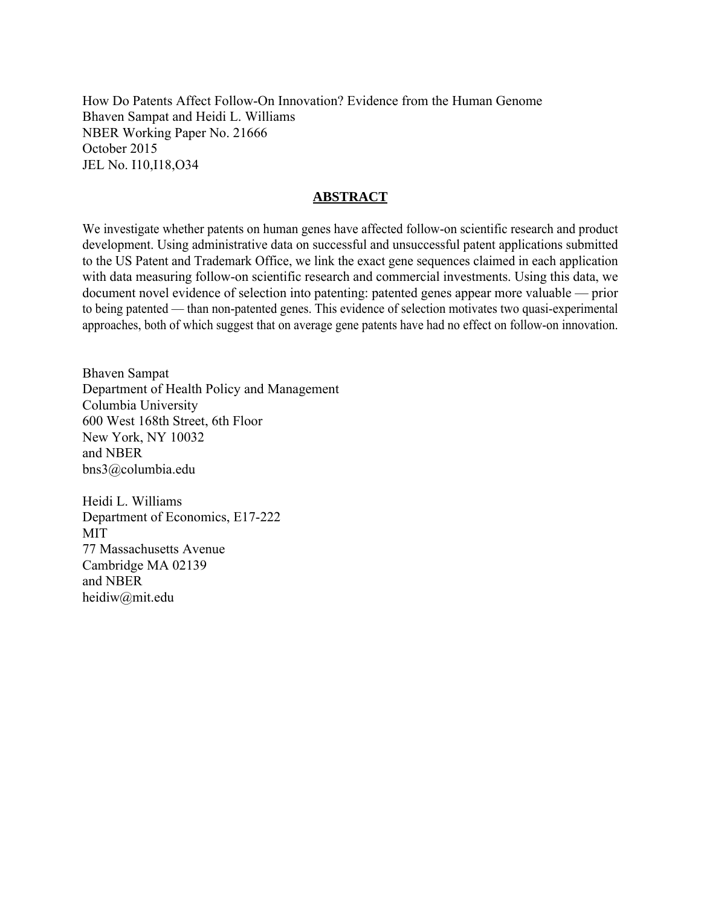How Do Patents Affect Follow-On Innovation? Evidence from the Human Genome Bhaven Sampat and Heidi L. Williams NBER Working Paper No. 21666 October 2015 JEL No. I10,I18,O34

### **ABSTRACT**

We investigate whether patents on human genes have affected follow-on scientific research and product development. Using administrative data on successful and unsuccessful patent applications submitted to the US Patent and Trademark Office, we link the exact gene sequences claimed in each application with data measuring follow-on scientific research and commercial investments. Using this data, we document novel evidence of selection into patenting: patented genes appear more valuable — prior to being patented — than non-patented genes. This evidence of selection motivates two quasi-experimental approaches, both of which suggest that on average gene patents have had no effect on follow-on innovation.

Bhaven Sampat Department of Health Policy and Management Columbia University 600 West 168th Street, 6th Floor New York, NY 10032 and NBER bns3@columbia.edu

Heidi L. Williams Department of Economics, E17-222 MIT 77 Massachusetts Avenue Cambridge MA 02139 and NBER heidiw@mit.edu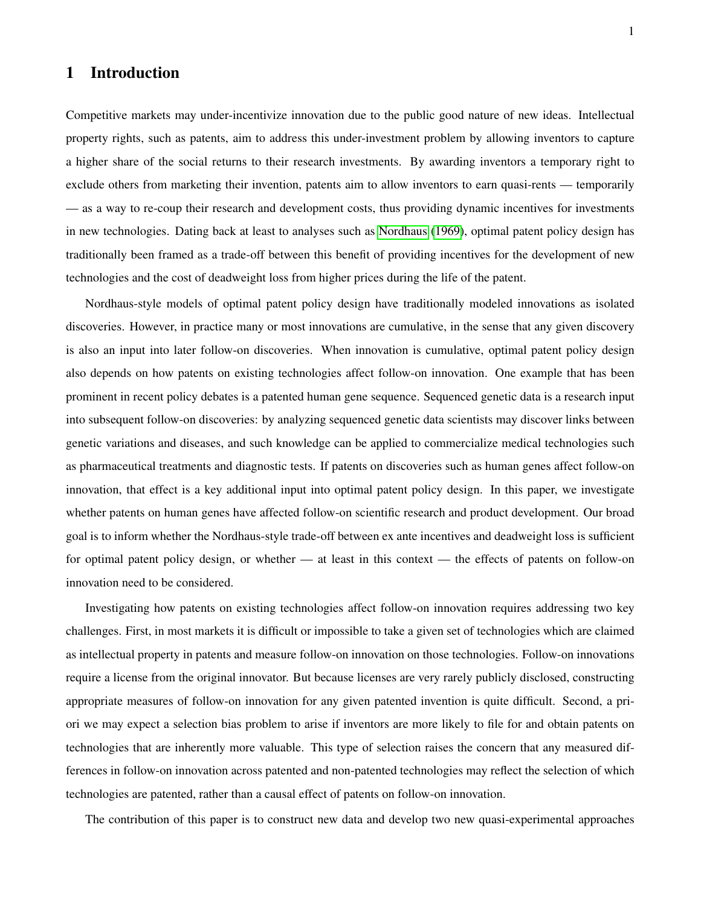## 1 Introduction

Competitive markets may under-incentivize innovation due to the public good nature of new ideas. Intellectual property rights, such as patents, aim to address this under-investment problem by allowing inventors to capture a higher share of the social returns to their research investments. By awarding inventors a temporary right to exclude others from marketing their invention, patents aim to allow inventors to earn quasi-rents — temporarily — as a way to re-coup their research and development costs, thus providing dynamic incentives for investments in new technologies. Dating back at least to analyses such as [Nordhaus](#page-28-0) [\(1969\)](#page-28-0), optimal patent policy design has traditionally been framed as a trade-off between this benefit of providing incentives for the development of new technologies and the cost of deadweight loss from higher prices during the life of the patent.

Nordhaus-style models of optimal patent policy design have traditionally modeled innovations as isolated discoveries. However, in practice many or most innovations are cumulative, in the sense that any given discovery is also an input into later follow-on discoveries. When innovation is cumulative, optimal patent policy design also depends on how patents on existing technologies affect follow-on innovation. One example that has been prominent in recent policy debates is a patented human gene sequence. Sequenced genetic data is a research input into subsequent follow-on discoveries: by analyzing sequenced genetic data scientists may discover links between genetic variations and diseases, and such knowledge can be applied to commercialize medical technologies such as pharmaceutical treatments and diagnostic tests. If patents on discoveries such as human genes affect follow-on innovation, that effect is a key additional input into optimal patent policy design. In this paper, we investigate whether patents on human genes have affected follow-on scientific research and product development. Our broad goal is to inform whether the Nordhaus-style trade-off between ex ante incentives and deadweight loss is sufficient for optimal patent policy design, or whether — at least in this context — the effects of patents on follow-on innovation need to be considered.

Investigating how patents on existing technologies affect follow-on innovation requires addressing two key challenges. First, in most markets it is difficult or impossible to take a given set of technologies which are claimed as intellectual property in patents and measure follow-on innovation on those technologies. Follow-on innovations require a license from the original innovator. But because licenses are very rarely publicly disclosed, constructing appropriate measures of follow-on innovation for any given patented invention is quite difficult. Second, a priori we may expect a selection bias problem to arise if inventors are more likely to file for and obtain patents on technologies that are inherently more valuable. This type of selection raises the concern that any measured differences in follow-on innovation across patented and non-patented technologies may reflect the selection of which technologies are patented, rather than a causal effect of patents on follow-on innovation.

The contribution of this paper is to construct new data and develop two new quasi-experimental approaches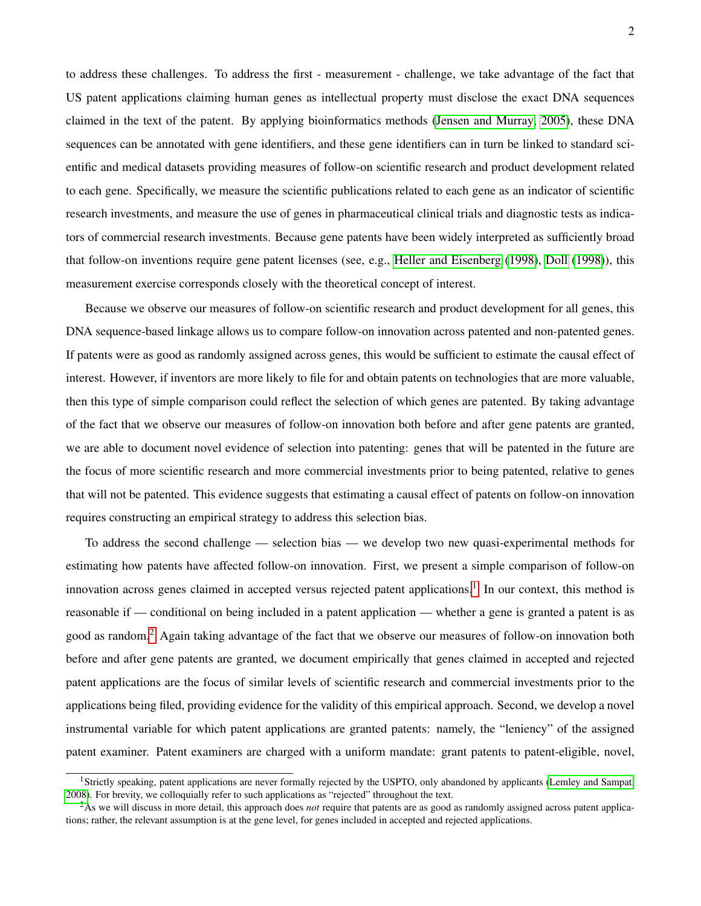to address these challenges. To address the first - measurement - challenge, we take advantage of the fact that US patent applications claiming human genes as intellectual property must disclose the exact DNA sequences claimed in the text of the patent. By applying bioinformatics methods [\(Jensen and Murray, 2005\)](#page-27-0), these DNA sequences can be annotated with gene identifiers, and these gene identifiers can in turn be linked to standard scientific and medical datasets providing measures of follow-on scientific research and product development related to each gene. Specifically, we measure the scientific publications related to each gene as an indicator of scientific research investments, and measure the use of genes in pharmaceutical clinical trials and diagnostic tests as indicators of commercial research investments. Because gene patents have been widely interpreted as sufficiently broad that follow-on inventions require gene patent licenses (see, e.g., [Heller and Eisenberg](#page-26-0) [\(1998\)](#page-26-0), [Doll](#page-26-1) [\(1998\)](#page-26-1)), this measurement exercise corresponds closely with the theoretical concept of interest.

Because we observe our measures of follow-on scientific research and product development for all genes, this DNA sequence-based linkage allows us to compare follow-on innovation across patented and non-patented genes. If patents were as good as randomly assigned across genes, this would be sufficient to estimate the causal effect of interest. However, if inventors are more likely to file for and obtain patents on technologies that are more valuable, then this type of simple comparison could reflect the selection of which genes are patented. By taking advantage of the fact that we observe our measures of follow-on innovation both before and after gene patents are granted, we are able to document novel evidence of selection into patenting: genes that will be patented in the future are the focus of more scientific research and more commercial investments prior to being patented, relative to genes that will not be patented. This evidence suggests that estimating a causal effect of patents on follow-on innovation requires constructing an empirical strategy to address this selection bias.

To address the second challenge — selection bias — we develop two new quasi-experimental methods for estimating how patents have affected follow-on innovation. First, we present a simple comparison of follow-on innovation across genes claimed in accepted versus rejected patent applications.<sup>[1](#page-3-0)</sup> In our context, this method is reasonable if — conditional on being included in a patent application — whether a gene is granted a patent is as good as random.[2](#page-3-1) Again taking advantage of the fact that we observe our measures of follow-on innovation both before and after gene patents are granted, we document empirically that genes claimed in accepted and rejected patent applications are the focus of similar levels of scientific research and commercial investments prior to the applications being filed, providing evidence for the validity of this empirical approach. Second, we develop a novel instrumental variable for which patent applications are granted patents: namely, the "leniency" of the assigned patent examiner. Patent examiners are charged with a uniform mandate: grant patents to patent-eligible, novel,

<span id="page-3-0"></span><sup>&</sup>lt;sup>1</sup>Strictly speaking, patent applications are never formally rejected by the USPTO, only abandoned by applicants [\(Lemley and Sampat,](#page-27-1) [2008\)](#page-27-1). For brevity, we colloquially refer to such applications as "rejected" throughout the text.

<span id="page-3-1"></span><sup>2</sup>As we will discuss in more detail, this approach does *not* require that patents are as good as randomly assigned across patent applications; rather, the relevant assumption is at the gene level, for genes included in accepted and rejected applications.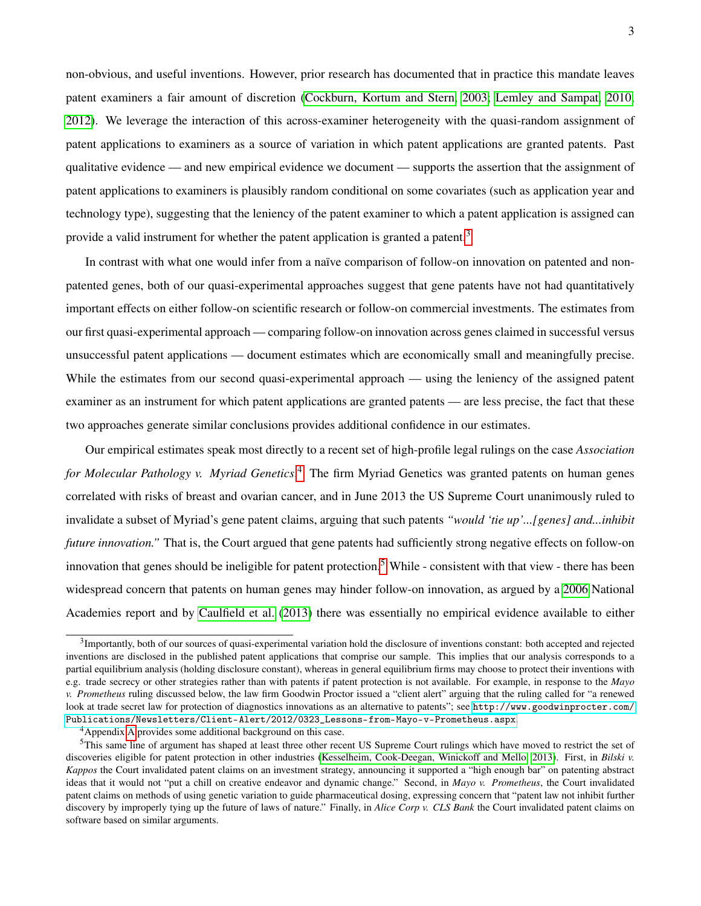non-obvious, and useful inventions. However, prior research has documented that in practice this mandate leaves patent examiners a fair amount of discretion [\(Cockburn, Kortum and Stern, 2003;](#page-25-0) [Lemley and Sampat, 2010,](#page-27-2) [2012\)](#page-27-3). We leverage the interaction of this across-examiner heterogeneity with the quasi-random assignment of patent applications to examiners as a source of variation in which patent applications are granted patents. Past qualitative evidence — and new empirical evidence we document — supports the assertion that the assignment of patent applications to examiners is plausibly random conditional on some covariates (such as application year and technology type), suggesting that the leniency of the patent examiner to which a patent application is assigned can provide a valid instrument for whether the patent application is granted a patent.<sup>[3](#page-4-0)</sup>

In contrast with what one would infer from a naïve comparison of follow-on innovation on patented and nonpatented genes, both of our quasi-experimental approaches suggest that gene patents have not had quantitatively important effects on either follow-on scientific research or follow-on commercial investments. The estimates from our first quasi-experimental approach — comparing follow-on innovation across genes claimed in successful versus unsuccessful patent applications — document estimates which are economically small and meaningfully precise. While the estimates from our second quasi-experimental approach — using the leniency of the assigned patent examiner as an instrument for which patent applications are granted patents — are less precise, the fact that these two approaches generate similar conclusions provides additional confidence in our estimates.

Our empirical estimates speak most directly to a recent set of high-profile legal rulings on the case *Association for Molecular Pathology v. Myriad Genetics*. [4](#page-4-1) The firm Myriad Genetics was granted patents on human genes correlated with risks of breast and ovarian cancer, and in June 2013 the US Supreme Court unanimously ruled to invalidate a subset of Myriad's gene patent claims, arguing that such patents *"would 'tie up'...[genes] and...inhibit future innovation.*" That is, the Court argued that gene patents had sufficiently strong negative effects on follow-on innovation that genes should be ineligible for patent protection.<sup>[5](#page-4-2)</sup> While - consistent with that view - there has been widespread concern that patents on human genes may hinder follow-on innovation, as argued by a [2006](#page-28-1) National Academies report and by [Caulfield et al.](#page-25-1) [\(2013\)](#page-25-1) there was essentially no empirical evidence available to either

<span id="page-4-0"></span><sup>&</sup>lt;sup>3</sup>Importantly, both of our sources of quasi-experimental variation hold the disclosure of inventions constant: both accepted and rejected inventions are disclosed in the published patent applications that comprise our sample. This implies that our analysis corresponds to a partial equilibrium analysis (holding disclosure constant), whereas in general equilibrium firms may choose to protect their inventions with e.g. trade secrecy or other strategies rather than with patents if patent protection is not available. For example, in response to the *Mayo v. Prometheus* ruling discussed below, the law firm Goodwin Proctor issued a "client alert" arguing that the ruling called for "a renewed look at trade secret law for protection of diagnostics innovations as an alternative to patents"; see [http://www.goodwinprocter.com/](http://www.goodwinprocter.com/Publications/Newsletters/Client-Alert/2012/0323_Lessons-from-Mayo-v-Prometheus.aspx) [Publications/Newsletters/Client-Alert/2012/0323\\_Lessons-from-Mayo-v-Prometheus.aspx](http://www.goodwinprocter.com/Publications/Newsletters/Client-Alert/2012/0323_Lessons-from-Mayo-v-Prometheus.aspx).

<span id="page-4-2"></span><span id="page-4-1"></span><sup>&</sup>lt;sup>4</sup>Appendix [A](#page-36-0) provides some additional background on this case.

<sup>&</sup>lt;sup>5</sup>This same line of argument has shaped at least three other recent US Supreme Court rulings which have moved to restrict the set of discoveries eligible for patent protection in other industries [\(Kesselheim, Cook-Deegan, Winickoff and Mello, 2013\)](#page-27-4). First, in *Bilski v. Kappos* the Court invalidated patent claims on an investment strategy, announcing it supported a "high enough bar" on patenting abstract ideas that it would not "put a chill on creative endeavor and dynamic change." Second, in *Mayo v. Prometheus*, the Court invalidated patent claims on methods of using genetic variation to guide pharmaceutical dosing, expressing concern that "patent law not inhibit further discovery by improperly tying up the future of laws of nature." Finally, in *Alice Corp v. CLS Bank* the Court invalidated patent claims on software based on similar arguments.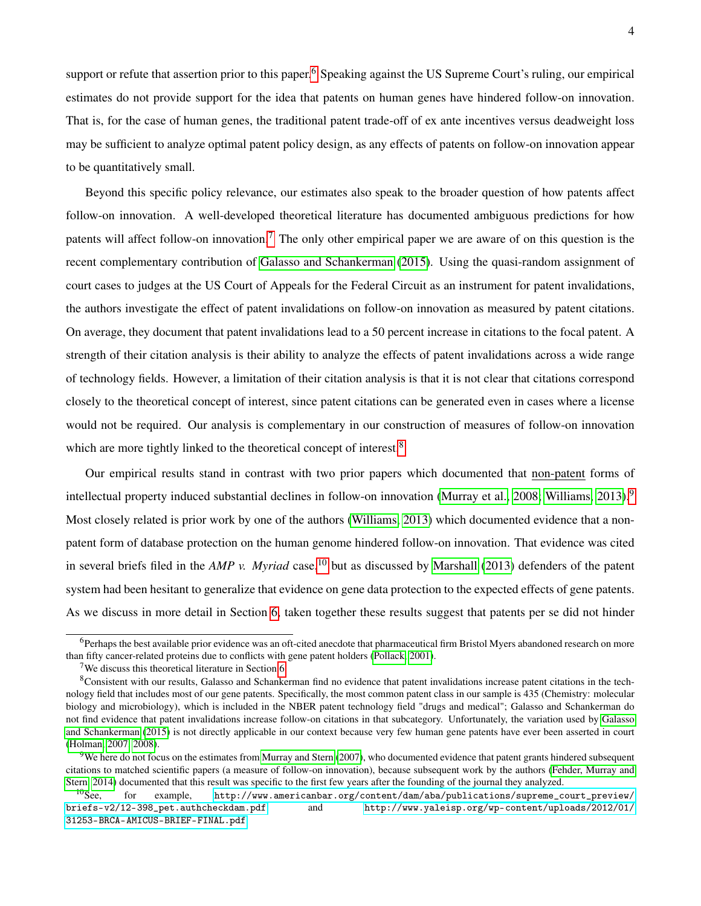support or refute that assertion prior to this paper.<sup>[6](#page-5-0)</sup> Speaking against the US Supreme Court's ruling, our empirical estimates do not provide support for the idea that patents on human genes have hindered follow-on innovation. That is, for the case of human genes, the traditional patent trade-off of ex ante incentives versus deadweight loss may be sufficient to analyze optimal patent policy design, as any effects of patents on follow-on innovation appear to be quantitatively small.

Beyond this specific policy relevance, our estimates also speak to the broader question of how patents affect follow-on innovation. A well-developed theoretical literature has documented ambiguous predictions for how patents will affect follow-on innovation.[7](#page-5-1) The only other empirical paper we are aware of on this question is the recent complementary contribution of [Galasso and Schankerman](#page-26-2) [\(2015\)](#page-26-2). Using the quasi-random assignment of court cases to judges at the US Court of Appeals for the Federal Circuit as an instrument for patent invalidations, the authors investigate the effect of patent invalidations on follow-on innovation as measured by patent citations. On average, they document that patent invalidations lead to a 50 percent increase in citations to the focal patent. A strength of their citation analysis is their ability to analyze the effects of patent invalidations across a wide range of technology fields. However, a limitation of their citation analysis is that it is not clear that citations correspond closely to the theoretical concept of interest, since patent citations can be generated even in cases where a license would not be required. Our analysis is complementary in our construction of measures of follow-on innovation which are more tightly linked to the theoretical concept of interest.<sup>[8](#page-5-2)</sup>

Our empirical results stand in contrast with two prior papers which documented that non-patent forms of intellectual property induced substantial declines in follow-on innovation [\(Murray et al., 2008;](#page-28-2) [Williams, 2013\)](#page-29-0).<sup>[9](#page-5-3)</sup> Most closely related is prior work by one of the authors [\(Williams, 2013\)](#page-29-0) which documented evidence that a nonpatent form of database protection on the human genome hindered follow-on innovation. That evidence was cited in several briefs filed in the *AMP v. Myriad* case,<sup>[10](#page-5-4)</sup> but as discussed by [Marshall](#page-27-5) [\(2013\)](#page-27-5) defenders of the patent system had been hesitant to generalize that evidence on gene data protection to the expected effects of gene patents. As we discuss in more detail in Section [6,](#page-20-0) taken together these results suggest that patents per se did not hinder

<span id="page-5-0"></span><sup>6</sup>Perhaps the best available prior evidence was an oft-cited anecdote that pharmaceutical firm Bristol Myers abandoned research on more than fifty cancer-related proteins due to conflicts with gene patent holders [\(Pollack, 2001\)](#page-28-3).

<span id="page-5-2"></span><span id="page-5-1"></span><sup>&</sup>lt;sup>7</sup>We discuss this theoretical literature in Section [6.](#page-20-0)

<sup>8</sup>Consistent with our results, Galasso and Schankerman find no evidence that patent invalidations increase patent citations in the technology field that includes most of our gene patents. Specifically, the most common patent class in our sample is 435 (Chemistry: molecular biology and microbiology), which is included in the NBER patent technology field "drugs and medical"; Galasso and Schankerman do not find evidence that patent invalidations increase follow-on citations in that subcategory. Unfortunately, the variation used by [Galasso](#page-26-2) [and Schankerman](#page-26-2) [\(2015\)](#page-26-2) is not directly applicable in our context because very few human gene patents have ever been asserted in court [\(Holman, 2007,](#page-27-6) [2008\)](#page-27-7).

<span id="page-5-3"></span> $9$ We here do not focus on the estimates from [Murray and Stern](#page-28-4) [\(2007\)](#page-28-4), who documented evidence that patent grants hindered subsequent citations to matched scientific papers (a measure of follow-on innovation), because subsequent work by the authors [\(Fehder, Murray and](#page-26-3) [Stern, 2014\)](#page-26-3) documented that this result was specific to the first few years after the founding of the journal they analyzed.

<span id="page-5-4"></span> $^{10}$ See, for example, [http://www.americanbar.org/content/dam/aba/publications/supreme\\_court\\_preview/](http://www.americanbar.org/content/dam/aba/publications/supreme_court_preview/briefs-v2/12-398_pet.authcheckdam.pdf) [briefs-v2/12-398\\_pet.authcheckdam.pdf](http://www.americanbar.org/content/dam/aba/publications/supreme_court_preview/briefs-v2/12-398_pet.authcheckdam.pdf) and [http://www.yaleisp.org/wp-content/uploads/2012/01/](http://www.yaleisp.org/wp-content/uploads/2012/01/31253-BRCA-AMICUS-BRIEF-FINAL.pdf) [31253-BRCA-AMICUS-BRIEF-FINAL.pdf](http://www.yaleisp.org/wp-content/uploads/2012/01/31253-BRCA-AMICUS-BRIEF-FINAL.pdf).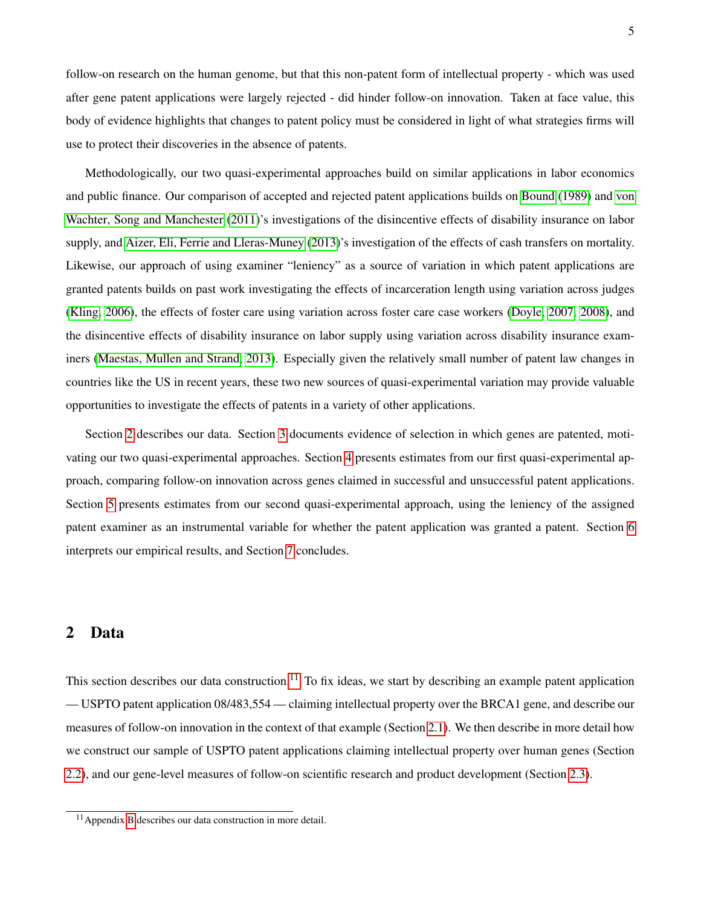follow-on research on the human genome, but that this non-patent form of intellectual property - which was used after gene patent applications were largely rejected - did hinder follow-on innovation. Taken at face value, this body of evidence highlights that changes to patent policy must be considered in light of what strategies firms will use to protect their discoveries in the absence of patents.

Methodologically, our two quasi-experimental approaches build on similar applications in labor economics and public finance. Our comparison of accepted and rejected patent applications builds on [Bound](#page-25-2) [\(1989\)](#page-25-2) and [von](#page-29-1) [Wachter, Song and Manchester](#page-29-1) [\(2011\)](#page-29-1)'s investigations of the disincentive effects of disability insurance on labor supply, and [Aizer, Eli, Ferrie and Lleras-Muney](#page-25-3) [\(2013\)](#page-25-3)'s investigation of the effects of cash transfers on mortality. Likewise, our approach of using examiner "leniency" as a source of variation in which patent applications are granted patents builds on past work investigating the effects of incarceration length using variation across judges [\(Kling, 2006\)](#page-27-8), the effects of foster care using variation across foster care case workers [\(Doyle, 2007,](#page-26-4) [2008\)](#page-26-5), and the disincentive effects of disability insurance on labor supply using variation across disability insurance examiners [\(Maestas, Mullen and Strand, 2013\)](#page-27-9). Especially given the relatively small number of patent law changes in countries like the US in recent years, these two new sources of quasi-experimental variation may provide valuable opportunities to investigate the effects of patents in a variety of other applications.

Section [2](#page-6-0) describes our data. Section [3](#page-10-0) documents evidence of selection in which genes are patented, motivating our two quasi-experimental approaches. Section [4](#page-12-0) presents estimates from our first quasi-experimental approach, comparing follow-on innovation across genes claimed in successful and unsuccessful patent applications. Section [5](#page-15-0) presents estimates from our second quasi-experimental approach, using the leniency of the assigned patent examiner as an instrumental variable for whether the patent application was granted a patent. Section [6](#page-20-0) interprets our empirical results, and Section [7](#page-23-0) concludes.

### <span id="page-6-0"></span>2 Data

This section describes our data construction.<sup>[11](#page-6-1)</sup> To fix ideas, we start by describing an example patent application — USPTO patent application 08/483,554 — claiming intellectual property over the BRCA1 gene, and describe our measures of follow-on innovation in the context of that example (Section [2.1\)](#page-7-0). We then describe in more detail how we construct our sample of USPTO patent applications claiming intellectual property over human genes (Section [2.2\)](#page-7-1), and our gene-level measures of follow-on scientific research and product development (Section [2.3\)](#page-9-0).

<span id="page-6-1"></span><sup>&</sup>lt;sup>11</sup> Appendix [B](#page-37-0) describes our data construction in more detail.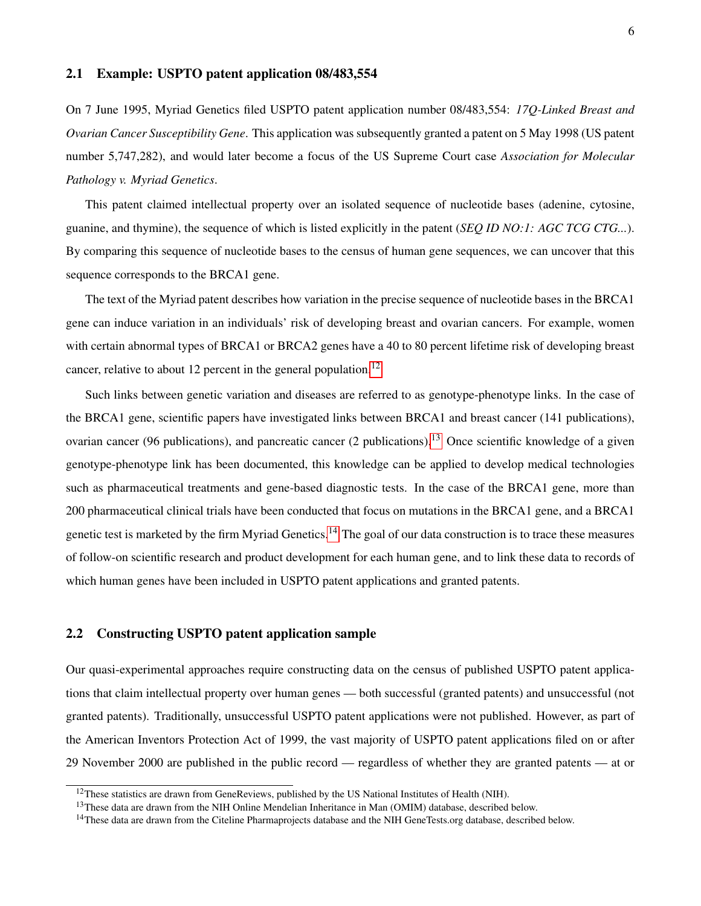### <span id="page-7-0"></span>2.1 Example: USPTO patent application 08/483,554

On 7 June 1995, Myriad Genetics filed USPTO patent application number 08/483,554: *17Q-Linked Breast and Ovarian Cancer Susceptibility Gene*. This application was subsequently granted a patent on 5 May 1998 (US patent number 5,747,282), and would later become a focus of the US Supreme Court case *Association for Molecular Pathology v. Myriad Genetics*.

This patent claimed intellectual property over an isolated sequence of nucleotide bases (adenine, cytosine, guanine, and thymine), the sequence of which is listed explicitly in the patent (*SEQ ID NO:1: AGC TCG CTG...*). By comparing this sequence of nucleotide bases to the census of human gene sequences, we can uncover that this sequence corresponds to the BRCA1 gene.

The text of the Myriad patent describes how variation in the precise sequence of nucleotide bases in the BRCA1 gene can induce variation in an individuals' risk of developing breast and ovarian cancers. For example, women with certain abnormal types of BRCA1 or BRCA2 genes have a 40 to 80 percent lifetime risk of developing breast cancer, relative to about [12](#page-7-2) percent in the general population.<sup>12</sup>

Such links between genetic variation and diseases are referred to as genotype-phenotype links. In the case of the BRCA1 gene, scientific papers have investigated links between BRCA1 and breast cancer (141 publications), ovarian cancer (96 publications), and pancreatic cancer (2 publications).<sup>[13](#page-7-3)</sup> Once scientific knowledge of a given genotype-phenotype link has been documented, this knowledge can be applied to develop medical technologies such as pharmaceutical treatments and gene-based diagnostic tests. In the case of the BRCA1 gene, more than 200 pharmaceutical clinical trials have been conducted that focus on mutations in the BRCA1 gene, and a BRCA1 genetic test is marketed by the firm Myriad Genetics.<sup>[14](#page-7-4)</sup> The goal of our data construction is to trace these measures of follow-on scientific research and product development for each human gene, and to link these data to records of which human genes have been included in USPTO patent applications and granted patents.

### <span id="page-7-1"></span>2.2 Constructing USPTO patent application sample

Our quasi-experimental approaches require constructing data on the census of published USPTO patent applications that claim intellectual property over human genes — both successful (granted patents) and unsuccessful (not granted patents). Traditionally, unsuccessful USPTO patent applications were not published. However, as part of the American Inventors Protection Act of 1999, the vast majority of USPTO patent applications filed on or after 29 November 2000 are published in the public record — regardless of whether they are granted patents — at or

<span id="page-7-2"></span><sup>&</sup>lt;sup>12</sup>These statistics are drawn from GeneReviews, published by the US National Institutes of Health (NIH).

<span id="page-7-3"></span><sup>&</sup>lt;sup>13</sup>These data are drawn from the NIH Online Mendelian Inheritance in Man (OMIM) database, described below.

<span id="page-7-4"></span><sup>&</sup>lt;sup>14</sup>These data are drawn from the Citeline Pharmaprojects database and the NIH GeneTests.org database, described below.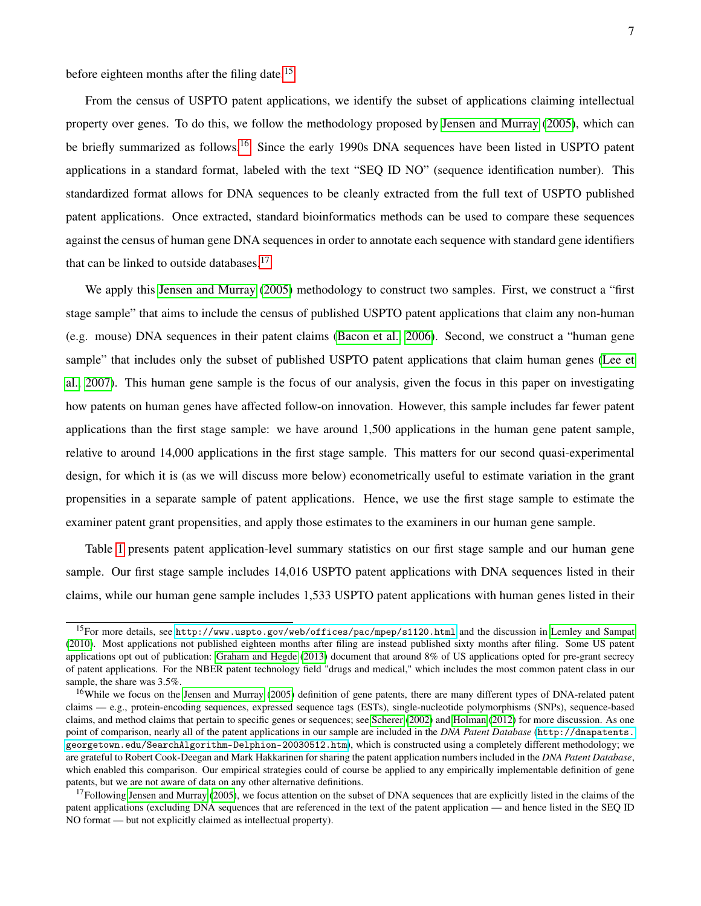before eighteen months after the filing date.<sup>[15](#page-8-0)</sup>

From the census of USPTO patent applications, we identify the subset of applications claiming intellectual property over genes. To do this, we follow the methodology proposed by [Jensen and Murray](#page-27-0) [\(2005\)](#page-27-0), which can be briefly summarized as follows.<sup>[16](#page-8-1)</sup> Since the early 1990s DNA sequences have been listed in USPTO patent applications in a standard format, labeled with the text "SEQ ID NO" (sequence identification number). This standardized format allows for DNA sequences to be cleanly extracted from the full text of USPTO published patent applications. Once extracted, standard bioinformatics methods can be used to compare these sequences against the census of human gene DNA sequences in order to annotate each sequence with standard gene identifiers that can be linked to outside databases. $17$ 

We apply this [Jensen and Murray](#page-27-0) [\(2005\)](#page-27-0) methodology to construct two samples. First, we construct a "first stage sample" that aims to include the census of published USPTO patent applications that claim any non-human (e.g. mouse) DNA sequences in their patent claims [\(Bacon et al., 2006\)](#page-25-4). Second, we construct a "human gene sample" that includes only the subset of published USPTO patent applications that claim human genes [\(Lee et](#page-27-10) [al., 2007\)](#page-27-10). This human gene sample is the focus of our analysis, given the focus in this paper on investigating how patents on human genes have affected follow-on innovation. However, this sample includes far fewer patent applications than the first stage sample: we have around 1,500 applications in the human gene patent sample, relative to around 14,000 applications in the first stage sample. This matters for our second quasi-experimental design, for which it is (as we will discuss more below) econometrically useful to estimate variation in the grant propensities in a separate sample of patent applications. Hence, we use the first stage sample to estimate the examiner patent grant propensities, and apply those estimates to the examiners in our human gene sample.

Table [1](#page-33-0) presents patent application-level summary statistics on our first stage sample and our human gene sample. Our first stage sample includes 14,016 USPTO patent applications with DNA sequences listed in their claims, while our human gene sample includes 1,533 USPTO patent applications with human genes listed in their

<span id="page-8-0"></span><sup>&</sup>lt;sup>15</sup>For more details, see [http://www.uspto.gov/web/offices/pac/mpep/s1120.html](http://www.uspto.gov/web/offices/pac/mpep/s1120.html ) and the discussion in [Lemley and Sampat](#page-27-2) [\(2010\)](#page-27-2). Most applications not published eighteen months after filing are instead published sixty months after filing. Some US patent applications opt out of publication: [Graham and Hegde](#page-26-6) [\(2013\)](#page-26-6) document that around 8% of US applications opted for pre-grant secrecy of patent applications. For the NBER patent technology field "drugs and medical," which includes the most common patent class in our sample, the share was 3.5%.

<span id="page-8-1"></span><sup>&</sup>lt;sup>16</sup>While we focus on the [Jensen and Murray](#page-27-0) [\(2005\)](#page-27-0) definition of gene patents, there are many different types of DNA-related patent claims — e.g., protein-encoding sequences, expressed sequence tags (ESTs), single-nucleotide polymorphisms (SNPs), sequence-based claims, and method claims that pertain to specific genes or sequences; see [Scherer](#page-28-5) [\(2002\)](#page-28-5) and [Holman](#page-27-11) [\(2012\)](#page-27-11) for more discussion. As one point of comparison, nearly all of the patent applications in our sample are included in the *DNA Patent Database* ([http://dnapatents.](http://dnapatents.georgetown.edu/SearchAlgorithm-Delphion-20030512.htm) [georgetown.edu/SearchAlgorithm-Delphion-20030512.htm](http://dnapatents.georgetown.edu/SearchAlgorithm-Delphion-20030512.htm)), which is constructed using a completely different methodology; we are grateful to Robert Cook-Deegan and Mark Hakkarinen for sharing the patent application numbers included in the *DNA Patent Database*, which enabled this comparison. Our empirical strategies could of course be applied to any empirically implementable definition of gene patents, but we are not aware of data on any other alternative definitions.

<span id="page-8-2"></span><sup>&</sup>lt;sup>17</sup>Following [Jensen and Murray](#page-27-0) [\(2005\)](#page-27-0), we focus attention on the subset of DNA sequences that are explicitly listed in the claims of the patent applications (excluding DNA sequences that are referenced in the text of the patent application — and hence listed in the SEQ ID NO format — but not explicitly claimed as intellectual property).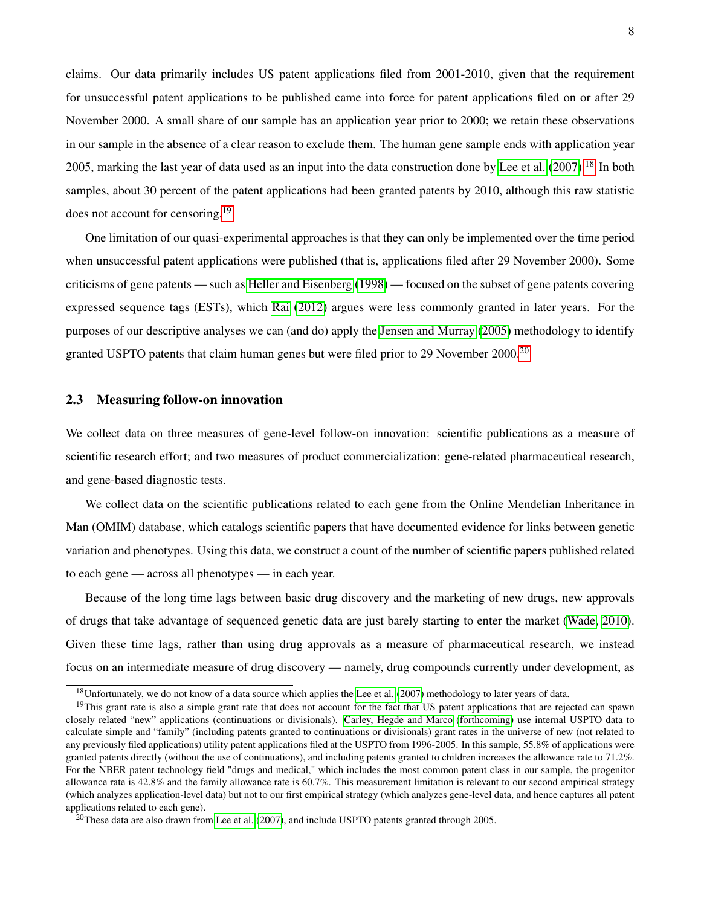claims. Our data primarily includes US patent applications filed from 2001-2010, given that the requirement for unsuccessful patent applications to be published came into force for patent applications filed on or after 29 November 2000. A small share of our sample has an application year prior to 2000; we retain these observations in our sample in the absence of a clear reason to exclude them. The human gene sample ends with application year 2005, marking the last year of data used as an input into the data construction done by [Lee et al.](#page-27-10) [\(2007\)](#page-27-10).<sup>[18](#page-9-1)</sup> In both samples, about 30 percent of the patent applications had been granted patents by 2010, although this raw statistic does not account for censoring.[19](#page-9-2)

One limitation of our quasi-experimental approaches is that they can only be implemented over the time period when unsuccessful patent applications were published (that is, applications filed after 29 November 2000). Some criticisms of gene patents — such as [Heller and Eisenberg](#page-26-0) [\(1998\)](#page-26-0) — focused on the subset of gene patents covering expressed sequence tags (ESTs), which [Rai](#page-28-6) [\(2012\)](#page-28-6) argues were less commonly granted in later years. For the purposes of our descriptive analyses we can (and do) apply the [Jensen and Murray](#page-27-0) [\(2005\)](#page-27-0) methodology to identify granted USPTO patents that claim human genes but were filed prior to 29 November [20](#page-9-3)00.<sup>20</sup>

### <span id="page-9-0"></span>2.3 Measuring follow-on innovation

We collect data on three measures of gene-level follow-on innovation: scientific publications as a measure of scientific research effort; and two measures of product commercialization: gene-related pharmaceutical research, and gene-based diagnostic tests.

We collect data on the scientific publications related to each gene from the Online Mendelian Inheritance in Man (OMIM) database, which catalogs scientific papers that have documented evidence for links between genetic variation and phenotypes. Using this data, we construct a count of the number of scientific papers published related to each gene — across all phenotypes — in each year.

Because of the long time lags between basic drug discovery and the marketing of new drugs, new approvals of drugs that take advantage of sequenced genetic data are just barely starting to enter the market [\(Wade, 2010\)](#page-29-2). Given these time lags, rather than using drug approvals as a measure of pharmaceutical research, we instead focus on an intermediate measure of drug discovery — namely, drug compounds currently under development, as

<span id="page-9-2"></span><span id="page-9-1"></span> $18$ Unfortunately, we do not know of a data source which applies the [Lee et al.](#page-27-10) [\(2007\)](#page-27-10) methodology to later years of data.

<sup>&</sup>lt;sup>19</sup>This grant rate is also a simple grant rate that does not account for the fact that US patent applications that are rejected can spawn closely related "new" applications (continuations or divisionals). [Carley, Hegde and Marco](#page-25-5) [\(forthcoming\)](#page-25-5) use internal USPTO data to calculate simple and "family" (including patents granted to continuations or divisionals) grant rates in the universe of new (not related to any previously filed applications) utility patent applications filed at the USPTO from 1996-2005. In this sample, 55.8% of applications were granted patents directly (without the use of continuations), and including patents granted to children increases the allowance rate to 71.2%. For the NBER patent technology field "drugs and medical," which includes the most common patent class in our sample, the progenitor allowance rate is 42.8% and the family allowance rate is 60.7%. This measurement limitation is relevant to our second empirical strategy (which analyzes application-level data) but not to our first empirical strategy (which analyzes gene-level data, and hence captures all patent applications related to each gene).

<span id="page-9-3"></span><sup>&</sup>lt;sup>20</sup>These data are also drawn from [Lee et al.](#page-27-10) [\(2007\)](#page-27-10), and include USPTO patents granted through 2005.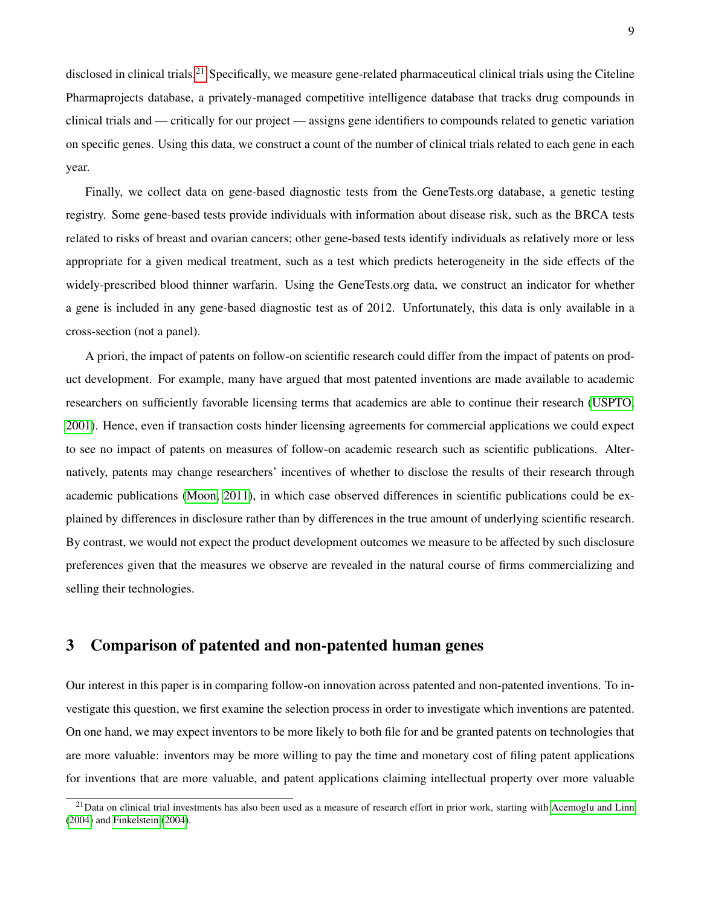disclosed in clinical trials.<sup>[21](#page-10-1)</sup> Specifically, we measure gene-related pharmaceutical clinical trials using the Citeline Pharmaprojects database, a privately-managed competitive intelligence database that tracks drug compounds in clinical trials and — critically for our project — assigns gene identifiers to compounds related to genetic variation on specific genes. Using this data, we construct a count of the number of clinical trials related to each gene in each year.

Finally, we collect data on gene-based diagnostic tests from the GeneTests.org database, a genetic testing registry. Some gene-based tests provide individuals with information about disease risk, such as the BRCA tests related to risks of breast and ovarian cancers; other gene-based tests identify individuals as relatively more or less appropriate for a given medical treatment, such as a test which predicts heterogeneity in the side effects of the widely-prescribed blood thinner warfarin. Using the GeneTests.org data, we construct an indicator for whether a gene is included in any gene-based diagnostic test as of 2012. Unfortunately, this data is only available in a cross-section (not a panel).

A priori, the impact of patents on follow-on scientific research could differ from the impact of patents on product development. For example, many have argued that most patented inventions are made available to academic researchers on sufficiently favorable licensing terms that academics are able to continue their research [\(USPTO,](#page-29-3) [2001\)](#page-29-3). Hence, even if transaction costs hinder licensing agreements for commercial applications we could expect to see no impact of patents on measures of follow-on academic research such as scientific publications. Alternatively, patents may change researchers' incentives of whether to disclose the results of their research through academic publications [\(Moon, 2011\)](#page-28-7), in which case observed differences in scientific publications could be explained by differences in disclosure rather than by differences in the true amount of underlying scientific research. By contrast, we would not expect the product development outcomes we measure to be affected by such disclosure preferences given that the measures we observe are revealed in the natural course of firms commercializing and selling their technologies.

# <span id="page-10-0"></span>3 Comparison of patented and non-patented human genes

Our interest in this paper is in comparing follow-on innovation across patented and non-patented inventions. To investigate this question, we first examine the selection process in order to investigate which inventions are patented. On one hand, we may expect inventors to be more likely to both file for and be granted patents on technologies that are more valuable: inventors may be more willing to pay the time and monetary cost of filing patent applications for inventions that are more valuable, and patent applications claiming intellectual property over more valuable

<span id="page-10-1"></span> $^{21}$ Data on clinical trial investments has also been used as a measure of research effort in prior work, starting with [Acemoglu and Linn](#page-25-6) [\(2004\)](#page-25-6) and [Finkelstein](#page-26-7) [\(2004\)](#page-26-7).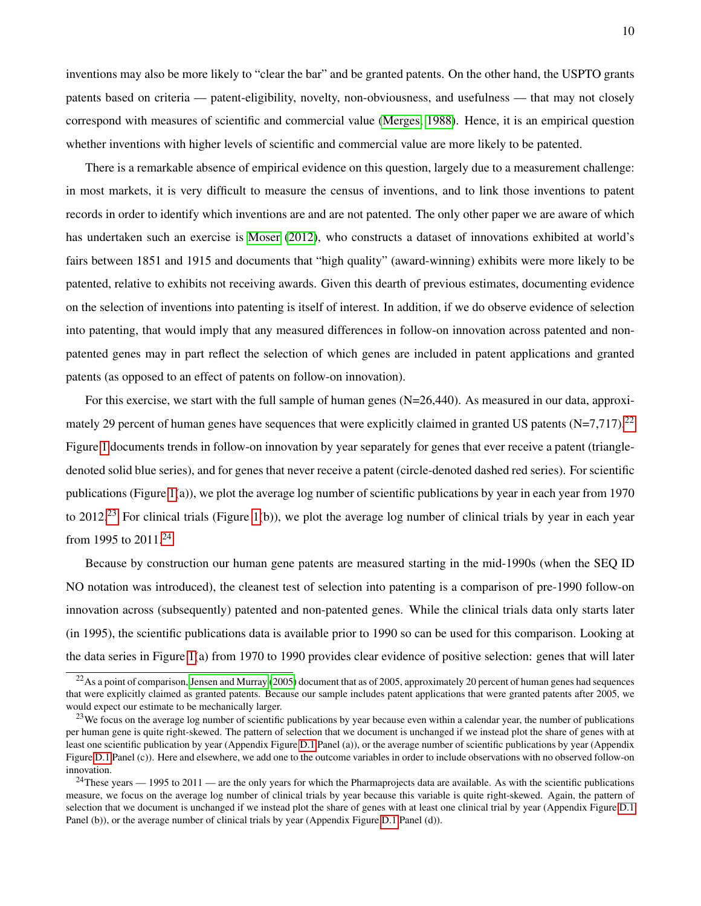inventions may also be more likely to "clear the bar" and be granted patents. On the other hand, the USPTO grants patents based on criteria — patent-eligibility, novelty, non-obviousness, and usefulness — that may not closely correspond with measures of scientific and commercial value [\(Merges, 1988\)](#page-28-8). Hence, it is an empirical question whether inventions with higher levels of scientific and commercial value are more likely to be patented.

There is a remarkable absence of empirical evidence on this question, largely due to a measurement challenge: in most markets, it is very difficult to measure the census of inventions, and to link those inventions to patent records in order to identify which inventions are and are not patented. The only other paper we are aware of which has undertaken such an exercise is [Moser](#page-28-9) [\(2012\)](#page-28-9), who constructs a dataset of innovations exhibited at world's fairs between 1851 and 1915 and documents that "high quality" (award-winning) exhibits were more likely to be patented, relative to exhibits not receiving awards. Given this dearth of previous estimates, documenting evidence on the selection of inventions into patenting is itself of interest. In addition, if we do observe evidence of selection into patenting, that would imply that any measured differences in follow-on innovation across patented and nonpatented genes may in part reflect the selection of which genes are included in patent applications and granted patents (as opposed to an effect of patents on follow-on innovation).

For this exercise, we start with the full sample of human genes (N=26,440). As measured in our data, approximately 29 percent of human genes have sequences that were explicitly claimed in granted US patents  $(N=7,717)$ .<sup>[22](#page-11-0)</sup> Figure [1](#page-30-0) documents trends in follow-on innovation by year separately for genes that ever receive a patent (triangledenoted solid blue series), and for genes that never receive a patent (circle-denoted dashed red series). For scientific publications (Figure [1\(](#page-30-0)a)), we plot the average log number of scientific publications by year in each year from 1970 to 2012.<sup>[23](#page-11-1)</sup> For clinical trials (Figure [1\(](#page-30-0)b)), we plot the average log number of clinical trials by year in each year from 1995 to 2011.[24](#page-11-2)

Because by construction our human gene patents are measured starting in the mid-1990s (when the SEQ ID NO notation was introduced), the cleanest test of selection into patenting is a comparison of pre-1990 follow-on innovation across (subsequently) patented and non-patented genes. While the clinical trials data only starts later (in 1995), the scientific publications data is available prior to 1990 so can be used for this comparison. Looking at the data series in Figure [1\(](#page-30-0)a) from 1970 to 1990 provides clear evidence of positive selection: genes that will later

<span id="page-11-0"></span> $^{22}$ As a point of comparison, [Jensen and Murray](#page-27-0) [\(2005\)](#page-27-0) document that as of 2005, approximately 20 percent of human genes had sequences that were explicitly claimed as granted patents. Because our sample includes patent applications that were granted patents after 2005, we would expect our estimate to be mechanically larger.

<span id="page-11-1"></span> $^{23}$ We focus on the average log number of scientific publications by year because even within a calendar year, the number of publications per human gene is quite right-skewed. The pattern of selection that we document is unchanged if we instead plot the share of genes with at least one scientific publication by year (Appendix Figure [D.1](#page-48-0) Panel (a)), or the average number of scientific publications by year (Appendix Figure [D.1](#page-48-0) Panel (c)). Here and elsewhere, we add one to the outcome variables in order to include observations with no observed follow-on innovation.

<span id="page-11-2"></span> $24$ These years  $- 1995$  to 2011 — are the only years for which the Pharmaprojects data are available. As with the scientific publications measure, we focus on the average log number of clinical trials by year because this variable is quite right-skewed. Again, the pattern of selection that we document is unchanged if we instead plot the share of genes with at least one clinical trial by year (Appendix Figure [D.1](#page-48-0) Panel (b)), or the average number of clinical trials by year (Appendix Figure [D.1](#page-48-0) Panel (d)).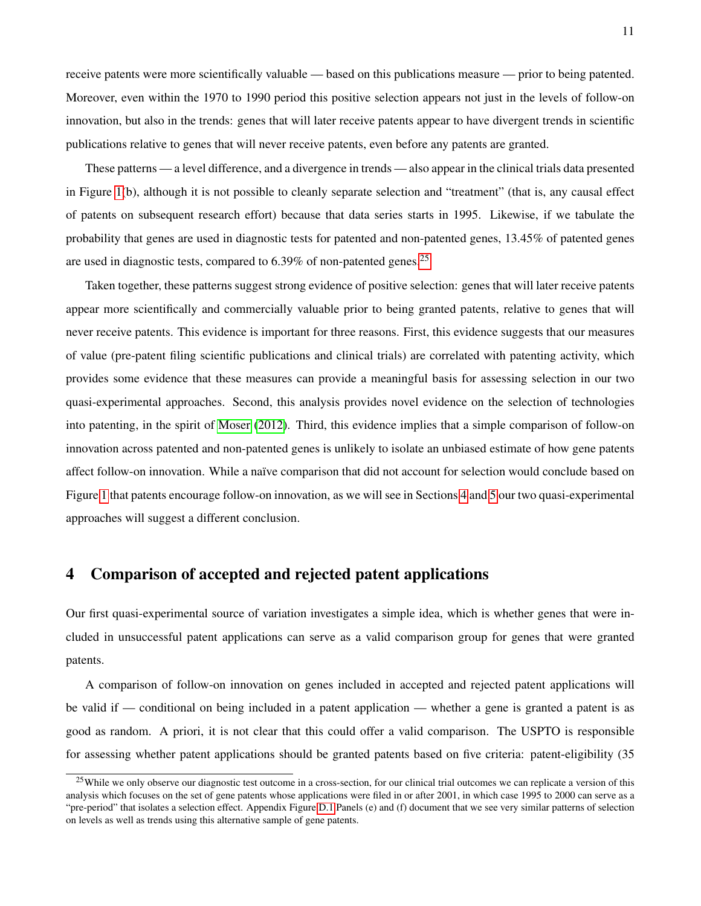receive patents were more scientifically valuable — based on this publications measure — prior to being patented. Moreover, even within the 1970 to 1990 period this positive selection appears not just in the levels of follow-on innovation, but also in the trends: genes that will later receive patents appear to have divergent trends in scientific publications relative to genes that will never receive patents, even before any patents are granted.

These patterns — a level difference, and a divergence in trends — also appear in the clinical trials data presented in Figure [1\(](#page-30-0)b), although it is not possible to cleanly separate selection and "treatment" (that is, any causal effect of patents on subsequent research effort) because that data series starts in 1995. Likewise, if we tabulate the probability that genes are used in diagnostic tests for patented and non-patented genes, 13.45% of patented genes are used in diagnostic tests, compared to  $6.39\%$  of non-patented genes.<sup>[25](#page-12-1)</sup>

Taken together, these patterns suggest strong evidence of positive selection: genes that will later receive patents appear more scientifically and commercially valuable prior to being granted patents, relative to genes that will never receive patents. This evidence is important for three reasons. First, this evidence suggests that our measures of value (pre-patent filing scientific publications and clinical trials) are correlated with patenting activity, which provides some evidence that these measures can provide a meaningful basis for assessing selection in our two quasi-experimental approaches. Second, this analysis provides novel evidence on the selection of technologies into patenting, in the spirit of [Moser](#page-28-9) [\(2012\)](#page-28-9). Third, this evidence implies that a simple comparison of follow-on innovation across patented and non-patented genes is unlikely to isolate an unbiased estimate of how gene patents affect follow-on innovation. While a naïve comparison that did not account for selection would conclude based on Figure [1](#page-30-0) that patents encourage follow-on innovation, as we will see in Sections [4](#page-12-0) and [5](#page-15-0) our two quasi-experimental approaches will suggest a different conclusion.

# <span id="page-12-0"></span>4 Comparison of accepted and rejected patent applications

Our first quasi-experimental source of variation investigates a simple idea, which is whether genes that were included in unsuccessful patent applications can serve as a valid comparison group for genes that were granted patents.

A comparison of follow-on innovation on genes included in accepted and rejected patent applications will be valid if — conditional on being included in a patent application — whether a gene is granted a patent is as good as random. A priori, it is not clear that this could offer a valid comparison. The USPTO is responsible for assessing whether patent applications should be granted patents based on five criteria: patent-eligibility (35

<span id="page-12-1"></span> $25$ While we only observe our diagnostic test outcome in a cross-section, for our clinical trial outcomes we can replicate a version of this analysis which focuses on the set of gene patents whose applications were filed in or after 2001, in which case 1995 to 2000 can serve as a "pre-period" that isolates a selection effect. Appendix Figure [D.1](#page-48-0) Panels (e) and (f) document that we see very similar patterns of selection on levels as well as trends using this alternative sample of gene patents.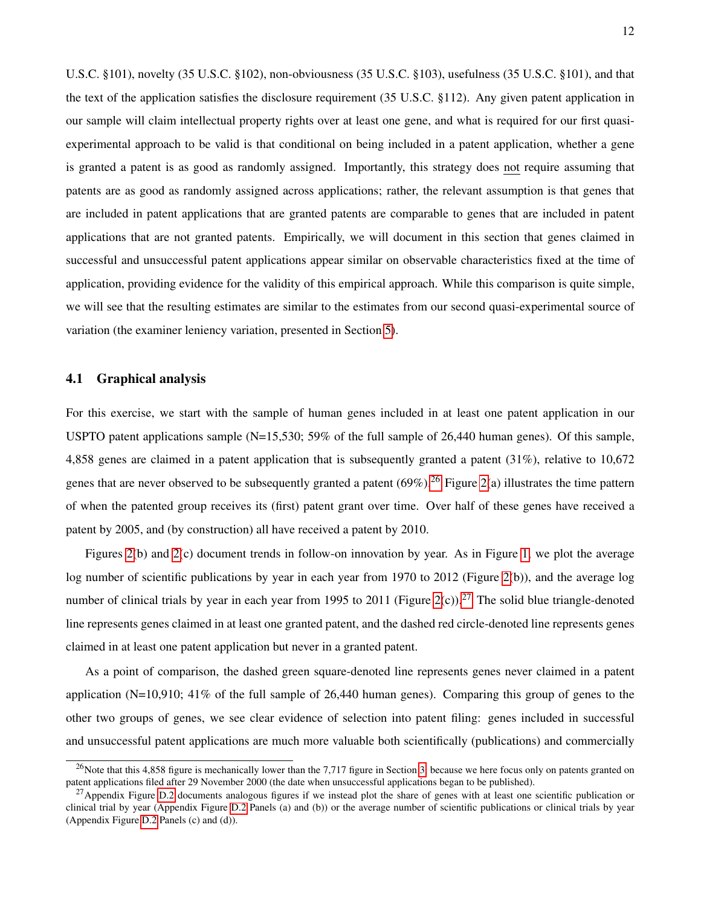U.S.C. §101), novelty (35 U.S.C. §102), non-obviousness (35 U.S.C. §103), usefulness (35 U.S.C. §101), and that the text of the application satisfies the disclosure requirement (35 U.S.C. §112). Any given patent application in our sample will claim intellectual property rights over at least one gene, and what is required for our first quasiexperimental approach to be valid is that conditional on being included in a patent application, whether a gene is granted a patent is as good as randomly assigned. Importantly, this strategy does not require assuming that patents are as good as randomly assigned across applications; rather, the relevant assumption is that genes that are included in patent applications that are granted patents are comparable to genes that are included in patent applications that are not granted patents. Empirically, we will document in this section that genes claimed in successful and unsuccessful patent applications appear similar on observable characteristics fixed at the time of application, providing evidence for the validity of this empirical approach. While this comparison is quite simple, we will see that the resulting estimates are similar to the estimates from our second quasi-experimental source of variation (the examiner leniency variation, presented in Section [5\)](#page-15-0).

### 4.1 Graphical analysis

For this exercise, we start with the sample of human genes included in at least one patent application in our USPTO patent applications sample (N=15,530; 59% of the full sample of 26,440 human genes). Of this sample, 4,858 genes are claimed in a patent application that is subsequently granted a patent (31%), relative to 10,672 genes that are never observed to be subsequently granted a patent  $(69\%)$ .<sup>[26](#page-13-0)</sup> Figure [2\(](#page-31-0)a) illustrates the time pattern of when the patented group receives its (first) patent grant over time. Over half of these genes have received a patent by 2005, and (by construction) all have received a patent by 2010.

Figures [2\(](#page-31-0)b) and [2\(](#page-31-0)c) document trends in follow-on innovation by year. As in Figure [1,](#page-30-0) we plot the average log number of scientific publications by year in each year from 1970 to 2012 (Figure [2\(](#page-31-0)b)), and the average log number of clinical trials by year in each year from 1995 to 2011 (Figure [2\(](#page-31-0)c)).<sup>[27](#page-13-1)</sup> The solid blue triangle-denoted line represents genes claimed in at least one granted patent, and the dashed red circle-denoted line represents genes claimed in at least one patent application but never in a granted patent.

As a point of comparison, the dashed green square-denoted line represents genes never claimed in a patent application (N=10,910; 41% of the full sample of 26,440 human genes). Comparing this group of genes to the other two groups of genes, we see clear evidence of selection into patent filing: genes included in successful and unsuccessful patent applications are much more valuable both scientifically (publications) and commercially

<span id="page-13-0"></span><sup>&</sup>lt;sup>26</sup>Note that this 4,858 figure is mechanically lower than the 7,717 figure in Section [3,](#page-10-0) because we here focus only on patents granted on patent applications filed after 29 November 2000 (the date when unsuccessful applications began to be published).

<span id="page-13-1"></span><sup>&</sup>lt;sup>27</sup>Appendix Figure [D.2](#page-49-0) documents analogous figures if we instead plot the share of genes with at least one scientific publication or clinical trial by year (Appendix Figure [D.2](#page-49-0) Panels (a) and (b)) or the average number of scientific publications or clinical trials by year (Appendix Figure [D.2](#page-49-0) Panels (c) and (d)).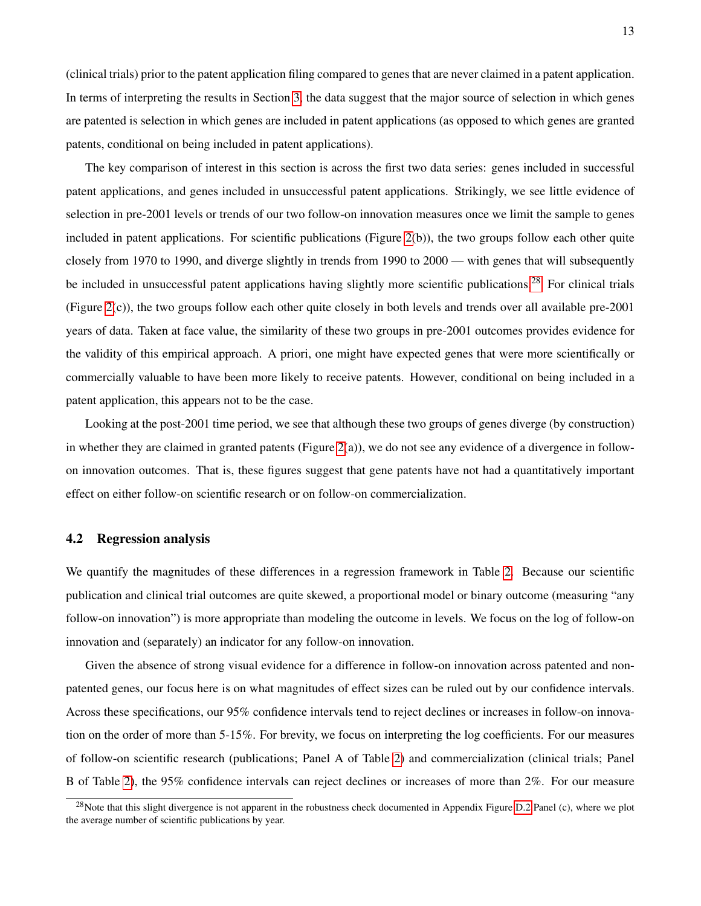(clinical trials) prior to the patent application filing compared to genes that are never claimed in a patent application. In terms of interpreting the results in Section [3,](#page-10-0) the data suggest that the major source of selection in which genes are patented is selection in which genes are included in patent applications (as opposed to which genes are granted patents, conditional on being included in patent applications).

The key comparison of interest in this section is across the first two data series: genes included in successful patent applications, and genes included in unsuccessful patent applications. Strikingly, we see little evidence of selection in pre-2001 levels or trends of our two follow-on innovation measures once we limit the sample to genes included in patent applications. For scientific publications (Figure [2\(](#page-31-0)b)), the two groups follow each other quite closely from 1970 to 1990, and diverge slightly in trends from 1990 to 2000 — with genes that will subsequently be included in unsuccessful patent applications having slightly more scientific publications.<sup>[28](#page-14-0)</sup> For clinical trials (Figure [2\(](#page-31-0)c)), the two groups follow each other quite closely in both levels and trends over all available pre-2001 years of data. Taken at face value, the similarity of these two groups in pre-2001 outcomes provides evidence for the validity of this empirical approach. A priori, one might have expected genes that were more scientifically or commercially valuable to have been more likely to receive patents. However, conditional on being included in a patent application, this appears not to be the case.

Looking at the post-2001 time period, we see that although these two groups of genes diverge (by construction) in whether they are claimed in granted patents (Figure [2\(](#page-31-0)a)), we do not see any evidence of a divergence in followon innovation outcomes. That is, these figures suggest that gene patents have not had a quantitatively important effect on either follow-on scientific research or on follow-on commercialization.

### 4.2 Regression analysis

We quantify the magnitudes of these differences in a regression framework in Table [2.](#page-34-0) Because our scientific publication and clinical trial outcomes are quite skewed, a proportional model or binary outcome (measuring "any follow-on innovation") is more appropriate than modeling the outcome in levels. We focus on the log of follow-on innovation and (separately) an indicator for any follow-on innovation.

Given the absence of strong visual evidence for a difference in follow-on innovation across patented and nonpatented genes, our focus here is on what magnitudes of effect sizes can be ruled out by our confidence intervals. Across these specifications, our 95% confidence intervals tend to reject declines or increases in follow-on innovation on the order of more than 5-15%. For brevity, we focus on interpreting the log coefficients. For our measures of follow-on scientific research (publications; Panel A of Table [2\)](#page-34-0) and commercialization (clinical trials; Panel B of Table [2\)](#page-34-0), the 95% confidence intervals can reject declines or increases of more than 2%. For our measure

<span id="page-14-0"></span><sup>&</sup>lt;sup>28</sup>Note that this slight divergence is not apparent in the robustness check documented in Appendix Figure [D.2](#page-49-0) Panel (c), where we plot the average number of scientific publications by year.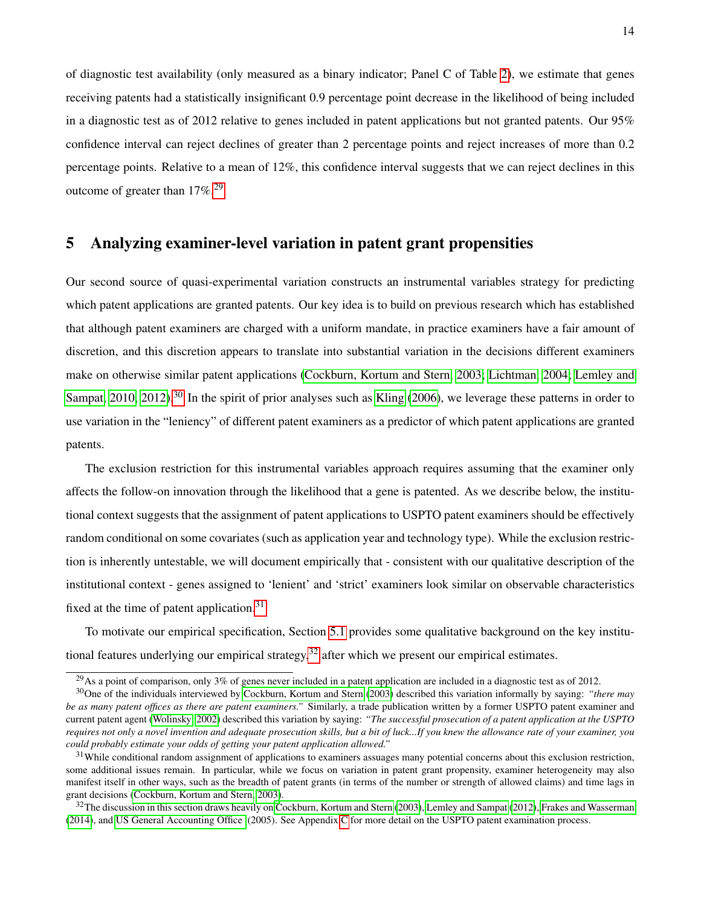of diagnostic test availability (only measured as a binary indicator; Panel C of Table [2\)](#page-34-0), we estimate that genes receiving patents had a statistically insignificant 0.9 percentage point decrease in the likelihood of being included in a diagnostic test as of 2012 relative to genes included in patent applications but not granted patents. Our 95% confidence interval can reject declines of greater than 2 percentage points and reject increases of more than 0.2 percentage points. Relative to a mean of 12%, this confidence interval suggests that we can reject declines in this outcome of greater than  $17\%$ <sup>[29](#page-15-1)</sup>

# <span id="page-15-0"></span>5 Analyzing examiner-level variation in patent grant propensities

Our second source of quasi-experimental variation constructs an instrumental variables strategy for predicting which patent applications are granted patents. Our key idea is to build on previous research which has established that although patent examiners are charged with a uniform mandate, in practice examiners have a fair amount of discretion, and this discretion appears to translate into substantial variation in the decisions different examiners make on otherwise similar patent applications [\(Cockburn, Kortum and Stern, 2003;](#page-25-0) [Lichtman, 2004;](#page-27-12) [Lemley and](#page-27-2) [Sampat, 2010,](#page-27-2) [2012\)](#page-27-3).<sup>[30](#page-15-2)</sup> In the spirit of prior analyses such as [Kling](#page-27-8) [\(2006\)](#page-27-8), we leverage these patterns in order to use variation in the "leniency" of different patent examiners as a predictor of which patent applications are granted patents.

The exclusion restriction for this instrumental variables approach requires assuming that the examiner only affects the follow-on innovation through the likelihood that a gene is patented. As we describe below, the institutional context suggests that the assignment of patent applications to USPTO patent examiners should be effectively random conditional on some covariates (such as application year and technology type). While the exclusion restriction is inherently untestable, we will document empirically that - consistent with our qualitative description of the institutional context - genes assigned to 'lenient' and 'strict' examiners look similar on observable characteristics fixed at the time of patent application.<sup>[31](#page-15-3)</sup>

To motivate our empirical specification, Section [5.1](#page-16-0) provides some qualitative background on the key institutional features underlying our empirical strategy,  $32$  after which we present our empirical estimates.

<span id="page-15-2"></span><span id="page-15-1"></span><sup>&</sup>lt;sup>29</sup>As a point of comparison, only 3% of genes never included in a patent application are included in a diagnostic test as of 2012.

<sup>30</sup>One of the individuals interviewed by [Cockburn, Kortum and Stern](#page-25-0) [\(2003\)](#page-25-0) described this variation informally by saying: *"there may be as many patent offices as there are patent examiners."* Similarly, a trade publication written by a former USPTO patent examiner and current patent agent [\(Wolinsky, 2002\)](#page-29-4) described this variation by saying: *"The successful prosecution of a patent application at the USPTO requires not only a novel invention and adequate prosecution skills, but a bit of luck...If you knew the allowance rate of your examiner, you could probably estimate your odds of getting your patent application allowed."*

<span id="page-15-3"></span> $31$ While conditional random assignment of applications to examiners assuages many potential concerns about this exclusion restriction, some additional issues remain. In particular, while we focus on variation in patent grant propensity, examiner heterogeneity may also manifest itself in other ways, such as the breadth of patent grants (in terms of the number or strength of allowed claims) and time lags in grant decisions [\(Cockburn, Kortum and Stern, 2003\)](#page-25-0).

<span id="page-15-4"></span> $32$ The discussion in this section draws heavily on [Cockburn, Kortum and Stern](#page-25-0) [\(2003\)](#page-25-0), [Lemley and Sampat](#page-27-3) [\(2012\)](#page-27-3), [Frakes and Wasserman](#page-26-8) [\(2014\)](#page-26-8), and [US General Accounting Office](#page-29-5) (2005). See Appendix [C](#page-44-0) for more detail on the USPTO patent examination process.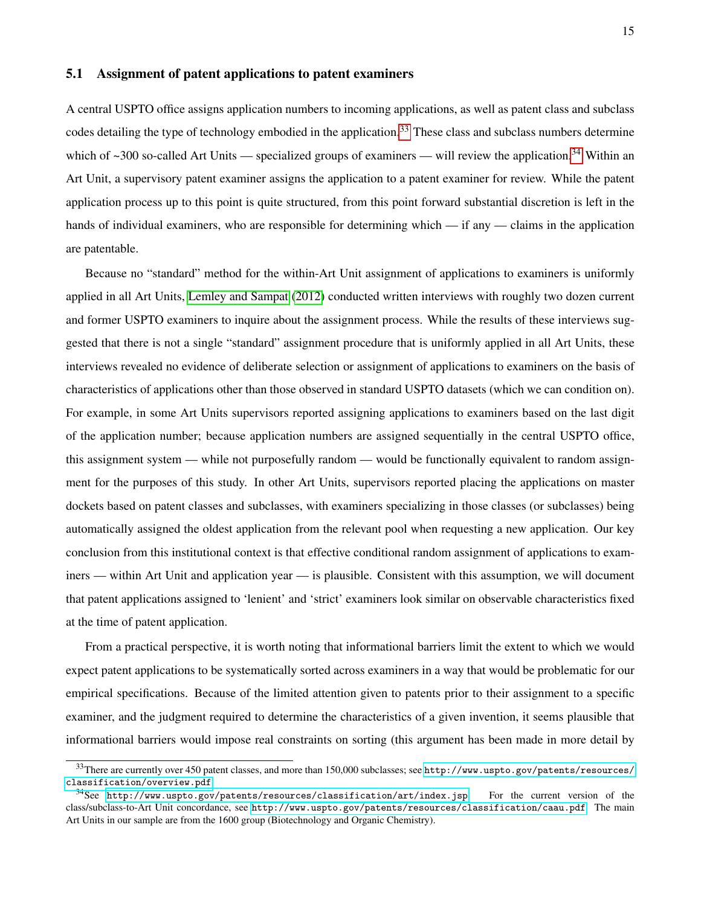### <span id="page-16-0"></span>5.1 Assignment of patent applications to patent examiners

A central USPTO office assigns application numbers to incoming applications, as well as patent class and subclass codes detailing the type of technology embodied in the application.<sup>[33](#page-16-1)</sup> These class and subclass numbers determine which of  $\sim$ 300 so-called Art Units — specialized groups of examiners — will review the application.<sup>[34](#page-16-2)</sup> Within an Art Unit, a supervisory patent examiner assigns the application to a patent examiner for review. While the patent application process up to this point is quite structured, from this point forward substantial discretion is left in the hands of individual examiners, who are responsible for determining which — if any — claims in the application are patentable.

Because no "standard" method for the within-Art Unit assignment of applications to examiners is uniformly applied in all Art Units, [Lemley and Sampat](#page-27-3) [\(2012\)](#page-27-3) conducted written interviews with roughly two dozen current and former USPTO examiners to inquire about the assignment process. While the results of these interviews suggested that there is not a single "standard" assignment procedure that is uniformly applied in all Art Units, these interviews revealed no evidence of deliberate selection or assignment of applications to examiners on the basis of characteristics of applications other than those observed in standard USPTO datasets (which we can condition on). For example, in some Art Units supervisors reported assigning applications to examiners based on the last digit of the application number; because application numbers are assigned sequentially in the central USPTO office, this assignment system — while not purposefully random — would be functionally equivalent to random assignment for the purposes of this study. In other Art Units, supervisors reported placing the applications on master dockets based on patent classes and subclasses, with examiners specializing in those classes (or subclasses) being automatically assigned the oldest application from the relevant pool when requesting a new application. Our key conclusion from this institutional context is that effective conditional random assignment of applications to examiners — within Art Unit and application year — is plausible. Consistent with this assumption, we will document that patent applications assigned to 'lenient' and 'strict' examiners look similar on observable characteristics fixed at the time of patent application.

From a practical perspective, it is worth noting that informational barriers limit the extent to which we would expect patent applications to be systematically sorted across examiners in a way that would be problematic for our empirical specifications. Because of the limited attention given to patents prior to their assignment to a specific examiner, and the judgment required to determine the characteristics of a given invention, it seems plausible that informational barriers would impose real constraints on sorting (this argument has been made in more detail by

<span id="page-16-1"></span><sup>33</sup>There are currently over 450 patent classes, and more than 150,000 subclasses; see [http://www.uspto.gov/patents/resources/](http://www.uspto.gov/patents/resources/classification/overview.pdf) [classification/overview.pdf](http://www.uspto.gov/patents/resources/classification/overview.pdf).

<span id="page-16-2"></span><sup>34</sup>See <http://www.uspto.gov/patents/resources/classification/art/index.jsp>. For the current version of the class/subclass-to-Art Unit concordance, see <http://www.uspto.gov/patents/resources/classification/caau.pdf>. The main Art Units in our sample are from the 1600 group (Biotechnology and Organic Chemistry).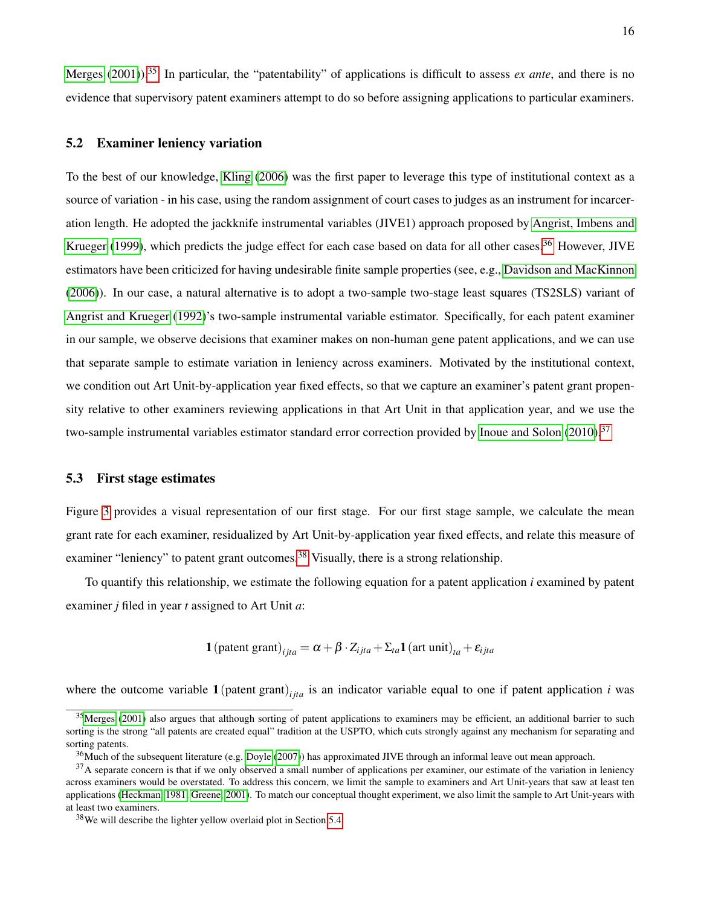[Merges](#page-28-10)  $(2001)$ .<sup>[35](#page-17-0)</sup> In particular, the "patentability" of applications is difficult to assess *ex ante*, and there is no evidence that supervisory patent examiners attempt to do so before assigning applications to particular examiners.

#### <span id="page-17-4"></span>5.2 Examiner leniency variation

To the best of our knowledge, [Kling](#page-27-8) [\(2006\)](#page-27-8) was the first paper to leverage this type of institutional context as a source of variation - in his case, using the random assignment of court cases to judges as an instrument for incarceration length. He adopted the jackknife instrumental variables (JIVE1) approach proposed by [Angrist, Imbens and](#page-25-7) [Krueger](#page-25-7) [\(1999\)](#page-25-7), which predicts the judge effect for each case based on data for all other cases.<sup>[36](#page-17-1)</sup> However, JIVE estimators have been criticized for having undesirable finite sample properties (see, e.g., [Davidson and MacKinnon](#page-26-9) [\(2006\)](#page-26-9)). In our case, a natural alternative is to adopt a two-sample two-stage least squares (TS2SLS) variant of [Angrist and Krueger](#page-25-8) [\(1992\)](#page-25-8)'s two-sample instrumental variable estimator. Specifically, for each patent examiner in our sample, we observe decisions that examiner makes on non-human gene patent applications, and we can use that separate sample to estimate variation in leniency across examiners. Motivated by the institutional context, we condition out Art Unit-by-application year fixed effects, so that we capture an examiner's patent grant propensity relative to other examiners reviewing applications in that Art Unit in that application year, and we use the two-sample instrumental variables estimator standard error correction provided by [Inoue and Solon](#page-27-13)  $(2010).$  $(2010).$ <sup>[37](#page-17-2)</sup>

### 5.3 First stage estimates

Figure [3](#page-32-0) provides a visual representation of our first stage. For our first stage sample, we calculate the mean grant rate for each examiner, residualized by Art Unit-by-application year fixed effects, and relate this measure of examiner "leniency" to patent grant outcomes.<sup>[38](#page-17-3)</sup> Visually, there is a strong relationship.

To quantify this relationship, we estimate the following equation for a patent application *i* examined by patent examiner *j* filed in year *t* assigned to Art Unit *a*:

**1** (pattern grant)<sub>*ijta*</sub> = 
$$
\alpha + \beta \cdot Z_{ijta} + \Sigma_{ta} \mathbf{1}
$$
 (art unit)<sub>ta</sub> +  $\varepsilon_{ijta}$ 

where the outcome variable  $1$  (patent grant)<sub>*ita*</sub> is an indicator variable equal to one if patent application *i* was

<span id="page-17-0"></span> $35$ [Merges](#page-28-10) [\(2001\)](#page-28-10) also argues that although sorting of patent applications to examiners may be efficient, an additional barrier to such sorting is the strong "all patents are created equal" tradition at the USPTO, which cuts strongly against any mechanism for separating and sorting patents.

<span id="page-17-2"></span><span id="page-17-1"></span> $36$ Much of the subsequent literature (e.g. [Doyle](#page-26-4) [\(2007\)](#page-26-4)) has approximated JIVE through an informal leave out mean approach.

 $37A$  separate concern is that if we only observed a small number of applications per examiner, our estimate of the variation in leniency across examiners would be overstated. To address this concern, we limit the sample to examiners and Art Unit-years that saw at least ten applications [\(Heckman, 1981;](#page-26-10) [Greene, 2001\)](#page-26-11). To match our conceptual thought experiment, we also limit the sample to Art Unit-years with at least two examiners.

<span id="page-17-3"></span><sup>38</sup>We will describe the lighter yellow overlaid plot in Section [5.4.](#page-18-0)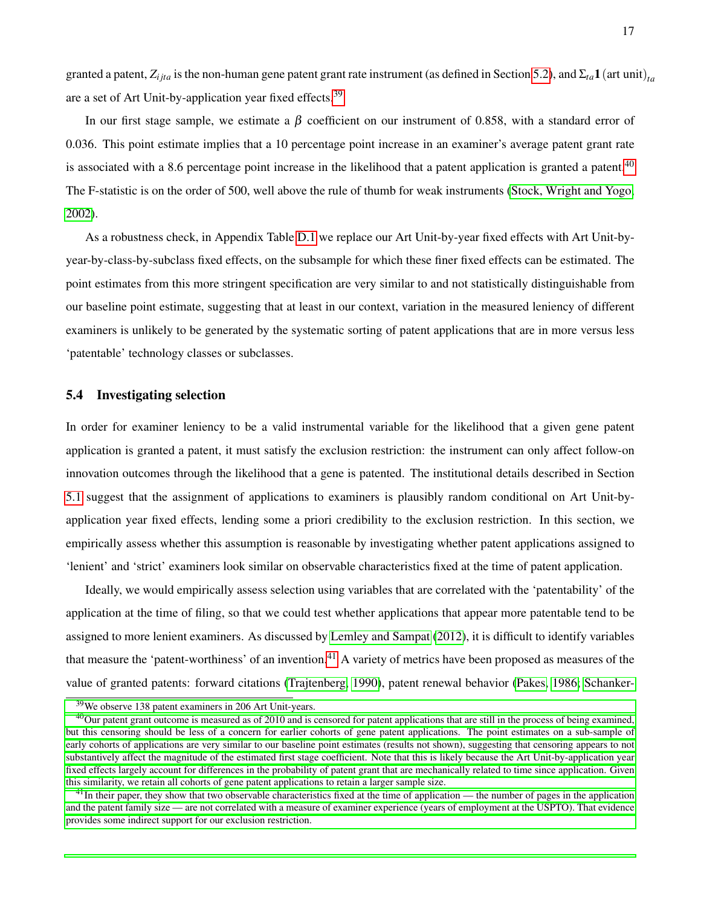granted a patent,  $Z_{i j t a}$  is the non-human gene patent grant rate instrument (as defined in Section [5.2\)](#page-17-4), and  $\Sigma_{t a}$ **1** (art unit)<sub>ta</sub> are a set of Art Unit-by-application year fixed effects.<sup>[39](#page-18-1)</sup>

In our first stage sample, we estimate a  $\beta$  coefficient on our instrument of 0.858, with a standard error of 0.036. This point estimate implies that a 10 percentage point increase in an examiner's average patent grant rate is associated with a 8.6 percentage point increase in the likelihood that a patent application is granted a patent.<sup>[40](#page-18-2)</sup> The F-statistic is on the order of 500, well above the rule of thumb for weak instruments [\(Stock, Wright and Yogo,](#page-29-6) [2002\)](#page-29-6).

As a robustness check, in Appendix Table [D.1](#page-47-0) we replace our Art Unit-by-year fixed effects with Art Unit-byyear-by-class-by-subclass fixed effects, on the subsample for which these finer fixed effects can be estimated. The point estimates from this more stringent specification are very similar to and not statistically distinguishable from our baseline point estimate, suggesting that at least in our context, variation in the measured leniency of different examiners is unlikely to be generated by the systematic sorting of patent applications that are in more versus less 'patentable' technology classes or subclasses.

### <span id="page-18-0"></span>5.4 Investigating selection

In order for examiner leniency to be a valid instrumental variable for the likelihood that a given gene patent application is granted a patent, it must satisfy the exclusion restriction: the instrument can only affect follow-on innovation outcomes through the likelihood that a gene is patented. The institutional details described in Section [5.1](#page-16-0) suggest that the assignment of applications to examiners is plausibly random conditional on Art Unit-byapplication year fixed effects, lending some a priori credibility to the exclusion restriction. In this section, we empirically assess whether this assumption is reasonable by investigating whether patent applications assigned to 'lenient' and 'strict' examiners look similar on observable characteristics fixed at the time of patent application.

Ideally, we would empirically assess selection using variables that are correlated with the 'patentability' of the application at the time of filing, so that we could test whether applications that appear more patentable tend to be assigned to more lenient examiners. As discussed by [Lemley and Sampat](#page-27-3) [\(2012\)](#page-27-3), it is difficult to identify variables that measure the 'patent-worthiness' of an invention.<sup>[41](#page-18-3)</sup> A variety of metrics have been proposed as measures of the value of granted patents: forward citations [\(Trajtenberg, 1990\)](#page-29-7), patent renewal behavior [\(Pakes, 1986;](#page-28-11) [Schanker-](#page-28-12)

<span id="page-18-2"></span><span id="page-18-1"></span><sup>39</sup>[We observe 138 patent examiners in 206 Art Unit-years.](#page-28-12)

 $^{40}$ [Our patent grant outcome is measured as of 2010 and is censored for patent applications that are still in the process of being examined,](#page-28-12) [but this censoring should be less of a concern for earlier cohorts of gene patent applications. The point estimates on a sub-sample of](#page-28-12) [early cohorts of applications are very similar to our baseline point estimates \(results not shown\), suggesting that censoring appears to not](#page-28-12) [substantively affect the magnitude of the estimated first stage coefficient. Note that this is likely because the Art Unit-by-application year](#page-28-12) [fixed effects largely account for differences in the probability of patent grant that are mechanically related to time since application. Given](#page-28-12) [this similarity, we retain all cohorts of gene patent applications to retain a larger sample size.](#page-28-12)

<span id="page-18-3"></span> $41$ [In their paper, they show that two observable characteristics fixed at the time of application — the number of pages in the application](#page-28-12) [and the patent family size — are not correlated with a measure of examiner experience \(years of employment at the USPTO\). That evidence](#page-28-12) [provides some indirect support for our exclusion restriction.](#page-28-12)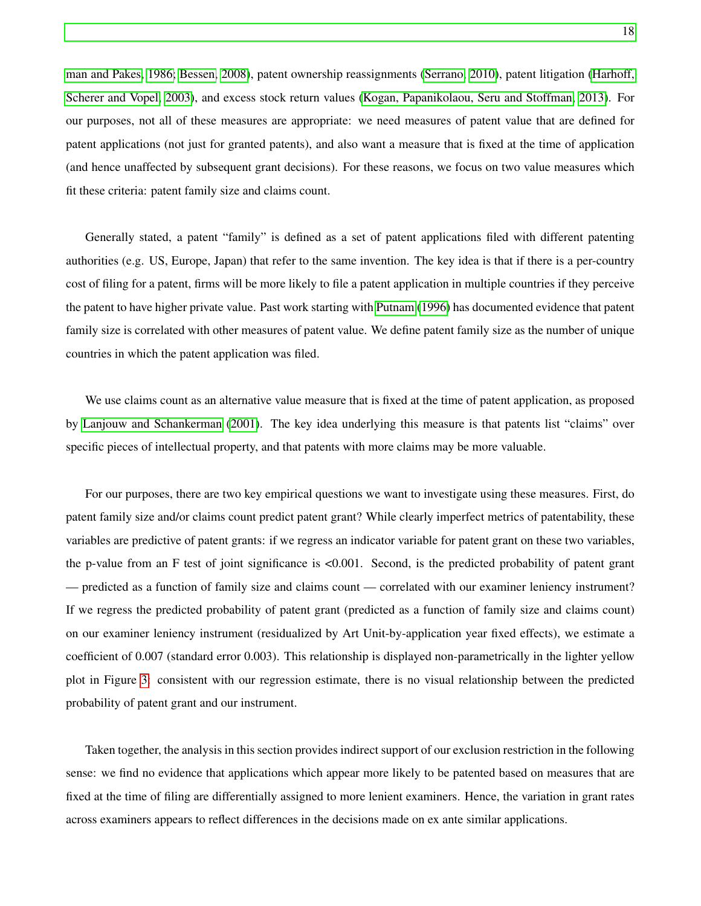[man and Pakes, 1986;](#page-28-12) [Bessen, 2008\)](#page-25-9), patent ownership reassignments [\(Serrano, 2010\)](#page-29-8), patent litigation [\(Harhoff,](#page-26-12) [Scherer and Vopel, 2003\)](#page-26-12), and excess stock return values [\(Kogan, Papanikolaou, Seru and Stoffman, 2013\)](#page-27-14). For our purposes, not all of these measures are appropriate: we need measures of patent value that are defined for patent applications (not just for granted patents), and also want a measure that is fixed at the time of application (and hence unaffected by subsequent grant decisions). For these reasons, we focus on two value measures which fit these criteria: patent family size and claims count.

Generally stated, a patent "family" is defined as a set of patent applications filed with different patenting authorities (e.g. US, Europe, Japan) that refer to the same invention. The key idea is that if there is a per-country cost of filing for a patent, firms will be more likely to file a patent application in multiple countries if they perceive the patent to have higher private value. Past work starting with [Putnam](#page-28-13) [\(1996\)](#page-28-13) has documented evidence that patent family size is correlated with other measures of patent value. We define patent family size as the number of unique countries in which the patent application was filed.

We use claims count as an alternative value measure that is fixed at the time of patent application, as proposed by [Lanjouw and Schankerman](#page-27-15) [\(2001\)](#page-27-15). The key idea underlying this measure is that patents list "claims" over specific pieces of intellectual property, and that patents with more claims may be more valuable.

For our purposes, there are two key empirical questions we want to investigate using these measures. First, do patent family size and/or claims count predict patent grant? While clearly imperfect metrics of patentability, these variables are predictive of patent grants: if we regress an indicator variable for patent grant on these two variables, the p-value from an F test of joint significance is <0.001. Second, is the predicted probability of patent grant — predicted as a function of family size and claims count — correlated with our examiner leniency instrument? If we regress the predicted probability of patent grant (predicted as a function of family size and claims count) on our examiner leniency instrument (residualized by Art Unit-by-application year fixed effects), we estimate a coefficient of 0.007 (standard error 0.003). This relationship is displayed non-parametrically in the lighter yellow plot in Figure [3:](#page-32-0) consistent with our regression estimate, there is no visual relationship between the predicted probability of patent grant and our instrument.

Taken together, the analysis in this section provides indirect support of our exclusion restriction in the following sense: we find no evidence that applications which appear more likely to be patented based on measures that are fixed at the time of filing are differentially assigned to more lenient examiners. Hence, the variation in grant rates across examiners appears to reflect differences in the decisions made on ex ante similar applications.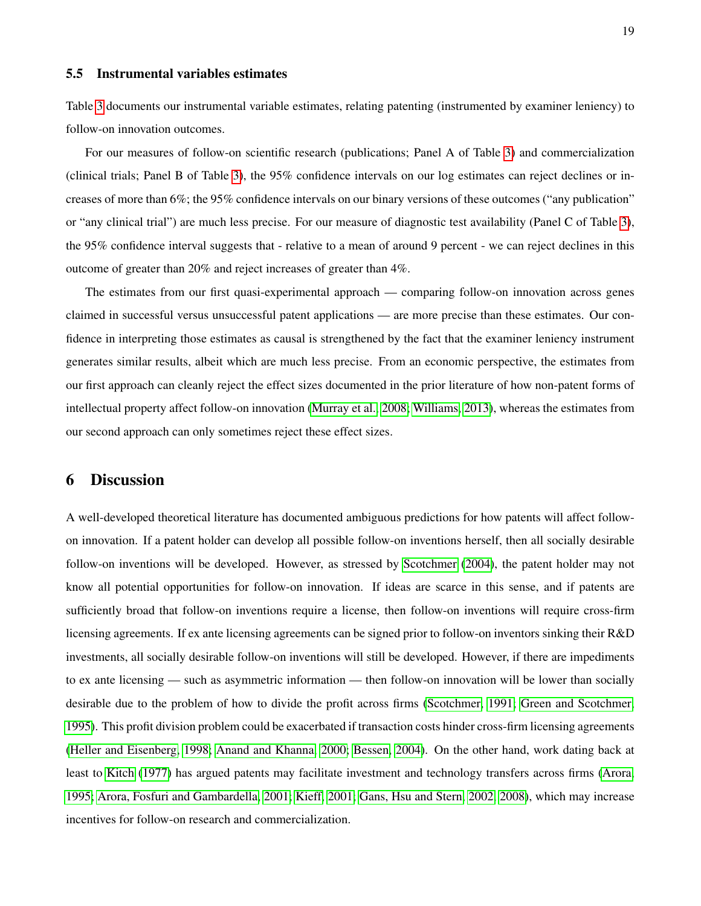#### 5.5 Instrumental variables estimates

Table [3](#page-35-0) documents our instrumental variable estimates, relating patenting (instrumented by examiner leniency) to follow-on innovation outcomes.

For our measures of follow-on scientific research (publications; Panel A of Table [3\)](#page-35-0) and commercialization (clinical trials; Panel B of Table [3\)](#page-35-0), the 95% confidence intervals on our log estimates can reject declines or increases of more than 6%; the 95% confidence intervals on our binary versions of these outcomes ("any publication" or "any clinical trial") are much less precise. For our measure of diagnostic test availability (Panel C of Table [3\)](#page-35-0), the 95% confidence interval suggests that - relative to a mean of around 9 percent - we can reject declines in this outcome of greater than 20% and reject increases of greater than 4%.

The estimates from our first quasi-experimental approach — comparing follow-on innovation across genes claimed in successful versus unsuccessful patent applications — are more precise than these estimates. Our confidence in interpreting those estimates as causal is strengthened by the fact that the examiner leniency instrument generates similar results, albeit which are much less precise. From an economic perspective, the estimates from our first approach can cleanly reject the effect sizes documented in the prior literature of how non-patent forms of intellectual property affect follow-on innovation [\(Murray et al., 2008;](#page-28-2) [Williams, 2013\)](#page-29-0), whereas the estimates from our second approach can only sometimes reject these effect sizes.

### <span id="page-20-0"></span>6 Discussion

A well-developed theoretical literature has documented ambiguous predictions for how patents will affect followon innovation. If a patent holder can develop all possible follow-on inventions herself, then all socially desirable follow-on inventions will be developed. However, as stressed by [Scotchmer](#page-28-14) [\(2004\)](#page-28-14), the patent holder may not know all potential opportunities for follow-on innovation. If ideas are scarce in this sense, and if patents are sufficiently broad that follow-on inventions require a license, then follow-on inventions will require cross-firm licensing agreements. If ex ante licensing agreements can be signed prior to follow-on inventors sinking their R&D investments, all socially desirable follow-on inventions will still be developed. However, if there are impediments to ex ante licensing — such as asymmetric information — then follow-on innovation will be lower than socially desirable due to the problem of how to divide the profit across firms [\(Scotchmer, 1991;](#page-28-15) [Green and Scotchmer,](#page-26-13) [1995\)](#page-26-13). This profit division problem could be exacerbated if transaction costs hinder cross-firm licensing agreements [\(Heller and Eisenberg, 1998;](#page-26-0) [Anand and Khanna, 2000;](#page-25-10) [Bessen, 2004\)](#page-25-11). On the other hand, work dating back at least to [Kitch](#page-27-16) [\(1977\)](#page-27-16) has argued patents may facilitate investment and technology transfers across firms [\(Arora,](#page-25-12) [1995;](#page-25-12) [Arora, Fosfuri and Gambardella, 2001;](#page-25-13) [Kieff, 2001;](#page-27-17) [Gans, Hsu and Stern, 2002,](#page-26-14) [2008\)](#page-26-15), which may increase incentives for follow-on research and commercialization.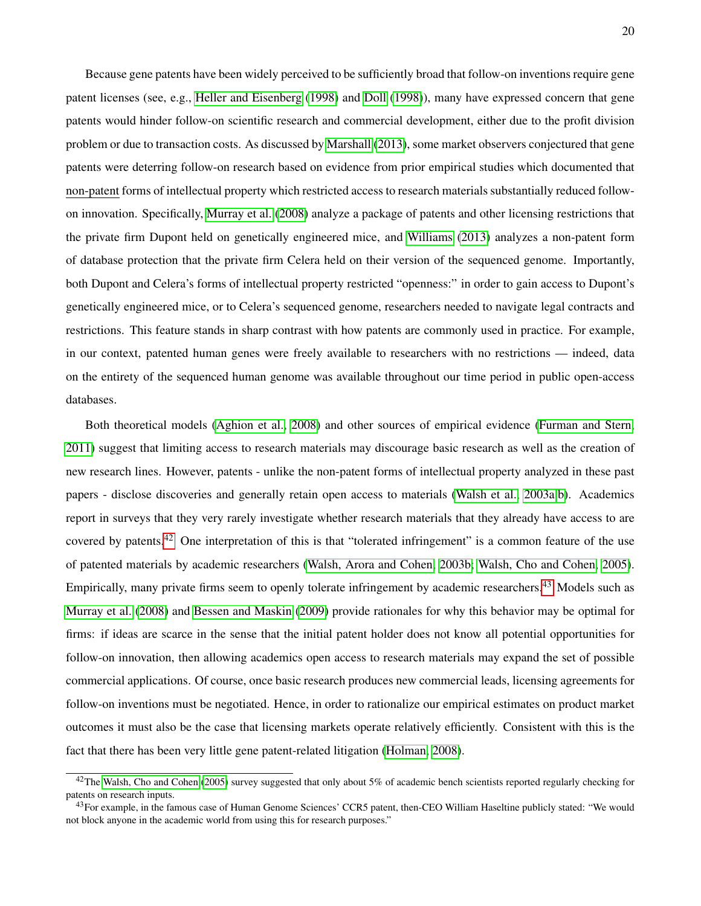Because gene patents have been widely perceived to be sufficiently broad that follow-on inventions require gene patent licenses (see, e.g., [Heller and Eisenberg](#page-26-0) [\(1998\)](#page-26-0) and [Doll](#page-26-1) [\(1998\)](#page-26-1)), many have expressed concern that gene patents would hinder follow-on scientific research and commercial development, either due to the profit division problem or due to transaction costs. As discussed by [Marshall](#page-27-5) [\(2013\)](#page-27-5), some market observers conjectured that gene patents were deterring follow-on research based on evidence from prior empirical studies which documented that non-patent forms of intellectual property which restricted access to research materials substantially reduced followon innovation. Specifically, [Murray et al.](#page-28-2) [\(2008\)](#page-28-2) analyze a package of patents and other licensing restrictions that the private firm Dupont held on genetically engineered mice, and [Williams](#page-29-0) [\(2013\)](#page-29-0) analyzes a non-patent form of database protection that the private firm Celera held on their version of the sequenced genome. Importantly, both Dupont and Celera's forms of intellectual property restricted "openness:" in order to gain access to Dupont's genetically engineered mice, or to Celera's sequenced genome, researchers needed to navigate legal contracts and restrictions. This feature stands in sharp contrast with how patents are commonly used in practice. For example, in our context, patented human genes were freely available to researchers with no restrictions — indeed, data on the entirety of the sequenced human genome was available throughout our time period in public open-access databases.

Both theoretical models [\(Aghion et al., 2008\)](#page-25-14) and other sources of empirical evidence [\(Furman and Stern,](#page-26-16) [2011\)](#page-26-16) suggest that limiting access to research materials may discourage basic research as well as the creation of new research lines. However, patents - unlike the non-patent forms of intellectual property analyzed in these past papers - disclose discoveries and generally retain open access to materials [\(Walsh et al., 2003a](#page-29-9)[,b\)](#page-29-10). Academics report in surveys that they very rarely investigate whether research materials that they already have access to are covered by patents.<sup>[42](#page-21-0)</sup> One interpretation of this is that "tolerated infringement" is a common feature of the use of patented materials by academic researchers [\(Walsh, Arora and Cohen, 2003b;](#page-29-10) [Walsh, Cho and Cohen, 2005\)](#page-29-11). Empirically, many private firms seem to openly tolerate infringement by academic researchers.<sup>[43](#page-21-1)</sup> Models such as [Murray et al.](#page-28-2) [\(2008\)](#page-28-2) and [Bessen and Maskin](#page-25-15) [\(2009\)](#page-25-15) provide rationales for why this behavior may be optimal for firms: if ideas are scarce in the sense that the initial patent holder does not know all potential opportunities for follow-on innovation, then allowing academics open access to research materials may expand the set of possible commercial applications. Of course, once basic research produces new commercial leads, licensing agreements for follow-on inventions must be negotiated. Hence, in order to rationalize our empirical estimates on product market outcomes it must also be the case that licensing markets operate relatively efficiently. Consistent with this is the fact that there has been very little gene patent-related litigation [\(Holman, 2008\)](#page-27-7).

<span id="page-21-0"></span><sup>&</sup>lt;sup>42</sup>The [Walsh, Cho and Cohen](#page-29-11) [\(2005\)](#page-29-11) survey suggested that only about 5% of academic bench scientists reported regularly checking for patents on research inputs.

<span id="page-21-1"></span><sup>&</sup>lt;sup>43</sup>For example, in the famous case of Human Genome Sciences' CCR5 patent, then-CEO William Haseltine publicly stated: "We would not block anyone in the academic world from using this for research purposes."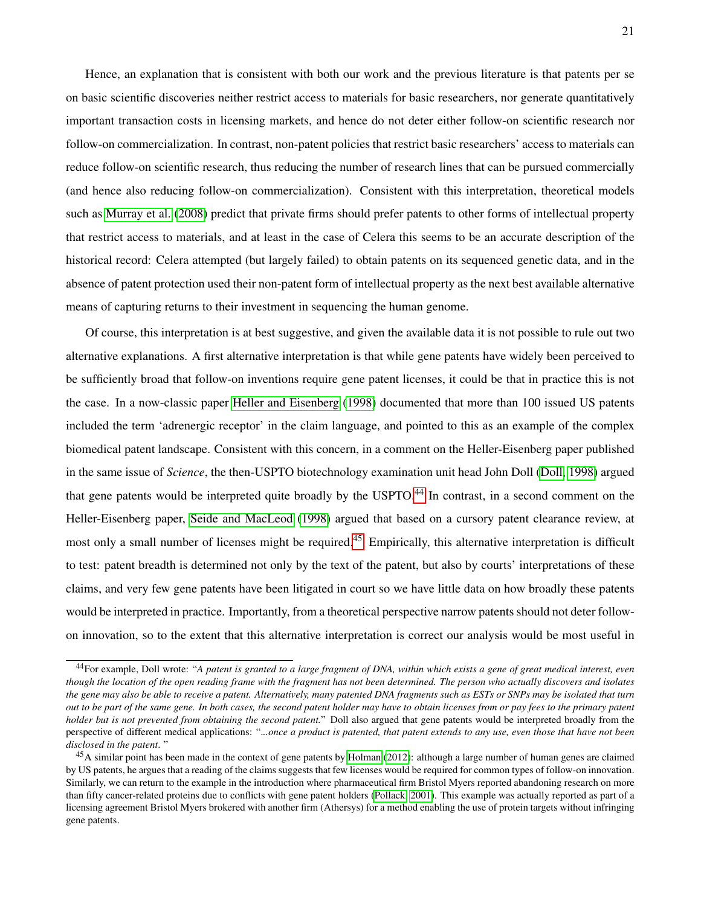Hence, an explanation that is consistent with both our work and the previous literature is that patents per se on basic scientific discoveries neither restrict access to materials for basic researchers, nor generate quantitatively important transaction costs in licensing markets, and hence do not deter either follow-on scientific research nor follow-on commercialization. In contrast, non-patent policies that restrict basic researchers' access to materials can reduce follow-on scientific research, thus reducing the number of research lines that can be pursued commercially (and hence also reducing follow-on commercialization). Consistent with this interpretation, theoretical models such as [Murray et al.](#page-28-2) [\(2008\)](#page-28-2) predict that private firms should prefer patents to other forms of intellectual property that restrict access to materials, and at least in the case of Celera this seems to be an accurate description of the historical record: Celera attempted (but largely failed) to obtain patents on its sequenced genetic data, and in the absence of patent protection used their non-patent form of intellectual property as the next best available alternative means of capturing returns to their investment in sequencing the human genome.

Of course, this interpretation is at best suggestive, and given the available data it is not possible to rule out two alternative explanations. A first alternative interpretation is that while gene patents have widely been perceived to be sufficiently broad that follow-on inventions require gene patent licenses, it could be that in practice this is not the case. In a now-classic paper [Heller and Eisenberg](#page-26-0) [\(1998\)](#page-26-0) documented that more than 100 issued US patents included the term 'adrenergic receptor' in the claim language, and pointed to this as an example of the complex biomedical patent landscape. Consistent with this concern, in a comment on the Heller-Eisenberg paper published in the same issue of *Science*, the then-USPTO biotechnology examination unit head John Doll [\(Doll, 1998\)](#page-26-1) argued that gene patents would be interpreted quite broadly by the USPTO.<sup>[44](#page-22-0)</sup> In contrast, in a second comment on the Heller-Eisenberg paper, [Seide and MacLeod](#page-28-16) [\(1998\)](#page-28-16) argued that based on a cursory patent clearance review, at most only a small number of licenses might be required.<sup>[45](#page-22-1)</sup> Empirically, this alternative interpretation is difficult to test: patent breadth is determined not only by the text of the patent, but also by courts' interpretations of these claims, and very few gene patents have been litigated in court so we have little data on how broadly these patents would be interpreted in practice. Importantly, from a theoretical perspective narrow patents should not deter followon innovation, so to the extent that this alternative interpretation is correct our analysis would be most useful in

<span id="page-22-0"></span><sup>44</sup>For example, Doll wrote: "*A patent is granted to a large fragment of DNA, within which exists a gene of great medical interest, even though the location of the open reading frame with the fragment has not been determined. The person who actually discovers and isolates the gene may also be able to receive a patent. Alternatively, many patented DNA fragments such as ESTs or SNPs may be isolated that turn out to be part of the same gene. In both cases, the second patent holder may have to obtain licenses from or pay fees to the primary patent holder but is not prevented from obtaining the second patent.*" Doll also argued that gene patents would be interpreted broadly from the perspective of different medical applications: ".*..once a product is patented, that patent extends to any use, even those that have not been disclosed in the patent*. "

<span id="page-22-1"></span><sup>&</sup>lt;sup>45</sup>A similar point has been made in the context of gene patents by [Holman](#page-27-11) [\(2012\)](#page-27-11): although a large number of human genes are claimed by US patents, he argues that a reading of the claims suggests that few licenses would be required for common types of follow-on innovation. Similarly, we can return to the example in the introduction where pharmaceutical firm Bristol Myers reported abandoning research on more than fifty cancer-related proteins due to conflicts with gene patent holders [\(Pollack, 2001\)](#page-28-3). This example was actually reported as part of a licensing agreement Bristol Myers brokered with another firm (Athersys) for a method enabling the use of protein targets without infringing gene patents.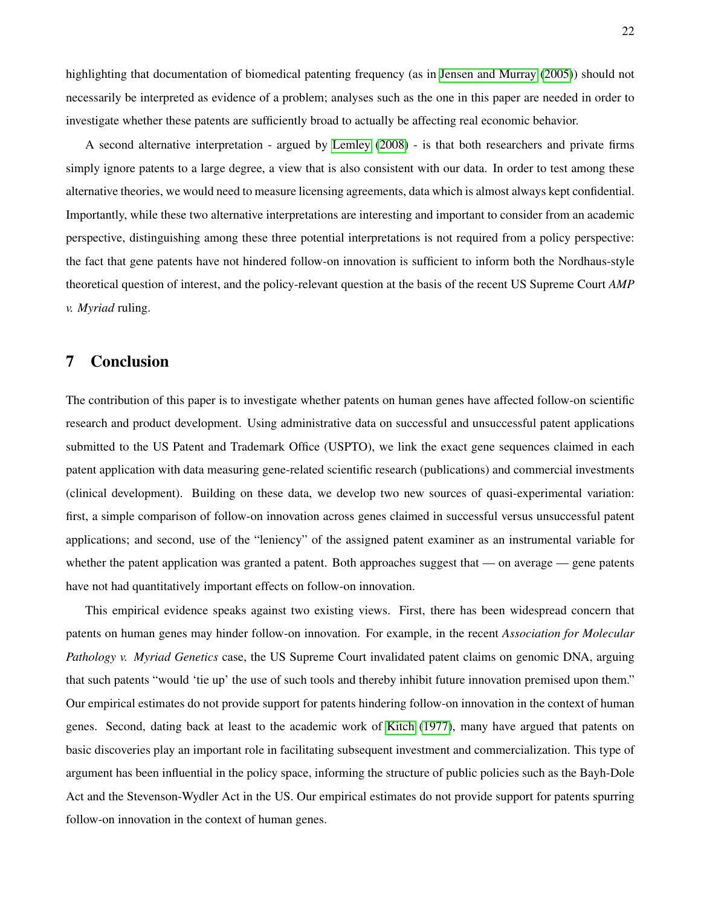highlighting that documentation of biomedical patenting frequency (as in [Jensen and Murray](#page-27-0) [\(2005\)](#page-27-0)) should not necessarily be interpreted as evidence of a problem; analyses such as the one in this paper are needed in order to investigate whether these patents are sufficiently broad to actually be affecting real economic behavior.

A second alternative interpretation - argued by [Lemley](#page-27-18) [\(2008\)](#page-27-18) - is that both researchers and private firms simply ignore patents to a large degree, a view that is also consistent with our data. In order to test among these alternative theories, we would need to measure licensing agreements, data which is almost always kept confidential. Importantly, while these two alternative interpretations are interesting and important to consider from an academic perspective, distinguishing among these three potential interpretations is not required from a policy perspective: the fact that gene patents have not hindered follow-on innovation is sufficient to inform both the Nordhaus-style theoretical question of interest, and the policy-relevant question at the basis of the recent US Supreme Court *AMP v. Myriad* ruling.

### <span id="page-23-0"></span>7 Conclusion

The contribution of this paper is to investigate whether patents on human genes have affected follow-on scientific research and product development. Using administrative data on successful and unsuccessful patent applications submitted to the US Patent and Trademark Office (USPTO), we link the exact gene sequences claimed in each patent application with data measuring gene-related scientific research (publications) and commercial investments (clinical development). Building on these data, we develop two new sources of quasi-experimental variation: first, a simple comparison of follow-on innovation across genes claimed in successful versus unsuccessful patent applications; and second, use of the "leniency" of the assigned patent examiner as an instrumental variable for whether the patent application was granted a patent. Both approaches suggest that — on average — gene patents have not had quantitatively important effects on follow-on innovation.

This empirical evidence speaks against two existing views. First, there has been widespread concern that patents on human genes may hinder follow-on innovation. For example, in the recent *Association for Molecular Pathology v. Myriad Genetics* case, the US Supreme Court invalidated patent claims on genomic DNA, arguing that such patents "would 'tie up' the use of such tools and thereby inhibit future innovation premised upon them." Our empirical estimates do not provide support for patents hindering follow-on innovation in the context of human genes. Second, dating back at least to the academic work of [Kitch](#page-27-16) [\(1977\)](#page-27-16), many have argued that patents on basic discoveries play an important role in facilitating subsequent investment and commercialization. This type of argument has been influential in the policy space, informing the structure of public policies such as the Bayh-Dole Act and the Stevenson-Wydler Act in the US. Our empirical estimates do not provide support for patents spurring follow-on innovation in the context of human genes.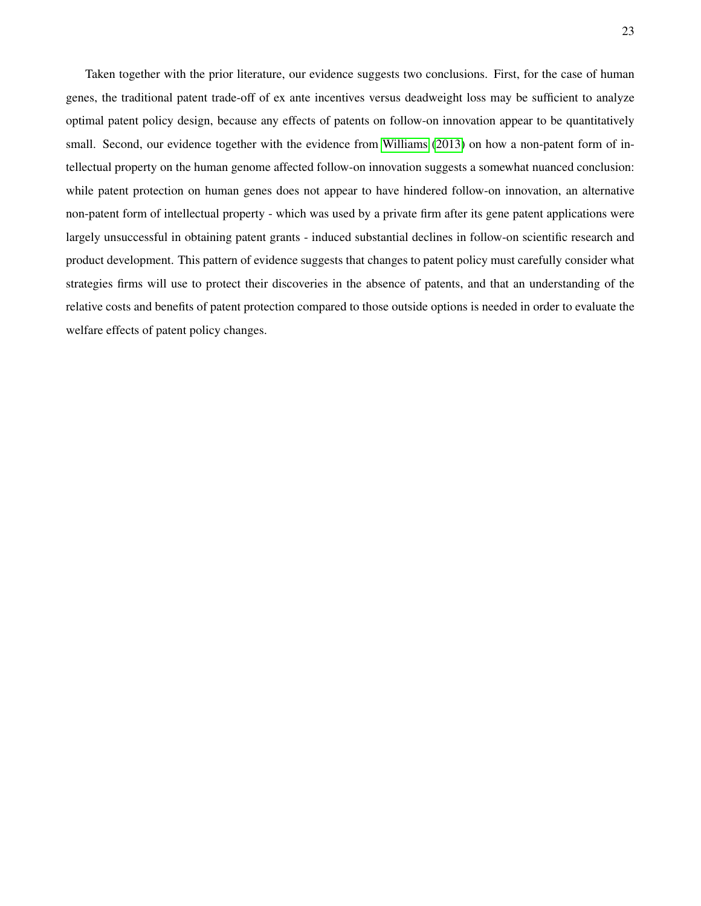Taken together with the prior literature, our evidence suggests two conclusions. First, for the case of human genes, the traditional patent trade-off of ex ante incentives versus deadweight loss may be sufficient to analyze optimal patent policy design, because any effects of patents on follow-on innovation appear to be quantitatively small. Second, our evidence together with the evidence from [Williams](#page-29-0) [\(2013\)](#page-29-0) on how a non-patent form of intellectual property on the human genome affected follow-on innovation suggests a somewhat nuanced conclusion: while patent protection on human genes does not appear to have hindered follow-on innovation, an alternative non-patent form of intellectual property - which was used by a private firm after its gene patent applications were largely unsuccessful in obtaining patent grants - induced substantial declines in follow-on scientific research and product development. This pattern of evidence suggests that changes to patent policy must carefully consider what strategies firms will use to protect their discoveries in the absence of patents, and that an understanding of the relative costs and benefits of patent protection compared to those outside options is needed in order to evaluate the welfare effects of patent policy changes.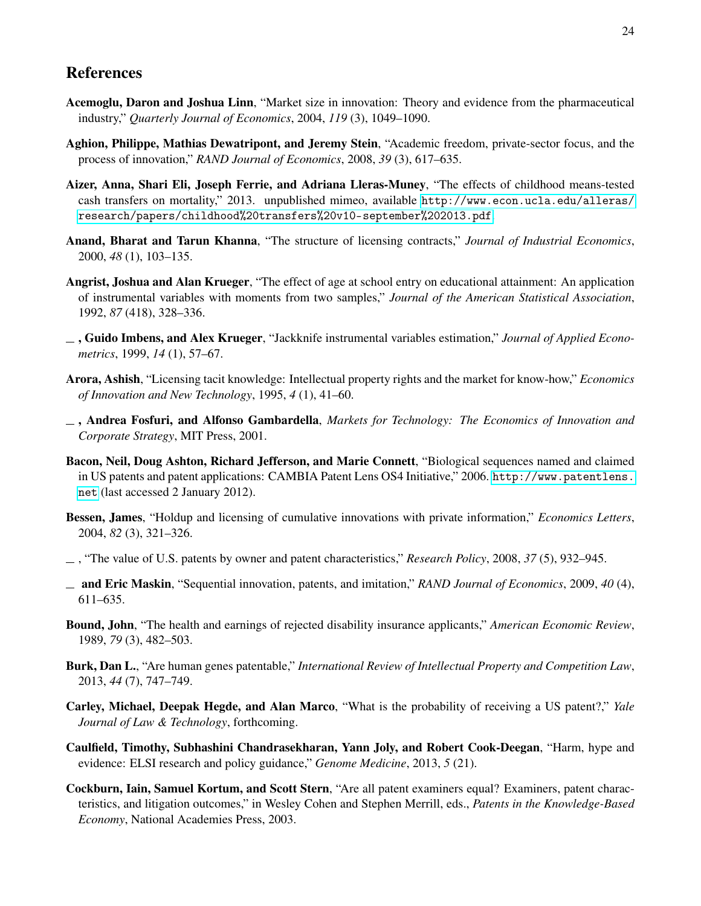### References

- <span id="page-25-6"></span>Acemoglu, Daron and Joshua Linn, "Market size in innovation: Theory and evidence from the pharmaceutical industry," *Quarterly Journal of Economics*, 2004, *119* (3), 1049–1090.
- <span id="page-25-14"></span>Aghion, Philippe, Mathias Dewatripont, and Jeremy Stein, "Academic freedom, private-sector focus, and the process of innovation," *RAND Journal of Economics*, 2008, *39* (3), 617–635.
- <span id="page-25-3"></span>Aizer, Anna, Shari Eli, Joseph Ferrie, and Adriana Lleras-Muney, "The effects of childhood means-tested cash transfers on mortality," 2013. unpublished mimeo, available [http://www.econ.ucla.edu/alleras/](http://www.econ.ucla.edu/alleras/research/papers/childhood%20transfers%20v10-september%202013.pdf) [research/papers/childhood%20transfers%20v10-september%202013.pdf](http://www.econ.ucla.edu/alleras/research/papers/childhood%20transfers%20v10-september%202013.pdf).
- <span id="page-25-10"></span>Anand, Bharat and Tarun Khanna, "The structure of licensing contracts," *Journal of Industrial Economics*, 2000, *48* (1), 103–135.
- <span id="page-25-8"></span>Angrist, Joshua and Alan Krueger, "The effect of age at school entry on educational attainment: An application of instrumental variables with moments from two samples," *Journal of the American Statistical Association*, 1992, *87* (418), 328–336.
- <span id="page-25-7"></span>, Guido Imbens, and Alex Krueger, "Jackknife instrumental variables estimation," *Journal of Applied Econometrics*, 1999, *14* (1), 57–67.
- <span id="page-25-12"></span>Arora, Ashish, "Licensing tacit knowledge: Intellectual property rights and the market for know-how," *Economics of Innovation and New Technology*, 1995, *4* (1), 41–60.
- <span id="page-25-13"></span>, Andrea Fosfuri, and Alfonso Gambardella, *Markets for Technology: The Economics of Innovation and Corporate Strategy*, MIT Press, 2001.
- <span id="page-25-4"></span>Bacon, Neil, Doug Ashton, Richard Jefferson, and Marie Connett, "Biological sequences named and claimed in US patents and patent applications: CAMBIA Patent Lens OS4 Initiative," 2006. [http://www.patentlens.](http://www.patentlens.net) [net](http://www.patentlens.net) (last accessed 2 January 2012).
- <span id="page-25-11"></span>Bessen, James, "Holdup and licensing of cumulative innovations with private information," *Economics Letters*, 2004, *82* (3), 321–326.
- <span id="page-25-9"></span>, "The value of U.S. patents by owner and patent characteristics," *Research Policy*, 2008, *37* (5), 932–945.
- <span id="page-25-15"></span>and Eric Maskin, "Sequential innovation, patents, and imitation," *RAND Journal of Economics*, 2009, *40* (4), 611–635.
- <span id="page-25-2"></span>Bound, John, "The health and earnings of rejected disability insurance applicants," *American Economic Review*, 1989, *79* (3), 482–503.
- <span id="page-25-16"></span>Burk, Dan L., "Are human genes patentable," *International Review of Intellectual Property and Competition Law*, 2013, *44* (7), 747–749.
- <span id="page-25-5"></span>Carley, Michael, Deepak Hegde, and Alan Marco, "What is the probability of receiving a US patent?," *Yale Journal of Law & Technology*, forthcoming.
- <span id="page-25-1"></span>Caulfield, Timothy, Subhashini Chandrasekharan, Yann Joly, and Robert Cook-Deegan, "Harm, hype and evidence: ELSI research and policy guidance," *Genome Medicine*, 2013, *5* (21).
- <span id="page-25-0"></span>Cockburn, Iain, Samuel Kortum, and Scott Stern, "Are all patent examiners equal? Examiners, patent characteristics, and litigation outcomes," in Wesley Cohen and Stephen Merrill, eds., *Patents in the Knowledge-Based Economy*, National Academies Press, 2003.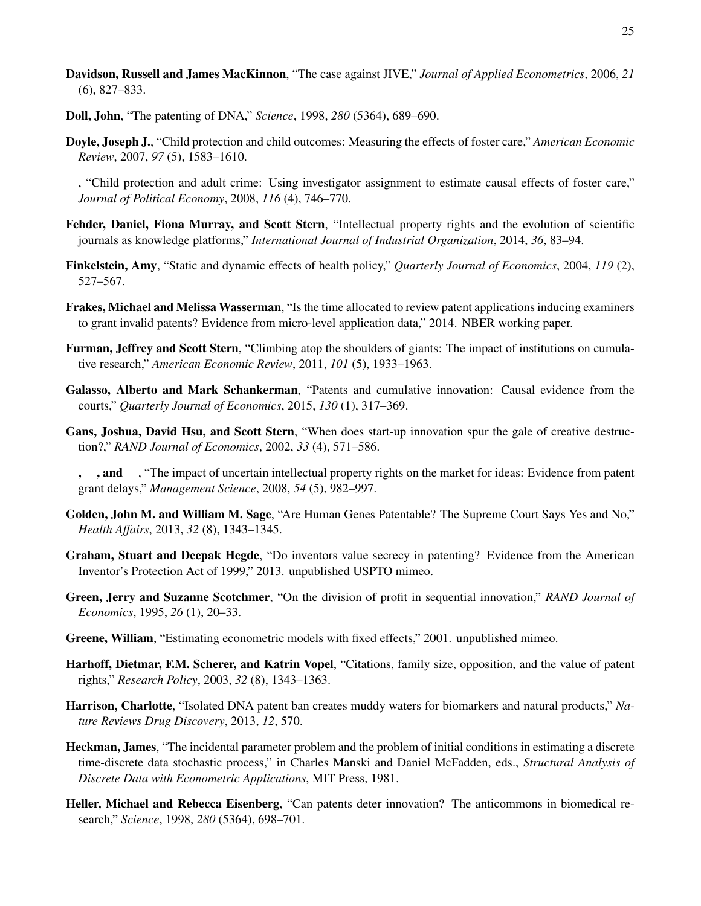- <span id="page-26-9"></span>Davidson, Russell and James MacKinnon, "The case against JIVE," *Journal of Applied Econometrics*, 2006, *21* (6), 827–833.
- <span id="page-26-1"></span>Doll, John, "The patenting of DNA," *Science*, 1998, *280* (5364), 689–690.
- <span id="page-26-4"></span>Doyle, Joseph J., "Child protection and child outcomes: Measuring the effects of foster care," *American Economic Review*, 2007, *97* (5), 1583–1610.
- <span id="page-26-5"></span>, "Child protection and adult crime: Using investigator assignment to estimate causal effects of foster care," *Journal of Political Economy*, 2008, *116* (4), 746–770.
- <span id="page-26-3"></span>Fehder, Daniel, Fiona Murray, and Scott Stern, "Intellectual property rights and the evolution of scientific journals as knowledge platforms," *International Journal of Industrial Organization*, 2014, *36*, 83–94.
- <span id="page-26-7"></span>Finkelstein, Amy, "Static and dynamic effects of health policy," *Quarterly Journal of Economics*, 2004, *119* (2), 527–567.
- <span id="page-26-8"></span>Frakes, Michael and Melissa Wasserman, "Is the time allocated to review patent applications inducing examiners to grant invalid patents? Evidence from micro-level application data," 2014. NBER working paper.
- <span id="page-26-16"></span>Furman, Jeffrey and Scott Stern, "Climbing atop the shoulders of giants: The impact of institutions on cumulative research," *American Economic Review*, 2011, *101* (5), 1933–1963.
- <span id="page-26-2"></span>Galasso, Alberto and Mark Schankerman, "Patents and cumulative innovation: Causal evidence from the courts," *Quarterly Journal of Economics*, 2015, *130* (1), 317–369.
- <span id="page-26-14"></span>Gans, Joshua, David Hsu, and Scott Stern, "When does start-up innovation spur the gale of creative destruction?," *RAND Journal of Economics*, 2002, *33* (4), 571–586.
- <span id="page-26-15"></span> $\ldots$ , and  $\ldots$ , "The impact of uncertain intellectual property rights on the market for ideas: Evidence from patent grant delays," *Management Science*, 2008, *54* (5), 982–997.
- <span id="page-26-17"></span>Golden, John M. and William M. Sage, "Are Human Genes Patentable? The Supreme Court Says Yes and No," *Health Affairs*, 2013, *32* (8), 1343–1345.
- <span id="page-26-6"></span>Graham, Stuart and Deepak Hegde, "Do inventors value secrecy in patenting? Evidence from the American Inventor's Protection Act of 1999," 2013. unpublished USPTO mimeo.
- <span id="page-26-13"></span>Green, Jerry and Suzanne Scotchmer, "On the division of profit in sequential innovation," *RAND Journal of Economics*, 1995, *26* (1), 20–33.
- <span id="page-26-11"></span>Greene, William, "Estimating econometric models with fixed effects," 2001. unpublished mimeo.
- <span id="page-26-12"></span>Harhoff, Dietmar, F.M. Scherer, and Katrin Vopel, "Citations, family size, opposition, and the value of patent rights," *Research Policy*, 2003, *32* (8), 1343–1363.
- <span id="page-26-18"></span>Harrison, Charlotte, "Isolated DNA patent ban creates muddy waters for biomarkers and natural products," *Nature Reviews Drug Discovery*, 2013, *12*, 570.
- <span id="page-26-10"></span>Heckman, James, "The incidental parameter problem and the problem of initial conditions in estimating a discrete time-discrete data stochastic process," in Charles Manski and Daniel McFadden, eds., *Structural Analysis of Discrete Data with Econometric Applications*, MIT Press, 1981.
- <span id="page-26-0"></span>Heller, Michael and Rebecca Eisenberg, "Can patents deter innovation? The anticommons in biomedical research," *Science*, 1998, *280* (5364), 698–701.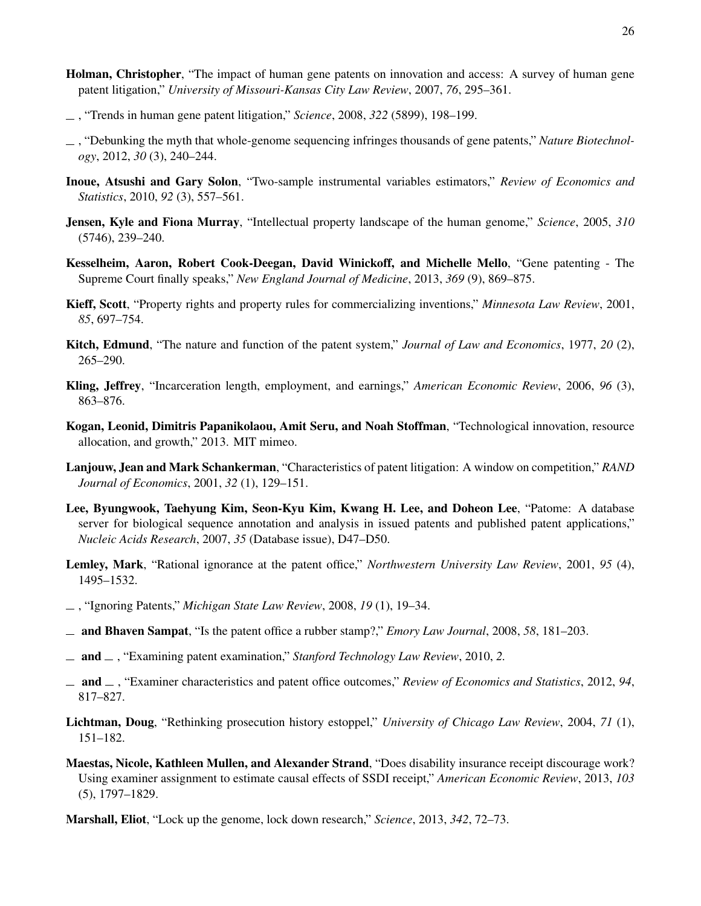- <span id="page-27-6"></span>Holman, Christopher, "The impact of human gene patents on innovation and access: A survey of human gene patent litigation," *University of Missouri-Kansas City Law Review*, 2007, *76*, 295–361.
- <span id="page-27-7"></span>, "Trends in human gene patent litigation," *Science*, 2008, *322* (5899), 198–199.
- <span id="page-27-11"></span>, "Debunking the myth that whole-genome sequencing infringes thousands of gene patents," *Nature Biotechnology*, 2012, *30* (3), 240–244.
- <span id="page-27-13"></span>Inoue, Atsushi and Gary Solon, "Two-sample instrumental variables estimators," *Review of Economics and Statistics*, 2010, *92* (3), 557–561.
- <span id="page-27-0"></span>Jensen, Kyle and Fiona Murray, "Intellectual property landscape of the human genome," *Science*, 2005, *310* (5746), 239–240.
- <span id="page-27-4"></span>Kesselheim, Aaron, Robert Cook-Deegan, David Winickoff, and Michelle Mello, "Gene patenting - The Supreme Court finally speaks," *New England Journal of Medicine*, 2013, *369* (9), 869–875.
- <span id="page-27-17"></span>Kieff, Scott, "Property rights and property rules for commercializing inventions," *Minnesota Law Review*, 2001, *85*, 697–754.
- <span id="page-27-16"></span>Kitch, Edmund, "The nature and function of the patent system," *Journal of Law and Economics*, 1977, *20* (2), 265–290.
- <span id="page-27-8"></span>Kling, Jeffrey, "Incarceration length, employment, and earnings," *American Economic Review*, 2006, *96* (3), 863–876.
- <span id="page-27-14"></span>Kogan, Leonid, Dimitris Papanikolaou, Amit Seru, and Noah Stoffman, "Technological innovation, resource allocation, and growth," 2013. MIT mimeo.
- <span id="page-27-15"></span>Lanjouw, Jean and Mark Schankerman, "Characteristics of patent litigation: A window on competition," *RAND Journal of Economics*, 2001, *32* (1), 129–151.
- <span id="page-27-10"></span>Lee, Byungwook, Taehyung Kim, Seon-Kyu Kim, Kwang H. Lee, and Doheon Lee, "Patome: A database server for biological sequence annotation and analysis in issued patents and published patent applications," *Nucleic Acids Research*, 2007, *35* (Database issue), D47–D50.
- <span id="page-27-19"></span>Lemley, Mark, "Rational ignorance at the patent office," *Northwestern University Law Review*, 2001, *95* (4), 1495–1532.
- <span id="page-27-18"></span>, "Ignoring Patents," *Michigan State Law Review*, 2008, *19* (1), 19–34.
- <span id="page-27-1"></span>and Bhaven Sampat, "Is the patent office a rubber stamp?," *Emory Law Journal*, 2008, *58*, 181–203.
- <span id="page-27-2"></span>and , "Examining patent examination," *Stanford Technology Law Review*, 2010, *2.*
- <span id="page-27-3"></span>and , "Examiner characteristics and patent office outcomes," *Review of Economics and Statistics*, 2012, *94*, 817–827.
- <span id="page-27-12"></span>Lichtman, Doug, "Rethinking prosecution history estoppel," *University of Chicago Law Review*, 2004, *71* (1), 151–182.
- <span id="page-27-9"></span>Maestas, Nicole, Kathleen Mullen, and Alexander Strand, "Does disability insurance receipt discourage work? Using examiner assignment to estimate causal effects of SSDI receipt," *American Economic Review*, 2013, *103* (5), 1797–1829.
- <span id="page-27-5"></span>Marshall, Eliot, "Lock up the genome, lock down research," *Science*, 2013, *342*, 72–73.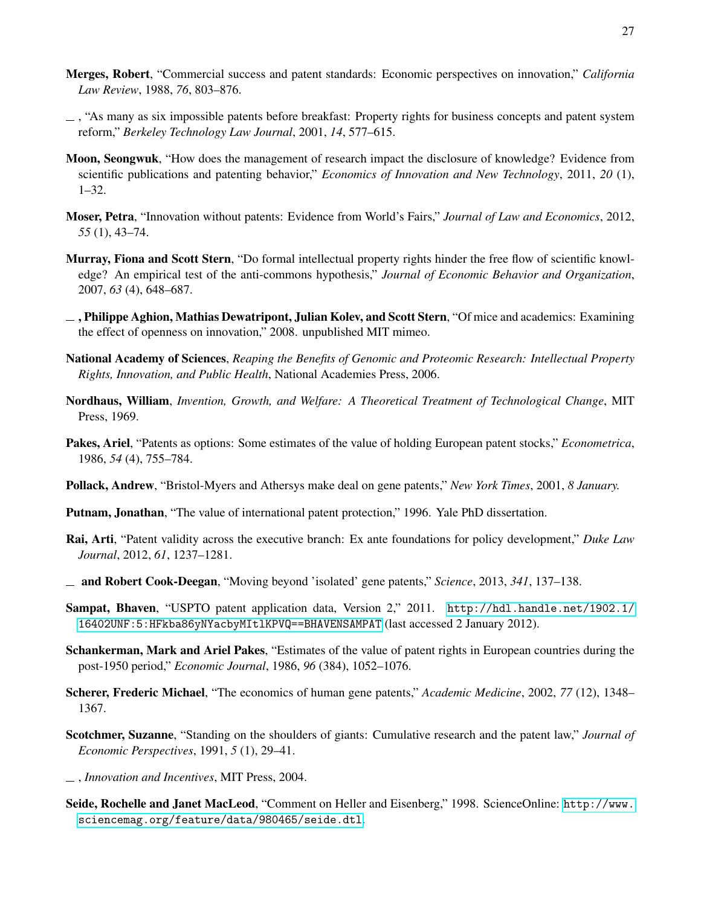27

- <span id="page-28-8"></span>Merges, Robert, "Commercial success and patent standards: Economic perspectives on innovation," *California Law Review*, 1988, *76*, 803–876.
- <span id="page-28-10"></span> $\sim$ , "As many as six impossible patents before breakfast: Property rights for business concepts and patent system reform," *Berkeley Technology Law Journal*, 2001, *14*, 577–615.
- <span id="page-28-7"></span>Moon, Seongwuk, "How does the management of research impact the disclosure of knowledge? Evidence from scientific publications and patenting behavior," *Economics of Innovation and New Technology*, 2011, *20* (1), 1–32.
- <span id="page-28-9"></span>Moser, Petra, "Innovation without patents: Evidence from World's Fairs," *Journal of Law and Economics*, 2012, *55* (1), 43–74.
- <span id="page-28-4"></span>Murray, Fiona and Scott Stern, "Do formal intellectual property rights hinder the free flow of scientific knowledge? An empirical test of the anti-commons hypothesis," *Journal of Economic Behavior and Organization*, 2007, *63* (4), 648–687.
- <span id="page-28-2"></span> $\Box$ , Philippe Aghion, Mathias Dewatripont, Julian Kolev, and Scott Stern, "Of mice and academics: Examining the effect of openness on innovation," 2008. unpublished MIT mimeo.
- <span id="page-28-1"></span>National Academy of Sciences, *Reaping the Benefits of Genomic and Proteomic Research: Intellectual Property Rights, Innovation, and Public Health*, National Academies Press, 2006.
- <span id="page-28-0"></span>Nordhaus, William, *Invention, Growth, and Welfare: A Theoretical Treatment of Technological Change*, MIT Press, 1969.
- <span id="page-28-11"></span>Pakes, Ariel, "Patents as options: Some estimates of the value of holding European patent stocks," *Econometrica*, 1986, *54* (4), 755–784.
- <span id="page-28-3"></span>Pollack, Andrew, "Bristol-Myers and Athersys make deal on gene patents," *New York Times*, 2001, *8 January.*
- <span id="page-28-13"></span>Putnam, Jonathan, "The value of international patent protection," 1996. Yale PhD dissertation.
- <span id="page-28-6"></span>Rai, Arti, "Patent validity across the executive branch: Ex ante foundations for policy development," *Duke Law Journal*, 2012, *61*, 1237–1281.
- <span id="page-28-17"></span>and Robert Cook-Deegan, "Moving beyond 'isolated' gene patents," *Science*, 2013, *341*, 137–138.
- <span id="page-28-18"></span>Sampat, Bhaven, "USPTO patent application data, Version 2," 2011. [http://hdl.handle.net/1902.1/](http://hdl.handle.net/1902.1/16402UNF:5:HFkba86yNYacbyMItlKPVQ==BHAVENSAMPAT) [16402UNF:5:HFkba86yNYacbyMItlKPVQ==BHAVENSAMPAT](http://hdl.handle.net/1902.1/16402UNF:5:HFkba86yNYacbyMItlKPVQ==BHAVENSAMPAT) (last accessed 2 January 2012).
- <span id="page-28-12"></span>Schankerman, Mark and Ariel Pakes, "Estimates of the value of patent rights in European countries during the post-1950 period," *Economic Journal*, 1986, *96* (384), 1052–1076.
- <span id="page-28-5"></span>Scherer, Frederic Michael, "The economics of human gene patents," *Academic Medicine*, 2002, *77* (12), 1348– 1367.
- <span id="page-28-15"></span>Scotchmer, Suzanne, "Standing on the shoulders of giants: Cumulative research and the patent law," *Journal of Economic Perspectives*, 1991, *5* (1), 29–41.
- <span id="page-28-14"></span>, *Innovation and Incentives*, MIT Press, 2004.
- <span id="page-28-16"></span>Seide, Rochelle and Janet MacLeod, "Comment on Heller and Eisenberg," 1998. ScienceOnline: [http://www.](http://www.sciencemag.org/feature/data/980465/seide.dtl) [sciencemag.org/feature/data/980465/seide.dtl](http://www.sciencemag.org/feature/data/980465/seide.dtl).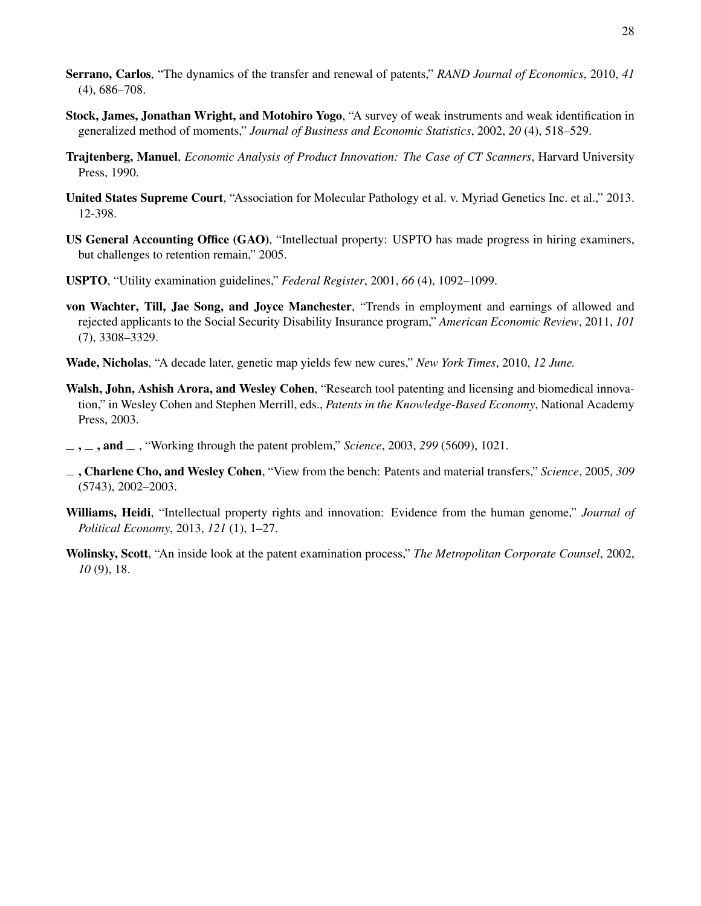- <span id="page-29-8"></span>Serrano, Carlos, "The dynamics of the transfer and renewal of patents," *RAND Journal of Economics*, 2010, *41* (4), 686–708.
- <span id="page-29-6"></span>Stock, James, Jonathan Wright, and Motohiro Yogo, "A survey of weak instruments and weak identification in generalized method of moments," *Journal of Business and Economic Statistics*, 2002, *20* (4), 518–529.
- <span id="page-29-7"></span>Trajtenberg, Manuel, *Economic Analysis of Product Innovation: The Case of CT Scanners*, Harvard University Press, 1990.
- <span id="page-29-12"></span>United States Supreme Court, "Association for Molecular Pathology et al. v. Myriad Genetics Inc. et al.," 2013. 12-398.
- <span id="page-29-5"></span>US General Accounting Office (GAO), "Intellectual property: USPTO has made progress in hiring examiners, but challenges to retention remain," 2005.
- <span id="page-29-3"></span>USPTO, "Utility examination guidelines," *Federal Register*, 2001, *66* (4), 1092–1099.
- <span id="page-29-1"></span>von Wachter, Till, Jae Song, and Joyce Manchester, "Trends in employment and earnings of allowed and rejected applicants to the Social Security Disability Insurance program," *American Economic Review*, 2011, *101* (7), 3308–3329.
- <span id="page-29-2"></span>Wade, Nicholas, "A decade later, genetic map yields few new cures," *New York Times*, 2010, *12 June.*
- <span id="page-29-9"></span>Walsh, John, Ashish Arora, and Wesley Cohen, "Research tool patenting and licensing and biomedical innovation," in Wesley Cohen and Stephen Merrill, eds., *Patents in the Knowledge-Based Economy*, National Academy Press, 2003.
- <span id="page-29-10"></span> $\ldots$ ,  $\ldots$ , and  $\ldots$ , "Working through the patent problem," *Science*, 2003, 299 (5609), 1021.
- <span id="page-29-11"></span>, Charlene Cho, and Wesley Cohen, "View from the bench: Patents and material transfers," *Science*, 2005, *309* (5743), 2002–2003.
- <span id="page-29-0"></span>Williams, Heidi, "Intellectual property rights and innovation: Evidence from the human genome," *Journal of Political Economy*, 2013, *121* (1), 1–27.
- <span id="page-29-4"></span>Wolinsky, Scott, "An inside look at the patent examination process," *The Metropolitan Corporate Counsel*, 2002, *10* (9), 18.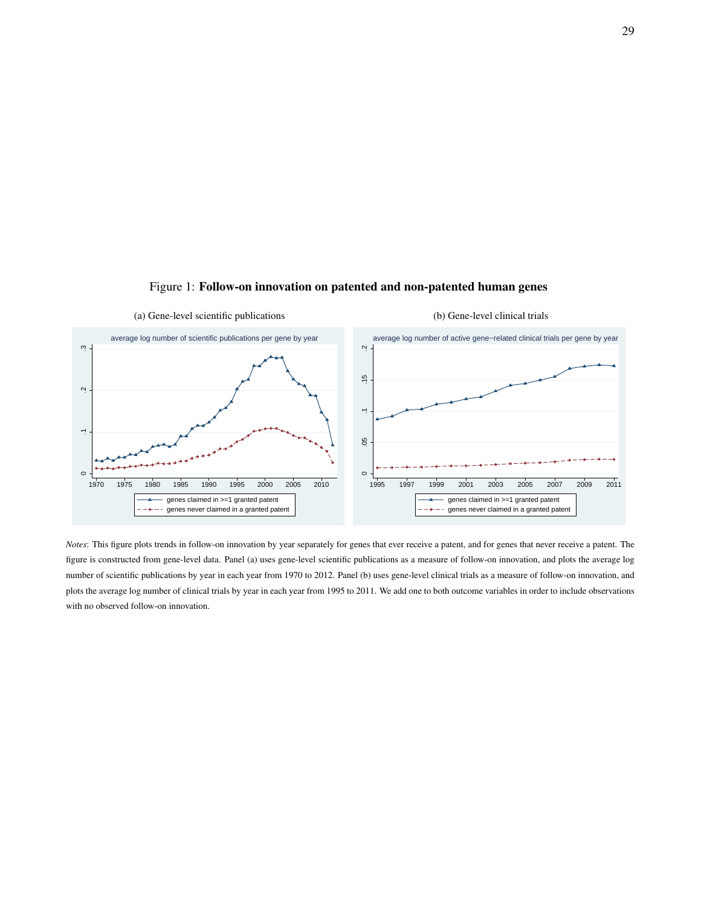<span id="page-30-0"></span>

### Figure 1: Follow-on innovation on patented and non-patented human genes

*Notes*: This figure plots trends in follow-on innovation by year separately for genes that ever receive a patent, and for genes that never receive a patent. The figure is constructed from gene-level data. Panel (a) uses gene-level scientific publications as a measure of follow-on innovation, and plots the average log number of scientific publications by year in each year from 1970 to 2012. Panel (b) uses gene-level clinical trials as a measure of follow-on innovation, and plots the average log number of clinical trials by year in each year from 1995 to 2011. We add one to both outcome variables in order to include observations with no observed follow-on innovation.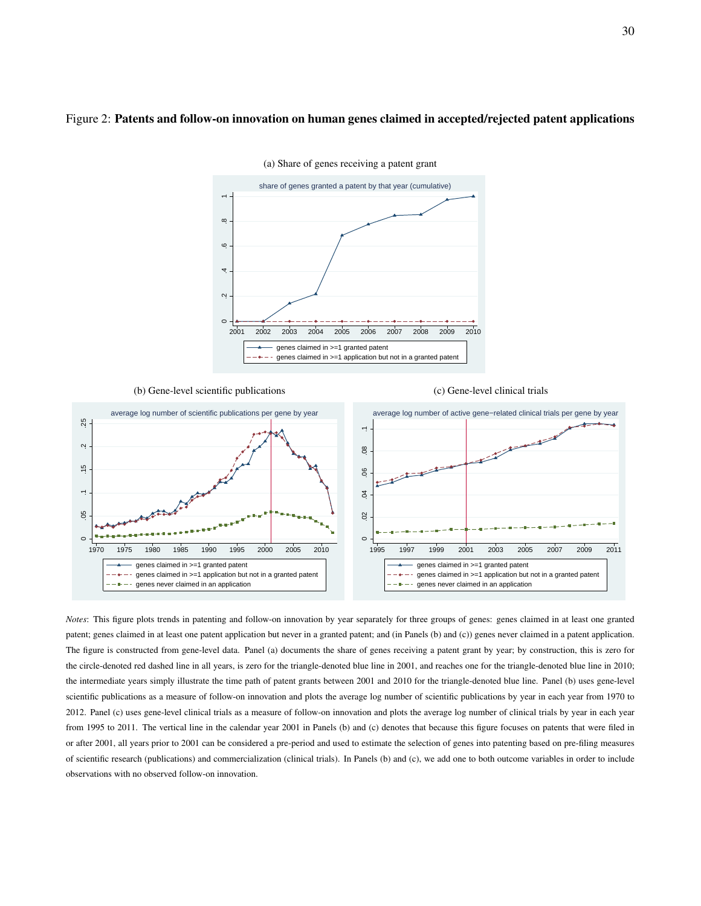#### <span id="page-31-0"></span>Figure 2: Patents and follow-on innovation on human genes claimed in accepted/rejected patent applications



(a) Share of genes receiving a patent grant

(b) Gene-level scientific publications

(c) Gene-level clinical trials



*Notes*: This figure plots trends in patenting and follow-on innovation by year separately for three groups of genes: genes claimed in at least one granted patent; genes claimed in at least one patent application but never in a granted patent; and (in Panels (b) and (c)) genes never claimed in a patent application. The figure is constructed from gene-level data. Panel (a) documents the share of genes receiving a patent grant by year; by construction, this is zero for the circle-denoted red dashed line in all years, is zero for the triangle-denoted blue line in 2001, and reaches one for the triangle-denoted blue line in 2010; the intermediate years simply illustrate the time path of patent grants between 2001 and 2010 for the triangle-denoted blue line. Panel (b) uses gene-level scientific publications as a measure of follow-on innovation and plots the average log number of scientific publications by year in each year from 1970 to 2012. Panel (c) uses gene-level clinical trials as a measure of follow-on innovation and plots the average log number of clinical trials by year in each year from 1995 to 2011. The vertical line in the calendar year 2001 in Panels (b) and (c) denotes that because this figure focuses on patents that were filed in or after 2001, all years prior to 2001 can be considered a pre-period and used to estimate the selection of genes into patenting based on pre-filing measures of scientific research (publications) and commercialization (clinical trials). In Panels (b) and (c), we add one to both outcome variables in order to include observations with no observed follow-on innovation.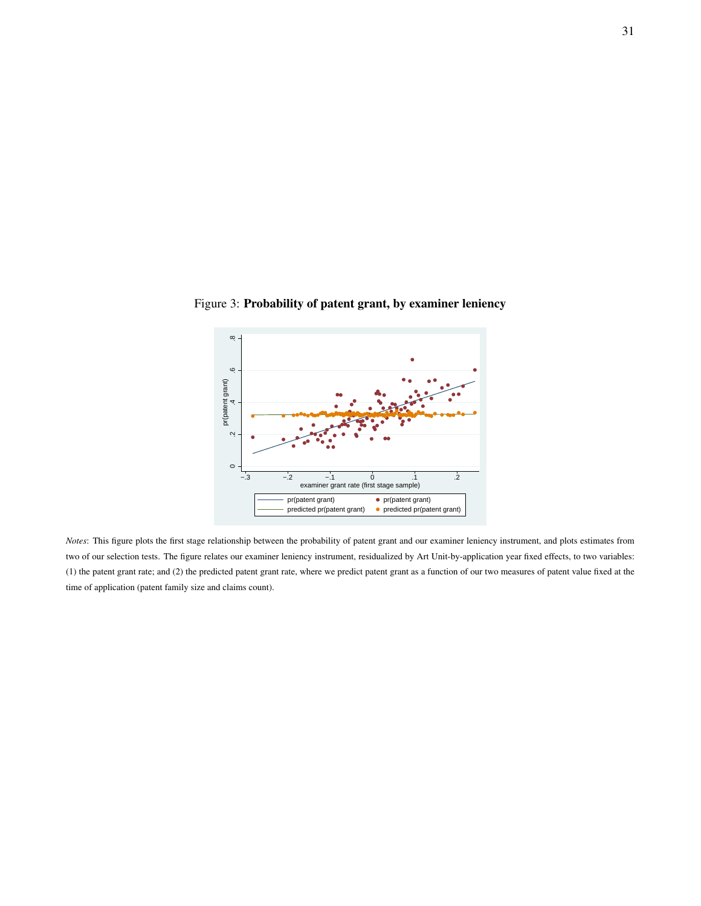

<span id="page-32-0"></span>Figure 3: Probability of patent grant, by examiner leniency

*Notes*: This figure plots the first stage relationship between the probability of patent grant and our examiner leniency instrument, and plots estimates from two of our selection tests. The figure relates our examiner leniency instrument, residualized by Art Unit-by-application year fixed effects, to two variables: (1) the patent grant rate; and (2) the predicted patent grant rate, where we predict patent grant as a function of our two measures of patent value fixed at the time of application (patent family size and claims count).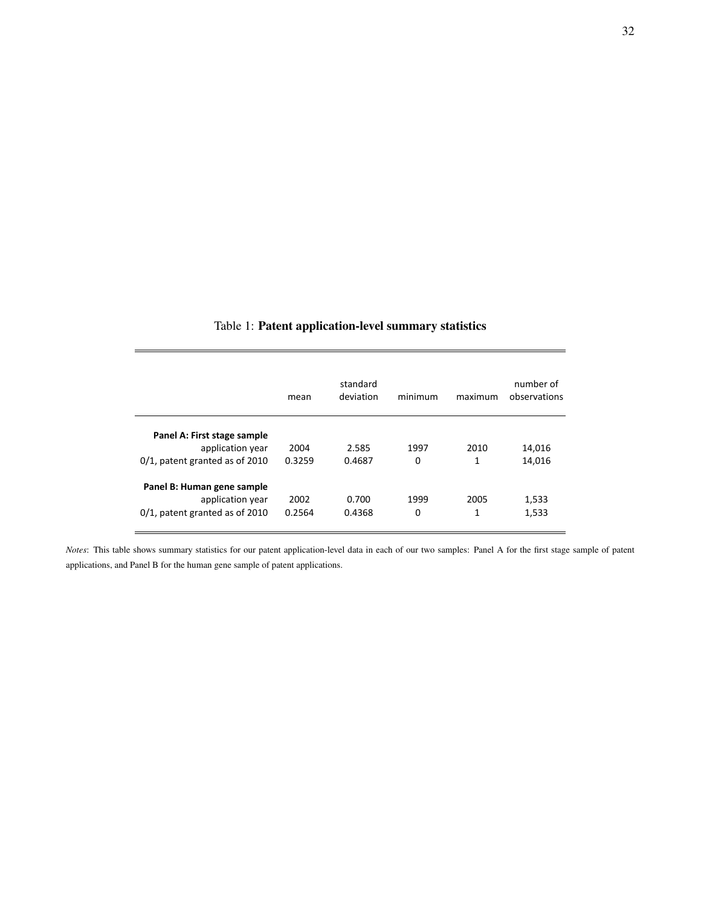<span id="page-33-0"></span>

|                                                                 | mean   | standard<br>deviation | minimum | maximum | number of<br>observations |
|-----------------------------------------------------------------|--------|-----------------------|---------|---------|---------------------------|
| Panel A: First stage sample<br>application year                 | 2004   | 2.585                 | 1997    | 2010    | 14,016                    |
| $0/1$ , patent granted as of 2010<br>Panel B: Human gene sample | 0.3259 | 0.4687                | 0       | 1       | 14,016                    |
| application year                                                | 2002   | 0.700                 | 1999    | 2005    | 1,533                     |
| 0/1, patent granted as of 2010                                  | 0.2564 | 0.4368                | 0       | 1       | 1,533                     |

 $\overline{a}$ 

### Table 1: Patent application-level summary statistics

*Notes*: This table shows summary statistics for our patent application-level data in each of our two samples: Panel A for the first stage sample of patent applications, and Panel B for the human gene sample of patent applications.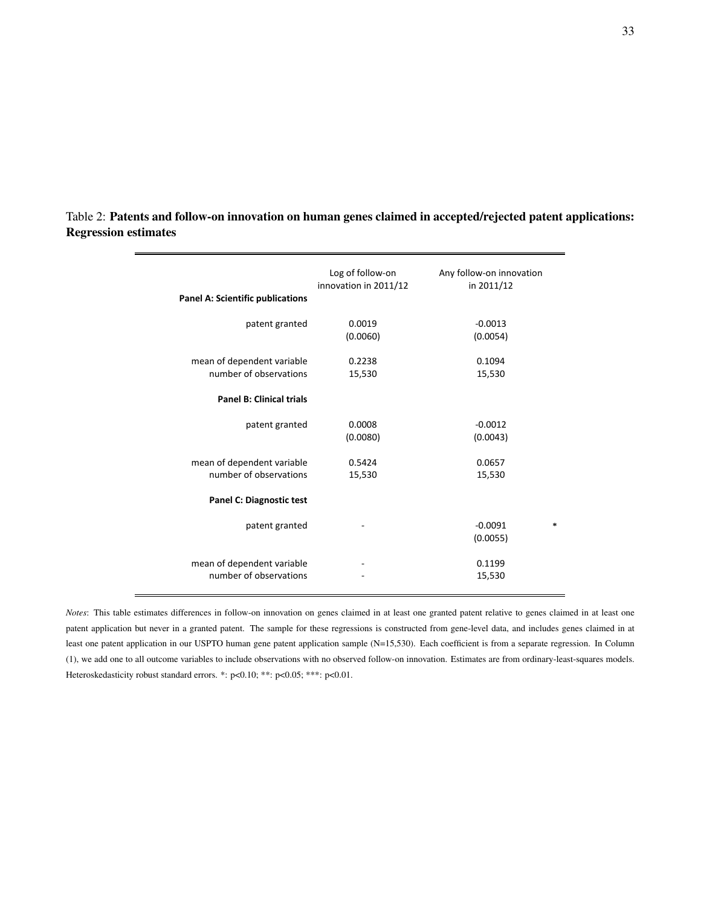| Panel A: Scientific publications                     | Log of follow-on<br>innovation in 2011/12 | Any follow-on innovation<br>in 2011/12 |
|------------------------------------------------------|-------------------------------------------|----------------------------------------|
| patent granted                                       | 0.0019<br>(0.0060)                        | $-0.0013$<br>(0.0054)                  |
| mean of dependent variable<br>number of observations | 0.2238<br>15,530                          | 0.1094<br>15,530                       |
| <b>Panel B: Clinical trials</b>                      |                                           |                                        |
| patent granted                                       | 0.0008<br>(0.0080)                        | $-0.0012$<br>(0.0043)                  |
| mean of dependent variable<br>number of observations | 0.5424<br>15,530                          | 0.0657<br>15,530                       |
| <b>Panel C: Diagnostic test</b>                      |                                           |                                        |
| patent granted                                       |                                           | $-0.0091$<br>*<br>(0.0055)             |
| mean of dependent variable<br>number of observations |                                           | 0.1199<br>15,530                       |

<span id="page-34-0"></span>Table 2: Patents and follow-on innovation on human genes claimed in accepted/rejected patent applications: Regression estimates

*Notes*: This table estimates differences in follow-on innovation on genes claimed in at least one granted patent relative to genes claimed in at least one patent application but never in a granted patent. The sample for these regressions is constructed from gene-level data, and includes genes claimed in at least one patent application in our USPTO human gene patent application sample (N=15,530). Each coefficient is from a separate regression. In Column (1), we add one to all outcome variables to include observations with no observed follow-on innovation. Estimates are from ordinary-least-squares models. Heteroskedasticity robust standard errors. \*: p<0.10; \*\*: p<0.05; \*\*\*: p<0.01.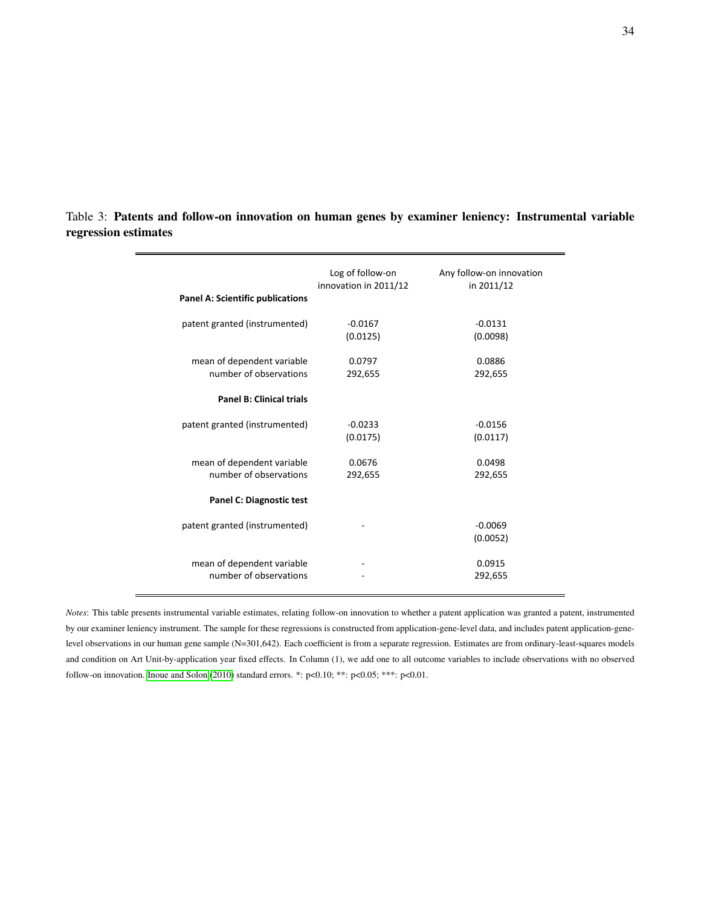|                                         | Log of follow-on      | Any follow-on innovation |
|-----------------------------------------|-----------------------|--------------------------|
| <b>Panel A: Scientific publications</b> | innovation in 2011/12 | in 2011/12               |
|                                         |                       |                          |
| patent granted (instrumented)           | $-0.0167$             | $-0.0131$                |
|                                         | (0.0125)              | (0.0098)                 |
|                                         |                       |                          |
| mean of dependent variable              | 0.0797                | 0.0886                   |
| number of observations                  | 292,655               | 292,655                  |
| <b>Panel B: Clinical trials</b>         |                       |                          |
| patent granted (instrumented)           | $-0.0233$             | $-0.0156$                |
|                                         | (0.0175)              | (0.0117)                 |
|                                         |                       |                          |
| mean of dependent variable              | 0.0676                | 0.0498                   |
| number of observations                  | 292,655               | 292,655                  |
| <b>Panel C: Diagnostic test</b>         |                       |                          |
| patent granted (instrumented)           |                       | $-0.0069$                |
|                                         |                       | (0.0052)                 |
|                                         |                       |                          |
| mean of dependent variable              |                       | 0.0915                   |
| number of observations                  |                       | 292,655                  |

<span id="page-35-0"></span>Table 3: Patents and follow-on innovation on human genes by examiner leniency: Instrumental variable regression estimates

*Notes*: This table presents instrumental variable estimates, relating follow-on innovation to whether a patent application was granted a patent, instrumented by our examiner leniency instrument. The sample for these regressions is constructed from application-gene-level data, and includes patent application-genelevel observations in our human gene sample (N=301,642). Each coefficient is from a separate regression. Estimates are from ordinary-least-squares models and condition on Art Unit-by-application year fixed effects. In Column (1), we add one to all outcome variables to include observations with no observed follow-on innovation. [Inoue and Solon](#page-27-13) [\(2010\)](#page-27-13) standard errors. \*: p<0.10; \*\*: p<0.05; \*\*\*: p<0.01.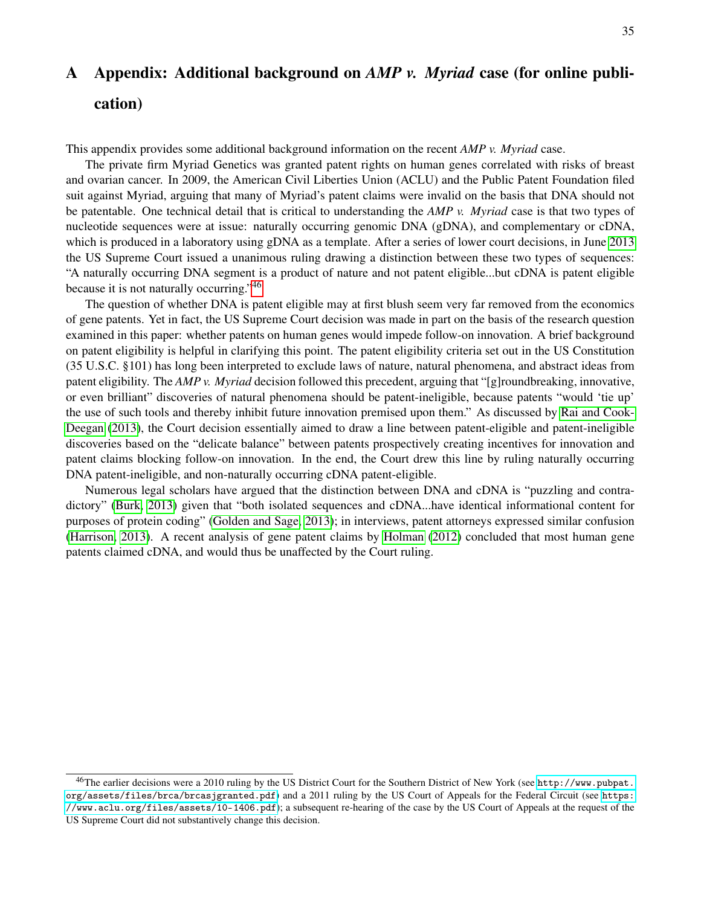# <span id="page-36-0"></span>A Appendix: Additional background on *AMP v. Myriad* case (for online publication)

This appendix provides some additional background information on the recent *AMP v. Myriad* case.

The private firm Myriad Genetics was granted patent rights on human genes correlated with risks of breast and ovarian cancer. In 2009, the American Civil Liberties Union (ACLU) and the Public Patent Foundation filed suit against Myriad, arguing that many of Myriad's patent claims were invalid on the basis that DNA should not be patentable. One technical detail that is critical to understanding the *AMP v. Myriad* case is that two types of nucleotide sequences were at issue: naturally occurring genomic DNA (gDNA), and complementary or cDNA, which is produced in a laboratory using gDNA as a template. After a series of lower court decisions, in June [2013](#page-29-12) the US Supreme Court issued a unanimous ruling drawing a distinction between these two types of sequences: "A naturally occurring DNA segment is a product of nature and not patent eligible...but cDNA is patent eligible because it is not naturally occurring."[46](#page-36-1)

The question of whether DNA is patent eligible may at first blush seem very far removed from the economics of gene patents. Yet in fact, the US Supreme Court decision was made in part on the basis of the research question examined in this paper: whether patents on human genes would impede follow-on innovation. A brief background on patent eligibility is helpful in clarifying this point. The patent eligibility criteria set out in the US Constitution (35 U.S.C. §101) has long been interpreted to exclude laws of nature, natural phenomena, and abstract ideas from patent eligibility. The *AMP v. Myriad* decision followed this precedent, arguing that "[g]roundbreaking, innovative, or even brilliant" discoveries of natural phenomena should be patent-ineligible, because patents "would 'tie up' the use of such tools and thereby inhibit future innovation premised upon them." As discussed by [Rai and Cook-](#page-28-17)[Deegan](#page-28-17) [\(2013\)](#page-28-17), the Court decision essentially aimed to draw a line between patent-eligible and patent-ineligible discoveries based on the "delicate balance" between patents prospectively creating incentives for innovation and patent claims blocking follow-on innovation. In the end, the Court drew this line by ruling naturally occurring DNA patent-ineligible, and non-naturally occurring cDNA patent-eligible.

Numerous legal scholars have argued that the distinction between DNA and cDNA is "puzzling and contradictory" [\(Burk, 2013\)](#page-25-16) given that "both isolated sequences and cDNA...have identical informational content for purposes of protein coding" [\(Golden and Sage, 2013\)](#page-26-17); in interviews, patent attorneys expressed similar confusion [\(Harrison, 2013\)](#page-26-18). A recent analysis of gene patent claims by [Holman](#page-27-11) [\(2012\)](#page-27-11) concluded that most human gene patents claimed cDNA, and would thus be unaffected by the Court ruling.

<span id="page-36-1"></span><sup>46</sup>The earlier decisions were a 2010 ruling by the US District Court for the Southern District of New York (see [http://www.pubpat.](http://www.pubpat.org/assets/files/brca/brcasjgranted.pdf) [org/assets/files/brca/brcasjgranted.pdf](http://www.pubpat.org/assets/files/brca/brcasjgranted.pdf)) and a 2011 ruling by the US Court of Appeals for the Federal Circuit (see [https:](https://www.aclu.org/files/assets/10-1406.pdf) [//www.aclu.org/files/assets/10-1406.pdf](https://www.aclu.org/files/assets/10-1406.pdf)); a subsequent re-hearing of the case by the US Court of Appeals at the request of the US Supreme Court did not substantively change this decision.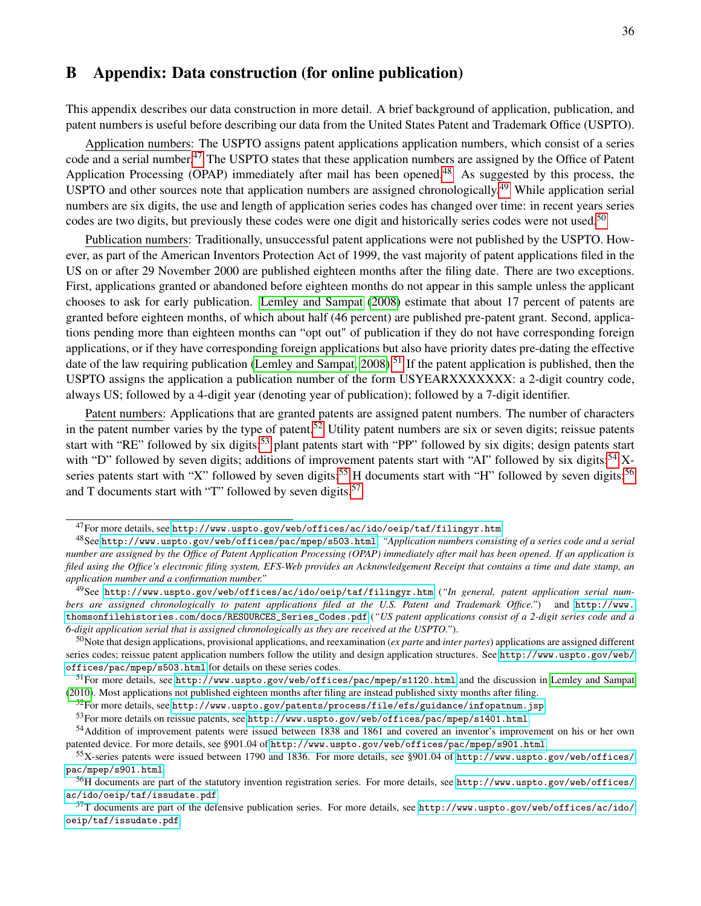### <span id="page-37-0"></span>B Appendix: Data construction (for online publication)

This appendix describes our data construction in more detail. A brief background of application, publication, and patent numbers is useful before describing our data from the United States Patent and Trademark Office (USPTO).

Application numbers: The USPTO assigns patent applications application numbers, which consist of a series code and a serial number.<sup>[47](#page-37-1)</sup> The USPTO states that these application numbers are assigned by the Office of Patent Application Processing (OPAP) immediately after mail has been opened.<sup>[48](#page-37-2)</sup> As suggested by this process, the USPTO and other sources note that application numbers are assigned chronologically.[49](#page-37-3) While application serial numbers are six digits, the use and length of application series codes has changed over time: in recent years series codes are two digits, but previously these codes were one digit and historically series codes were not used.<sup>[50](#page-37-4)</sup>

Publication numbers: Traditionally, unsuccessful patent applications were not published by the USPTO. However, as part of the American Inventors Protection Act of 1999, the vast majority of patent applications filed in the US on or after 29 November 2000 are published eighteen months after the filing date. There are two exceptions. First, applications granted or abandoned before eighteen months do not appear in this sample unless the applicant chooses to ask for early publication. [Lemley and Sampat](#page-27-1) [\(2008\)](#page-27-1) estimate that about 17 percent of patents are granted before eighteen months, of which about half (46 percent) are published pre-patent grant. Second, applications pending more than eighteen months can "opt out" of publication if they do not have corresponding foreign applications, or if they have corresponding foreign applications but also have priority dates pre-dating the effective date of the law requiring publication (Lemley and Sampat,  $2008$ ).<sup>[51](#page-37-5)</sup> If the patent application is published, then the USPTO assigns the application a publication number of the form USYEARXXXXXXX: a 2-digit country code, always US; followed by a 4-digit year (denoting year of publication); followed by a 7-digit identifier.

Patent numbers: Applications that are granted patents are assigned patent numbers. The number of characters in the patent number varies by the type of patent.<sup>[52](#page-37-6)</sup> Utility patent numbers are six or seven digits; reissue patents start with "RE" followed by six digits;<sup>[53](#page-37-7)</sup> plant patents start with "PP" followed by six digits; design patents start with "D" followed by seven digits; additions of improvement patents start with "AI" followed by six digits;<sup>[54](#page-37-8)</sup> X-series patents start with "X" followed by seven digits;<sup>[55](#page-37-9)</sup> H documents start with "H" followed by seven digits;<sup>[56](#page-37-10)</sup> and T documents start with "T" followed by seven digits.<sup>[57](#page-37-11)</sup>

<span id="page-37-6"></span> $52$ For more details, see <http://www.uspto.gov/patents/process/file/efs/guidance/infopatnum.jsp>.

<span id="page-37-2"></span><span id="page-37-1"></span> $^{47}$  For more details, see <http://www.uspto.gov/web/offices/ac/ido/oeip/taf/filingyr.htm>.

<sup>48</sup>See <http://www.uspto.gov/web/offices/pac/mpep/s503.html>: *"Application numbers consisting of a series code and a serial number are assigned by the Office of Patent Application Processing (OPAP) immediately after mail has been opened. If an application is filed using the Office's electronic filing system, EFS-Web provides an Acknowledgement Receipt that contains a time and date stamp, an application number and a confirmation number."*

<span id="page-37-3"></span><sup>49</sup>See <http://www.uspto.gov/web/offices/ac/ido/oeip/taf/filingyr.htm> (*"In general, patent application serial numbers are assigned chronologically to patent applications filed at the U.S. Patent and Trademark Office."*) and [http://www.](http://www.thomsonfilehistories.com/docs/RESOURCES_Series_Codes.pdf) [thomsonfilehistories.com/docs/RESOURCES\\_Series\\_Codes.pdf](http://www.thomsonfilehistories.com/docs/RESOURCES_Series_Codes.pdf) (*"US patent applications consist of a 2-digit series code and a 6-digit application serial that is assigned chronologically as they are received at the USPTO."*).

<span id="page-37-4"></span><sup>50</sup>Note that design applications, provisional applications, and reexamination (*ex parte* and *inter partes*) applications are assigned different series codes; reissue patent application numbers follow the utility and design application structures. See [http://www.uspto.gov/web/](http://www.uspto.gov/web/offices/pac/mpep/s503.html) [offices/pac/mpep/s503.html](http://www.uspto.gov/web/offices/pac/mpep/s503.html) for details on these series codes.

<span id="page-37-5"></span><sup>51</sup>For more details, see [http://www.uspto.gov/web/offices/pac/mpep/s1120.html](http://www.uspto.gov/web/offices/pac/mpep/s1120.html ) and the discussion in [Lemley and Sampat](#page-27-2) [\(2010\)](#page-27-2). Most applications not published eighteen months after filing are instead published sixty months after filing.

<span id="page-37-8"></span><span id="page-37-7"></span> $53$ For more details on reissue patents, see <http://www.uspto.gov/web/offices/pac/mpep/s1401.html>.

<sup>54</sup>Addition of improvement patents were issued between 1838 and 1861 and covered an inventor's improvement on his or her own patented device. For more details, see §901.04 of <http://www.uspto.gov/web/offices/pac/mpep/s901.html>.

<span id="page-37-9"></span> $55X$ -series patents were issued between 1790 and 1836. For more details, see §901.04 of [http://www.uspto.gov/web/offices/](http://www.uspto.gov/web/offices/pac/mpep/s901.html) [pac/mpep/s901.html](http://www.uspto.gov/web/offices/pac/mpep/s901.html).

<span id="page-37-10"></span><sup>56</sup>H documents are part of the statutory invention registration series. For more details, see [http://www.uspto.gov/web/offices/](http://www.uspto.gov/web/offices/ac/ido/oeip/taf/issudate.pdf) [ac/ido/oeip/taf/issudate.pdf](http://www.uspto.gov/web/offices/ac/ido/oeip/taf/issudate.pdf).

<span id="page-37-11"></span> $57$ T documents are part of the defensive publication series. For more details, see [http://www.uspto.gov/web/offices/ac/ido/](http://www.uspto.gov/web/offices/ac/ido/oeip/taf/issudate.pdf) [oeip/taf/issudate.pdf](http://www.uspto.gov/web/offices/ac/ido/oeip/taf/issudate.pdf).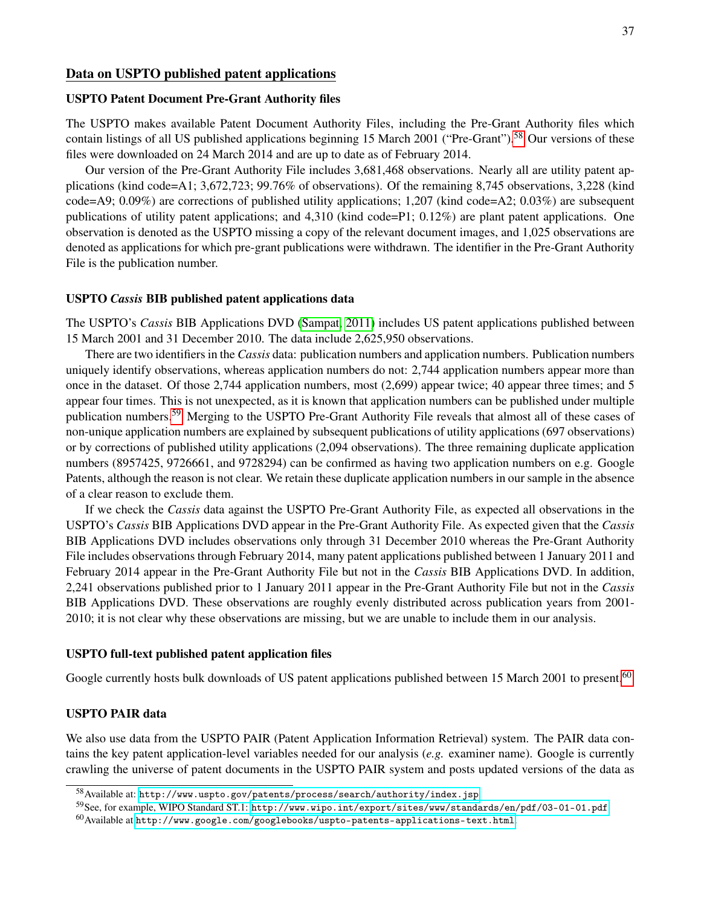### Data on USPTO published patent applications

#### USPTO Patent Document Pre-Grant Authority files

The USPTO makes available Patent Document Authority Files, including the Pre-Grant Authority files which contain listings of all US published applications beginning 15 March 2001 ("Pre-Grant").<sup>[58](#page-38-0)</sup> Our versions of these files were downloaded on 24 March 2014 and are up to date as of February 2014.

Our version of the Pre-Grant Authority File includes 3,681,468 observations. Nearly all are utility patent applications (kind code=A1; 3,672,723; 99.76% of observations). Of the remaining 8,745 observations, 3,228 (kind code=A9; 0.09%) are corrections of published utility applications; 1,207 (kind code=A2; 0.03%) are subsequent publications of utility patent applications; and 4,310 (kind code=P1; 0.12%) are plant patent applications. One observation is denoted as the USPTO missing a copy of the relevant document images, and 1,025 observations are denoted as applications for which pre-grant publications were withdrawn. The identifier in the Pre-Grant Authority File is the publication number.

#### USPTO *Cassis* BIB published patent applications data

The USPTO's *Cassis* BIB Applications DVD [\(Sampat, 2011\)](#page-28-18) includes US patent applications published between 15 March 2001 and 31 December 2010. The data include 2,625,950 observations.

There are two identifiers in the *Cassis* data: publication numbers and application numbers. Publication numbers uniquely identify observations, whereas application numbers do not: 2,744 application numbers appear more than once in the dataset. Of those 2,744 application numbers, most (2,699) appear twice; 40 appear three times; and 5 appear four times. This is not unexpected, as it is known that application numbers can be published under multiple publication numbers.[59](#page-38-1) Merging to the USPTO Pre-Grant Authority File reveals that almost all of these cases of non-unique application numbers are explained by subsequent publications of utility applications (697 observations) or by corrections of published utility applications (2,094 observations). The three remaining duplicate application numbers (8957425, 9726661, and 9728294) can be confirmed as having two application numbers on e.g. Google Patents, although the reason is not clear. We retain these duplicate application numbers in our sample in the absence of a clear reason to exclude them.

If we check the *Cassis* data against the USPTO Pre-Grant Authority File, as expected all observations in the USPTO's *Cassis* BIB Applications DVD appear in the Pre-Grant Authority File. As expected given that the *Cassis* BIB Applications DVD includes observations only through 31 December 2010 whereas the Pre-Grant Authority File includes observations through February 2014, many patent applications published between 1 January 2011 and February 2014 appear in the Pre-Grant Authority File but not in the *Cassis* BIB Applications DVD. In addition, 2,241 observations published prior to 1 January 2011 appear in the Pre-Grant Authority File but not in the *Cassis* BIB Applications DVD. These observations are roughly evenly distributed across publication years from 2001- 2010; it is not clear why these observations are missing, but we are unable to include them in our analysis.

### USPTO full-text published patent application files

Google currently hosts bulk downloads of US patent applications published between 15 March 2001 to present.<sup>[60](#page-38-2)</sup>

### USPTO PAIR data

We also use data from the USPTO PAIR (Patent Application Information Retrieval) system. The PAIR data contains the key patent application-level variables needed for our analysis (*e.g.* examiner name). Google is currently crawling the universe of patent documents in the USPTO PAIR system and posts updated versions of the data as

<span id="page-38-0"></span> $58$ Available at: <http://www.uspto.gov/patents/process/search/authority/index.jsp>.

<span id="page-38-1"></span><sup>59</sup>See, for example, WIPO Standard ST.1: <http://www.wipo.int/export/sites/www/standards/en/pdf/03-01-01.pdf>.

<span id="page-38-2"></span> $^{60}$ Available at <http://www.google.com/googlebooks/uspto-patents-applications-text.html>.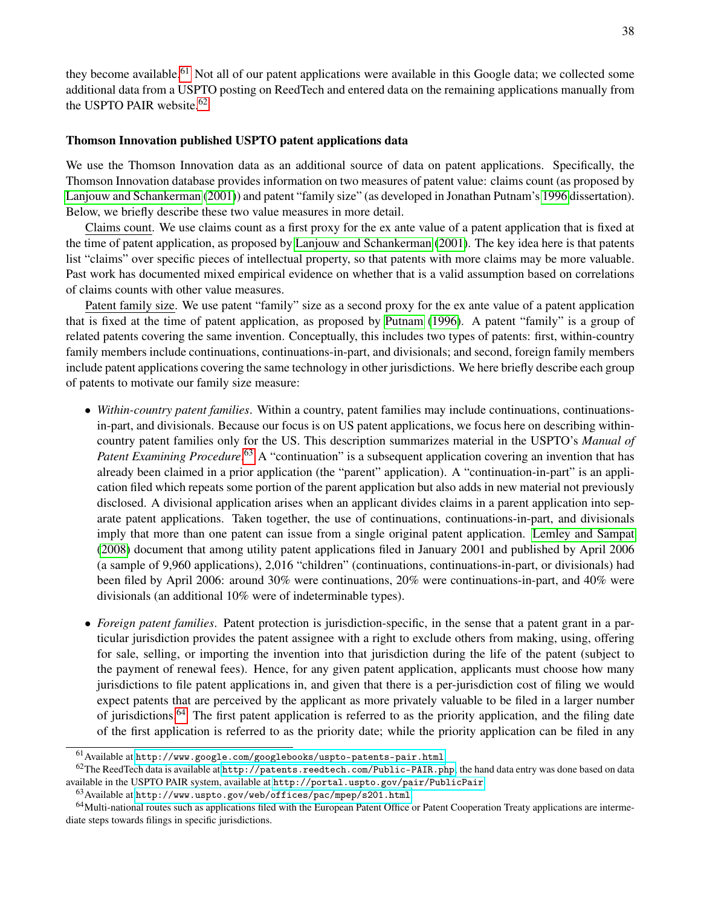they become available.<sup>[61](#page-39-0)</sup> Not all of our patent applications were available in this Google data; we collected some additional data from a USPTO posting on ReedTech and entered data on the remaining applications manually from the USPTO PAIR website.<sup>[62](#page-39-1)</sup>

### Thomson Innovation published USPTO patent applications data

We use the Thomson Innovation data as an additional source of data on patent applications. Specifically, the Thomson Innovation database provides information on two measures of patent value: claims count (as proposed by [Lanjouw and Schankerman](#page-27-15) [\(2001\)](#page-27-15)) and patent "family size" (as developed in Jonathan Putnam's [1996](#page-28-13) dissertation). Below, we briefly describe these two value measures in more detail.

Claims count. We use claims count as a first proxy for the ex ante value of a patent application that is fixed at the time of patent application, as proposed by [Lanjouw and Schankerman](#page-27-15) [\(2001\)](#page-27-15). The key idea here is that patents list "claims" over specific pieces of intellectual property, so that patents with more claims may be more valuable. Past work has documented mixed empirical evidence on whether that is a valid assumption based on correlations of claims counts with other value measures.

Patent family size. We use patent "family" size as a second proxy for the ex ante value of a patent application that is fixed at the time of patent application, as proposed by [Putnam](#page-28-13) [\(1996\)](#page-28-13). A patent "family" is a group of related patents covering the same invention. Conceptually, this includes two types of patents: first, within-country family members include continuations, continuations-in-part, and divisionals; and second, foreign family members include patent applications covering the same technology in other jurisdictions. We here briefly describe each group of patents to motivate our family size measure:

- *Within-country patent families*. Within a country, patent families may include continuations, continuationsin-part, and divisionals. Because our focus is on US patent applications, we focus here on describing withincountry patent families only for the US. This description summarizes material in the USPTO's *Manual of* Patent Examining Procedure.<sup>[63](#page-39-2)</sup> A "continuation" is a subsequent application covering an invention that has already been claimed in a prior application (the "parent" application). A "continuation-in-part" is an application filed which repeats some portion of the parent application but also adds in new material not previously disclosed. A divisional application arises when an applicant divides claims in a parent application into separate patent applications. Taken together, the use of continuations, continuations-in-part, and divisionals imply that more than one patent can issue from a single original patent application. [Lemley and Sampat](#page-27-1) [\(2008\)](#page-27-1) document that among utility patent applications filed in January 2001 and published by April 2006 (a sample of 9,960 applications), 2,016 "children" (continuations, continuations-in-part, or divisionals) had been filed by April 2006: around 30% were continuations, 20% were continuations-in-part, and 40% were divisionals (an additional 10% were of indeterminable types).
- *Foreign patent families*. Patent protection is jurisdiction-specific, in the sense that a patent grant in a particular jurisdiction provides the patent assignee with a right to exclude others from making, using, offering for sale, selling, or importing the invention into that jurisdiction during the life of the patent (subject to the payment of renewal fees). Hence, for any given patent application, applicants must choose how many jurisdictions to file patent applications in, and given that there is a per-jurisdiction cost of filing we would expect patents that are perceived by the applicant as more privately valuable to be filed in a larger number of jurisdictions.[64](#page-39-3) The first patent application is referred to as the priority application, and the filing date of the first application is referred to as the priority date; while the priority application can be filed in any

<span id="page-39-1"></span><span id="page-39-0"></span><sup>61</sup>Available at <http://www.google.com/googlebooks/uspto-patents-pair.html>.

<sup>&</sup>lt;sup>62</sup>The ReedTech data is available at <http://patents.reedtech.com/Public-PAIR.php>; the hand data entry was done based on data available in the USPTO PAIR system, available at <http://portal.uspto.gov/pair/PublicPair>.

<span id="page-39-3"></span><span id="page-39-2"></span><sup>63</sup>Available at <http://www.uspto.gov/web/offices/pac/mpep/s201.html>.

 $64$ Multi-national routes such as applications filed with the European Patent Office or Patent Cooperation Treaty applications are intermediate steps towards filings in specific jurisdictions.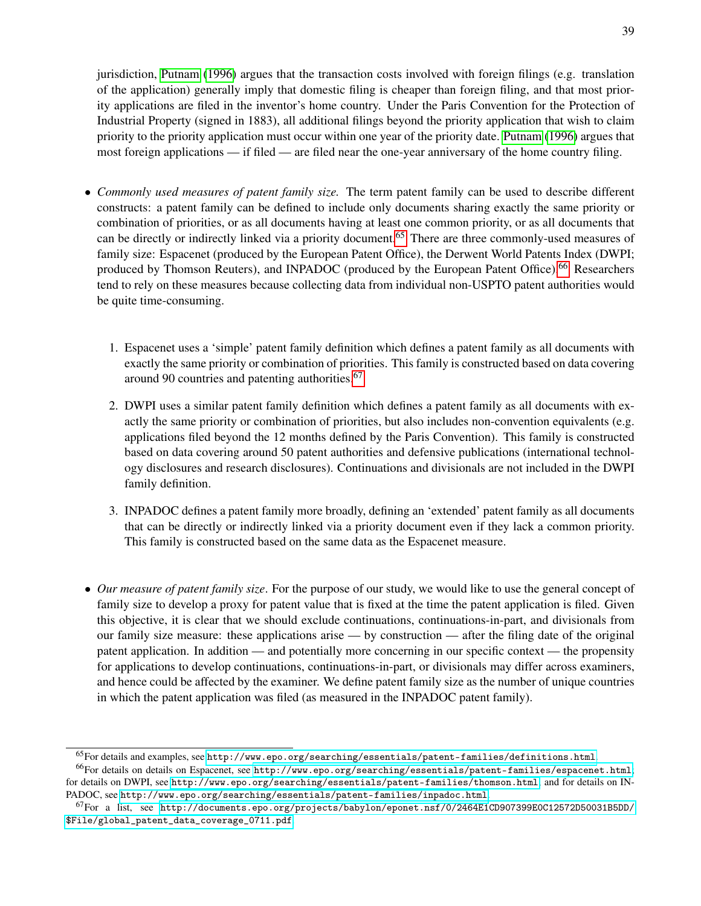jurisdiction, [Putnam](#page-28-13) [\(1996\)](#page-28-13) argues that the transaction costs involved with foreign filings (e.g. translation of the application) generally imply that domestic filing is cheaper than foreign filing, and that most priority applications are filed in the inventor's home country. Under the Paris Convention for the Protection of Industrial Property (signed in 1883), all additional filings beyond the priority application that wish to claim priority to the priority application must occur within one year of the priority date. [Putnam](#page-28-13) [\(1996\)](#page-28-13) argues that most foreign applications — if filed — are filed near the one-year anniversary of the home country filing.

- *Commonly used measures of patent family size.* The term patent family can be used to describe different constructs: a patent family can be defined to include only documents sharing exactly the same priority or combination of priorities, or as all documents having at least one common priority, or as all documents that can be directly or indirectly linked via a priority document.<sup>[65](#page-40-0)</sup> There are three commonly-used measures of family size: Espacenet (produced by the European Patent Office), the Derwent World Patents Index (DWPI; produced by Thomson Reuters), and INPADOC (produced by the European Patent Office).<sup>[66](#page-40-1)</sup> Researchers tend to rely on these measures because collecting data from individual non-USPTO patent authorities would be quite time-consuming.
	- 1. Espacenet uses a 'simple' patent family definition which defines a patent family as all documents with exactly the same priority or combination of priorities. This family is constructed based on data covering around 90 countries and patenting authorities.[67](#page-40-2)
	- 2. DWPI uses a similar patent family definition which defines a patent family as all documents with exactly the same priority or combination of priorities, but also includes non-convention equivalents (e.g. applications filed beyond the 12 months defined by the Paris Convention). This family is constructed based on data covering around 50 patent authorities and defensive publications (international technology disclosures and research disclosures). Continuations and divisionals are not included in the DWPI family definition.
	- 3. INPADOC defines a patent family more broadly, defining an 'extended' patent family as all documents that can be directly or indirectly linked via a priority document even if they lack a common priority. This family is constructed based on the same data as the Espacenet measure.
- *Our measure of patent family size*. For the purpose of our study, we would like to use the general concept of family size to develop a proxy for patent value that is fixed at the time the patent application is filed. Given this objective, it is clear that we should exclude continuations, continuations-in-part, and divisionals from our family size measure: these applications arise — by construction — after the filing date of the original patent application. In addition — and potentially more concerning in our specific context — the propensity for applications to develop continuations, continuations-in-part, or divisionals may differ across examiners, and hence could be affected by the examiner. We define patent family size as the number of unique countries in which the patent application was filed (as measured in the INPADOC patent family).

<span id="page-40-1"></span><span id="page-40-0"></span> $^{65}$ For details and examples, see <http://www.epo.org/searching/essentials/patent-families/definitions.html>.

<sup>66</sup>For details on details on Espacenet, see <http://www.epo.org/searching/essentials/patent-families/espacenet.html>; for details on DWPI, see <http://www.epo.org/searching/essentials/patent-families/thomson.html>; and for details on IN-PADOC, see <http://www.epo.org/searching/essentials/patent-families/inpadoc.html>.

<span id="page-40-2"></span><sup>67</sup>For a list, see [http://documents.epo.org/projects/babylon/eponet.nsf/0/2464E1CD907399E0C12572D50031B5DD/](http://documents.epo.org/projects/babylon/eponet.nsf/0/2464E1CD907399E0C12572D50031B5DD/$File/global_patent_data_coverage_0711.pdf) [\\$File/global\\_patent\\_data\\_coverage\\_0711.pdf](http://documents.epo.org/projects/babylon/eponet.nsf/0/2464E1CD907399E0C12572D50031B5DD/$File/global_patent_data_coverage_0711.pdf).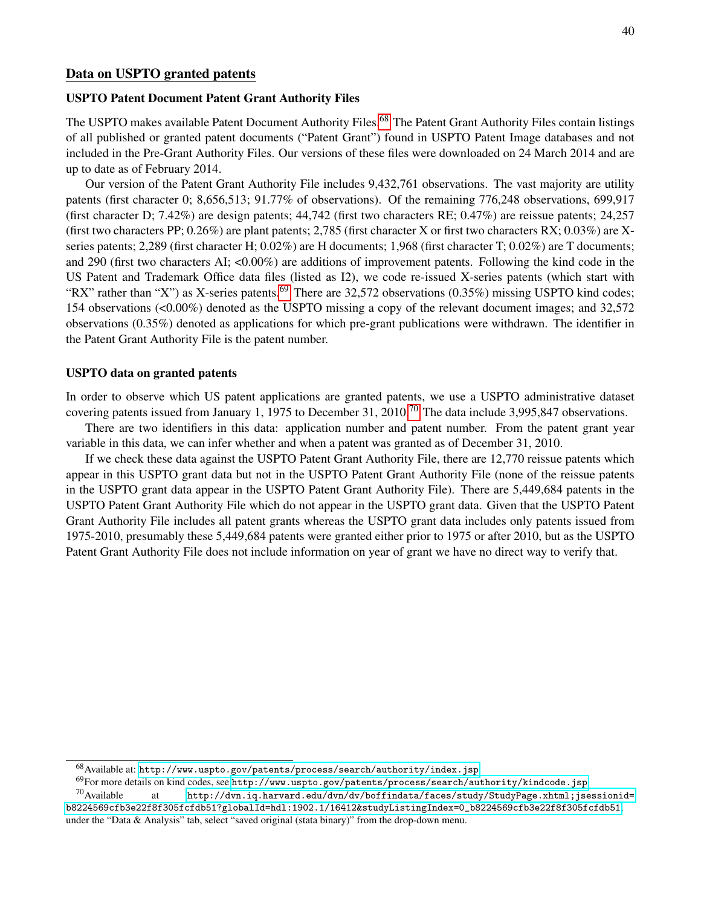### Data on USPTO granted patents

### USPTO Patent Document Patent Grant Authority Files

The USPTO makes available Patent Document Authority Files.<sup>[68](#page-41-0)</sup> The Patent Grant Authority Files contain listings of all published or granted patent documents ("Patent Grant") found in USPTO Patent Image databases and not included in the Pre-Grant Authority Files. Our versions of these files were downloaded on 24 March 2014 and are up to date as of February 2014.

Our version of the Patent Grant Authority File includes 9,432,761 observations. The vast majority are utility patents (first character 0; 8,656,513; 91.77% of observations). Of the remaining 776,248 observations, 699,917 (first character D; 7.42%) are design patents; 44,742 (first two characters RE; 0.47%) are reissue patents; 24,257 (first two characters PP;  $0.26\%$ ) are plant patents; 2,785 (first character X or first two characters RX;  $0.03\%$ ) are Xseries patents; 2,289 (first character H; 0.02%) are H documents; 1,968 (first character T; 0.02%) are T documents; and 290 (first two characters AI; <0.00%) are additions of improvement patents. Following the kind code in the US Patent and Trademark Office data files (listed as I2), we code re-issued X-series patents (which start with "RX" rather than "X") as X-series patents.<sup>[69](#page-41-1)</sup> There are 32,572 observations (0.35%) missing USPTO kind codes; 154 observations (<0.00%) denoted as the USPTO missing a copy of the relevant document images; and 32,572 observations (0.35%) denoted as applications for which pre-grant publications were withdrawn. The identifier in the Patent Grant Authority File is the patent number.

### USPTO data on granted patents

In order to observe which US patent applications are granted patents, we use a USPTO administrative dataset covering patents issued from January 1, 1975 to December 31, 2010.<sup>[70](#page-41-2)</sup> The data include 3,995,847 observations.

There are two identifiers in this data: application number and patent number. From the patent grant year variable in this data, we can infer whether and when a patent was granted as of December 31, 2010.

If we check these data against the USPTO Patent Grant Authority File, there are 12,770 reissue patents which appear in this USPTO grant data but not in the USPTO Patent Grant Authority File (none of the reissue patents in the USPTO grant data appear in the USPTO Patent Grant Authority File). There are 5,449,684 patents in the USPTO Patent Grant Authority File which do not appear in the USPTO grant data. Given that the USPTO Patent Grant Authority File includes all patent grants whereas the USPTO grant data includes only patents issued from 1975-2010, presumably these 5,449,684 patents were granted either prior to 1975 or after 2010, but as the USPTO Patent Grant Authority File does not include information on year of grant we have no direct way to verify that.

<span id="page-41-0"></span> $^{68}\rm A  
variable at: http://www.uspto.gov/patents/process/search/authority/index.jsp.$  $^{68}\rm A  
variable at: http://www.uspto.gov/patents/process/search/authority/index.jsp.$  $^{68}\rm A  
variable at: http://www.uspto.gov/patents/process/search/authority/index.jsp.$ 

<span id="page-41-2"></span><span id="page-41-1"></span><sup>69</sup>For more details on kind codes, see <http://www.uspto.gov/patents/process/search/authority/kindcode.jsp>.

 $^{70}$ Available at [http://dvn.iq.harvard.edu/dvn/dv/boffindata/faces/study/StudyPage.xhtml;jsessionid=](http://dvn.iq.harvard.edu/dvn/dv/boffindata/faces/study/StudyPage.xhtml;jsessionid=b8224569cfb3e22f8f305fcfdb51?globalId=hdl:1902.1/16412&studyListingIndex=0_b8224569cfb3e22f8f305fcfdb51) [b8224569cfb3e22f8f305fcfdb51?globalId=hdl:1902.1/16412&studyListingIndex=0\\_b8224569cfb3e22f8f305fcfdb51](http://dvn.iq.harvard.edu/dvn/dv/boffindata/faces/study/StudyPage.xhtml;jsessionid=b8224569cfb3e22f8f305fcfdb51?globalId=hdl:1902.1/16412&studyListingIndex=0_b8224569cfb3e22f8f305fcfdb51); under the "Data & Analysis" tab, select "saved original (stata binary)" from the drop-down menu.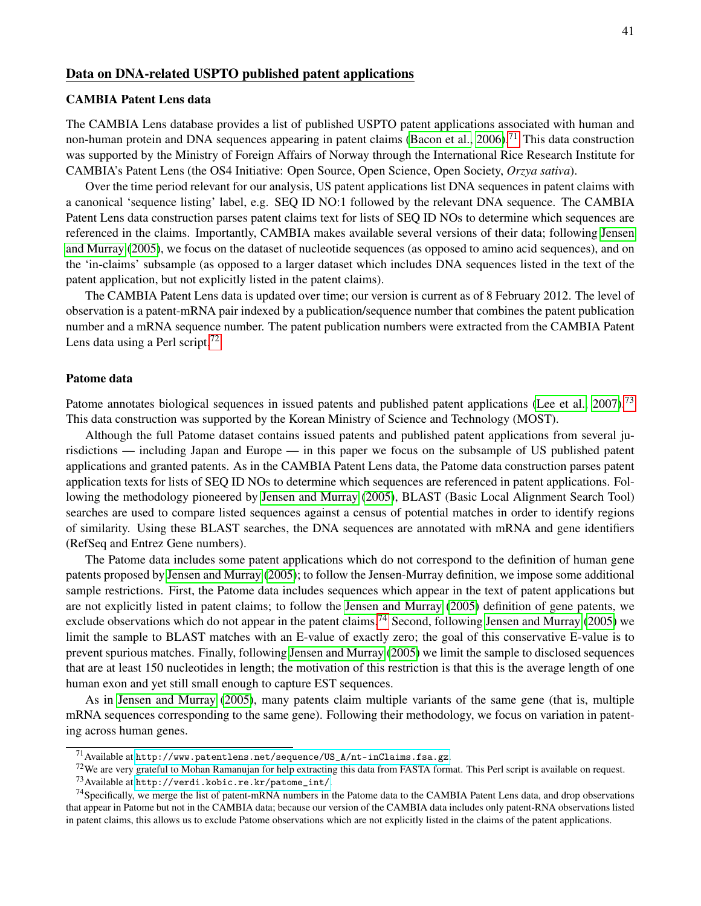### Data on DNA-related USPTO published patent applications

### CAMBIA Patent Lens data

The CAMBIA Lens database provides a list of published USPTO patent applications associated with human and non-human protein and DNA sequences appearing in patent claims [\(Bacon et al., 2006\)](#page-25-4).<sup>[71](#page-42-0)</sup> This data construction was supported by the Ministry of Foreign Affairs of Norway through the International Rice Research Institute for CAMBIA's Patent Lens (the OS4 Initiative: Open Source, Open Science, Open Society, *Orzya sativa*).

Over the time period relevant for our analysis, US patent applications list DNA sequences in patent claims with a canonical 'sequence listing' label, e.g. SEQ ID NO:1 followed by the relevant DNA sequence. The CAMBIA Patent Lens data construction parses patent claims text for lists of SEQ ID NOs to determine which sequences are referenced in the claims. Importantly, CAMBIA makes available several versions of their data; following [Jensen](#page-27-0) [and Murray](#page-27-0) [\(2005\)](#page-27-0), we focus on the dataset of nucleotide sequences (as opposed to amino acid sequences), and on the 'in-claims' subsample (as opposed to a larger dataset which includes DNA sequences listed in the text of the patent application, but not explicitly listed in the patent claims).

The CAMBIA Patent Lens data is updated over time; our version is current as of 8 February 2012. The level of observation is a patent-mRNA pair indexed by a publication/sequence number that combines the patent publication number and a mRNA sequence number. The patent publication numbers were extracted from the CAMBIA Patent Lens data using a Perl script.<sup>[72](#page-42-1)</sup>

#### Patome data

Patome annotates biological sequences in issued patents and published patent applications [\(Lee et al., 2007\)](#page-27-10).<sup>[73](#page-42-2)</sup> This data construction was supported by the Korean Ministry of Science and Technology (MOST).

Although the full Patome dataset contains issued patents and published patent applications from several jurisdictions — including Japan and Europe — in this paper we focus on the subsample of US published patent applications and granted patents. As in the CAMBIA Patent Lens data, the Patome data construction parses patent application texts for lists of SEQ ID NOs to determine which sequences are referenced in patent applications. Following the methodology pioneered by [Jensen and Murray](#page-27-0) [\(2005\)](#page-27-0), BLAST (Basic Local Alignment Search Tool) searches are used to compare listed sequences against a census of potential matches in order to identify regions of similarity. Using these BLAST searches, the DNA sequences are annotated with mRNA and gene identifiers (RefSeq and Entrez Gene numbers).

The Patome data includes some patent applications which do not correspond to the definition of human gene patents proposed by [Jensen and Murray](#page-27-0) [\(2005\)](#page-27-0); to follow the Jensen-Murray definition, we impose some additional sample restrictions. First, the Patome data includes sequences which appear in the text of patent applications but are not explicitly listed in patent claims; to follow the [Jensen and Murray](#page-27-0) [\(2005\)](#page-27-0) definition of gene patents, we exclude observations which do not appear in the patent claims.<sup>[74](#page-42-3)</sup> Second, following [Jensen and Murray](#page-27-0) [\(2005\)](#page-27-0) we limit the sample to BLAST matches with an E-value of exactly zero; the goal of this conservative E-value is to prevent spurious matches. Finally, following [Jensen and Murray](#page-27-0) [\(2005\)](#page-27-0) we limit the sample to disclosed sequences that are at least 150 nucleotides in length; the motivation of this restriction is that this is the average length of one human exon and yet still small enough to capture EST sequences.

As in [Jensen and Murray](#page-27-0) [\(2005\)](#page-27-0), many patents claim multiple variants of the same gene (that is, multiple mRNA sequences corresponding to the same gene). Following their methodology, we focus on variation in patenting across human genes.

<span id="page-42-0"></span> $^{71}\rm A$ vailable at [http://www.patentlens.net/sequence/US\\_A/nt-inClaims.fsa.gz](http://www.patentlens.net/sequence/US_A/nt-inClaims.fsa.gz).

<span id="page-42-1"></span><sup>&</sup>lt;sup>72</sup>We are very grateful to Mohan Ramanujan for help extracting this data from FASTA format. This Perl script is available on request.

<span id="page-42-3"></span><span id="page-42-2"></span><sup>73</sup>Available at [http://verdi.kobic.re.kr/patome\\_int/](http://verdi.kobic.re.kr/patome_int/).

 $^{74}$ Specifically, we merge the list of patent-mRNA numbers in the Patome data to the CAMBIA Patent Lens data, and drop observations that appear in Patome but not in the CAMBIA data; because our version of the CAMBIA data includes only patent-RNA observations listed in patent claims, this allows us to exclude Patome observations which are not explicitly listed in the claims of the patent applications.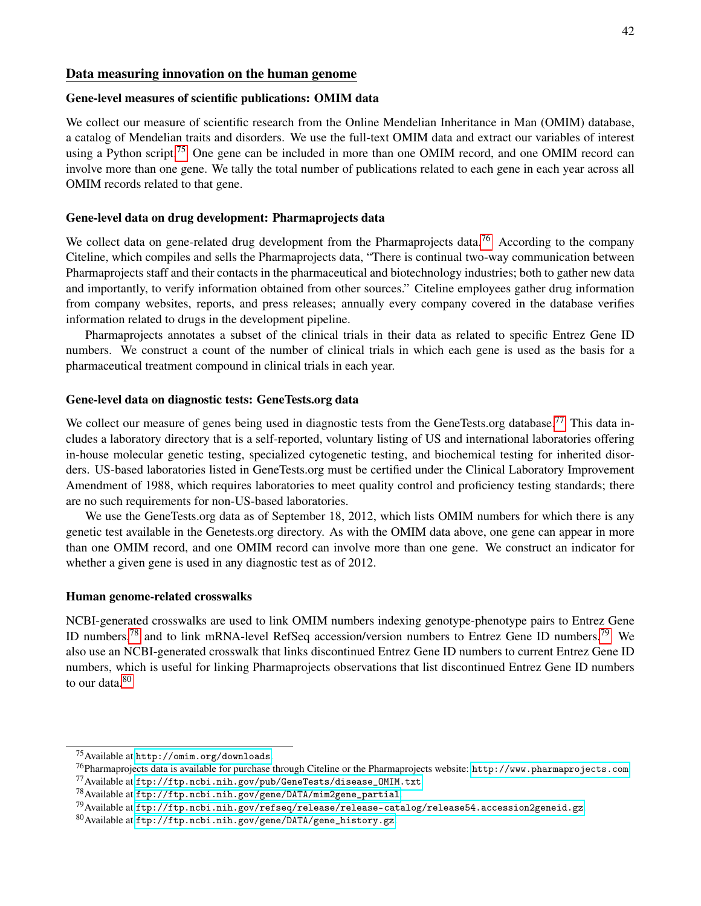#### Data measuring innovation on the human genome

#### Gene-level measures of scientific publications: OMIM data

We collect our measure of scientific research from the Online Mendelian Inheritance in Man (OMIM) database, a catalog of Mendelian traits and disorders. We use the full-text OMIM data and extract our variables of interest using a Python script.<sup>[75](#page-43-0)</sup> One gene can be included in more than one OMIM record, and one OMIM record can involve more than one gene. We tally the total number of publications related to each gene in each year across all OMIM records related to that gene.

### Gene-level data on drug development: Pharmaprojects data

We collect data on gene-related drug development from the Pharmaprojects data.<sup>[76](#page-43-1)</sup> According to the company Citeline, which compiles and sells the Pharmaprojects data, "There is continual two-way communication between Pharmaprojects staff and their contacts in the pharmaceutical and biotechnology industries; both to gather new data and importantly, to verify information obtained from other sources." Citeline employees gather drug information from company websites, reports, and press releases; annually every company covered in the database verifies information related to drugs in the development pipeline.

Pharmaprojects annotates a subset of the clinical trials in their data as related to specific Entrez Gene ID numbers. We construct a count of the number of clinical trials in which each gene is used as the basis for a pharmaceutical treatment compound in clinical trials in each year.

### Gene-level data on diagnostic tests: GeneTests.org data

We collect our measure of genes being used in diagnostic tests from the GeneTests.org database.<sup>[77](#page-43-2)</sup> This data includes a laboratory directory that is a self-reported, voluntary listing of US and international laboratories offering in-house molecular genetic testing, specialized cytogenetic testing, and biochemical testing for inherited disorders. US-based laboratories listed in GeneTests.org must be certified under the Clinical Laboratory Improvement Amendment of 1988, which requires laboratories to meet quality control and proficiency testing standards; there are no such requirements for non-US-based laboratories.

We use the GeneTests.org data as of September 18, 2012, which lists OMIM numbers for which there is any genetic test available in the Genetests.org directory. As with the OMIM data above, one gene can appear in more than one OMIM record, and one OMIM record can involve more than one gene. We construct an indicator for whether a given gene is used in any diagnostic test as of 2012.

### Human genome-related crosswalks

NCBI-generated crosswalks are used to link OMIM numbers indexing genotype-phenotype pairs to Entrez Gene ID numbers,<sup>[78](#page-43-3)</sup> and to link mRNA-level RefSeq accession/version numbers to Entrez Gene ID numbers.<sup>[79](#page-43-4)</sup> We also use an NCBI-generated crosswalk that links discontinued Entrez Gene ID numbers to current Entrez Gene ID numbers, which is useful for linking Pharmaprojects observations that list discontinued Entrez Gene ID numbers to our data  $80$ 

<span id="page-43-0"></span><sup>75</sup>Available at <http://omim.org/downloads>.

<span id="page-43-1"></span><sup>76</sup>Pharmaprojects data is available for purchase through Citeline or the Pharmaprojects website: [http://www.pharmaprojects.com](http://www.pharmaprojects.com ).

<span id="page-43-2"></span> $^{77}$ Available at [ftp://ftp.ncbi.nih.gov/pub/GeneTests/disease\\_OMIM.txt](ftp://ftp.ncbi.nih.gov/pub/GeneTests/disease_OMIM.txt ).

<span id="page-43-3"></span> $^{78}$ Available at [ftp://ftp.ncbi.nih.gov/gene/DATA/mim2gene\\_partial](ftp://ftp.ncbi.nih.gov/gene/DATA/mim2gene_partial).

<span id="page-43-4"></span> $^{79}$ Available at <ftp://ftp.ncbi.nih.gov/refseq/release/release-catalog/release54.accession2geneid.gz>.

<span id="page-43-5"></span><sup>80</sup>Available at [ftp://ftp.ncbi.nih.gov/gene/DATA/gene\\_history.gz](ftp://ftp.ncbi.nih.gov/gene/DATA/gene_history.gz).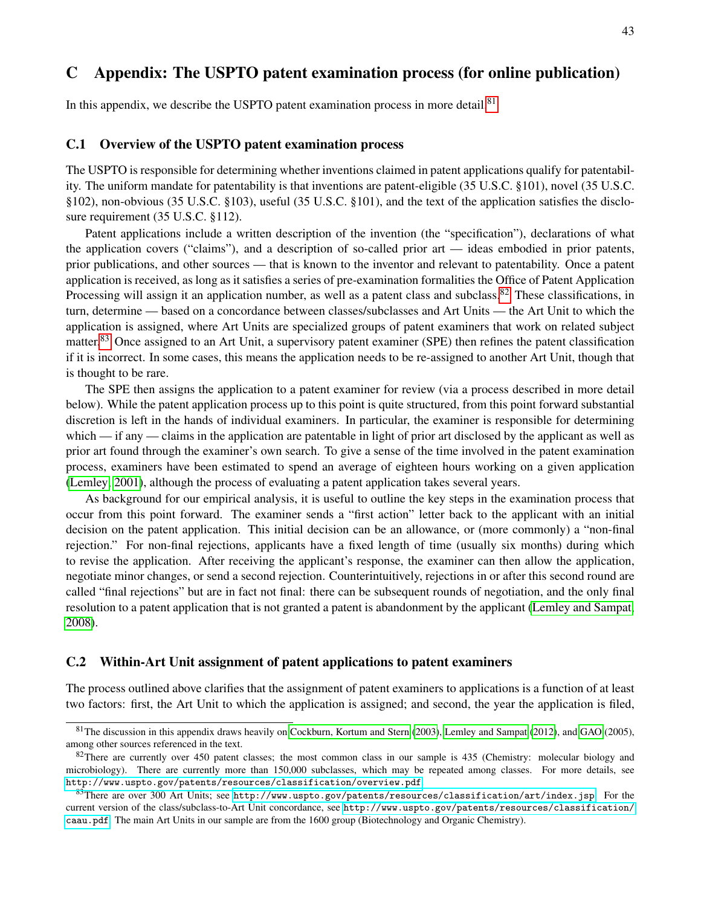# <span id="page-44-0"></span>C Appendix: The USPTO patent examination process (for online publication)

In this appendix, we describe the USPTO patent examination process in more detail. $81$ 

### C.1 Overview of the USPTO patent examination process

The USPTO is responsible for determining whether inventions claimed in patent applications qualify for patentability. The uniform mandate for patentability is that inventions are patent-eligible (35 U.S.C. §101), novel (35 U.S.C. §102), non-obvious (35 U.S.C. §103), useful (35 U.S.C. §101), and the text of the application satisfies the disclosure requirement (35 U.S.C. §112).

Patent applications include a written description of the invention (the "specification"), declarations of what the application covers ("claims"), and a description of so-called prior art — ideas embodied in prior patents, prior publications, and other sources — that is known to the inventor and relevant to patentability. Once a patent application is received, as long as it satisfies a series of pre-examination formalities the Office of Patent Application Processing will assign it an application number, as well as a patent class and subclass.<sup>[82](#page-44-2)</sup> These classifications, in turn, determine — based on a concordance between classes/subclasses and Art Units — the Art Unit to which the application is assigned, where Art Units are specialized groups of patent examiners that work on related subject matter.<sup>[83](#page-44-3)</sup> Once assigned to an Art Unit, a supervisory patent examiner (SPE) then refines the patent classification if it is incorrect. In some cases, this means the application needs to be re-assigned to another Art Unit, though that is thought to be rare.

The SPE then assigns the application to a patent examiner for review (via a process described in more detail below). While the patent application process up to this point is quite structured, from this point forward substantial discretion is left in the hands of individual examiners. In particular, the examiner is responsible for determining which — if any — claims in the application are patentable in light of prior art disclosed by the applicant as well as prior art found through the examiner's own search. To give a sense of the time involved in the patent examination process, examiners have been estimated to spend an average of eighteen hours working on a given application [\(Lemley, 2001\)](#page-27-19), although the process of evaluating a patent application takes several years.

As background for our empirical analysis, it is useful to outline the key steps in the examination process that occur from this point forward. The examiner sends a "first action" letter back to the applicant with an initial decision on the patent application. This initial decision can be an allowance, or (more commonly) a "non-final rejection." For non-final rejections, applicants have a fixed length of time (usually six months) during which to revise the application. After receiving the applicant's response, the examiner can then allow the application, negotiate minor changes, or send a second rejection. Counterintuitively, rejections in or after this second round are called "final rejections" but are in fact not final: there can be subsequent rounds of negotiation, and the only final resolution to a patent application that is not granted a patent is abandonment by the applicant [\(Lemley and Sampat,](#page-27-1) [2008\)](#page-27-1).

### C.2 Within-Art Unit assignment of patent applications to patent examiners

The process outlined above clarifies that the assignment of patent examiners to applications is a function of at least two factors: first, the Art Unit to which the application is assigned; and second, the year the application is filed,

<span id="page-44-1"></span> $81$ The discussion in this appendix draws heavily on [Cockburn, Kortum and Stern](#page-25-0) [\(2003\)](#page-25-0), [Lemley and Sampat](#page-27-3) [\(2012\)](#page-27-3), and [GAO](#page-29-5) (2005), among other sources referenced in the text.

<span id="page-44-2"></span> $82$ There are currently over 450 patent classes; the most common class in our sample is 435 (Chemistry: molecular biology and microbiology). There are currently more than 150,000 subclasses, which may be repeated among classes. For more details, see <http://www.uspto.gov/patents/resources/classification/overview.pdf>.

<span id="page-44-3"></span><sup>83</sup>There are over 300 Art Units; see <http://www.uspto.gov/patents/resources/classification/art/index.jsp>. For the current version of the class/subclass-to-Art Unit concordance, see [http://www.uspto.gov/patents/resources/classification/](http://www.uspto.gov/patents/resources/classification/caau.pdf) [caau.pdf](http://www.uspto.gov/patents/resources/classification/caau.pdf). The main Art Units in our sample are from the 1600 group (Biotechnology and Organic Chemistry).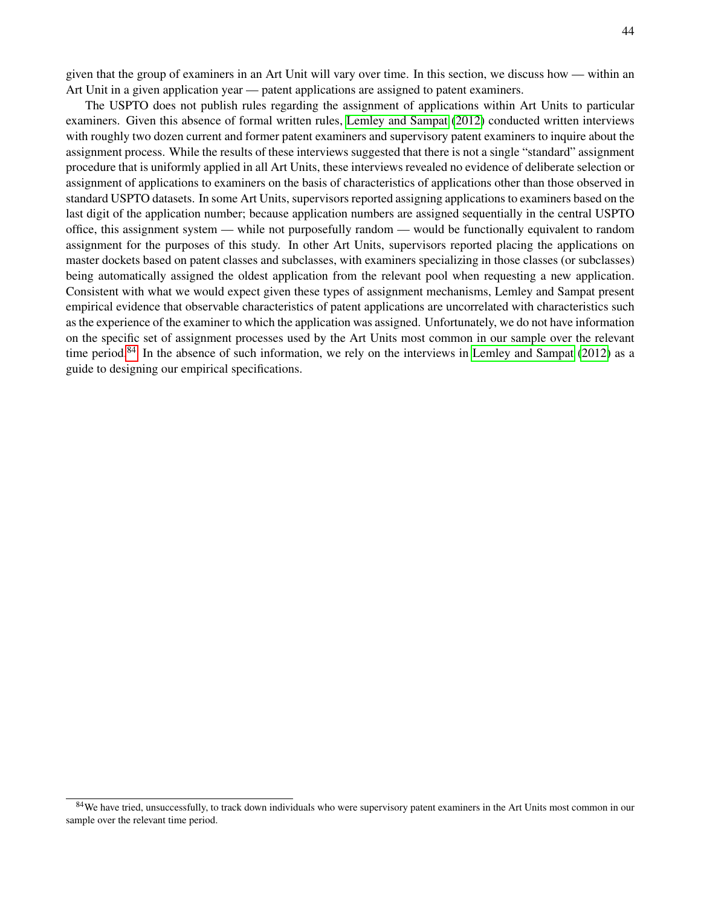given that the group of examiners in an Art Unit will vary over time. In this section, we discuss how — within an Art Unit in a given application year — patent applications are assigned to patent examiners.

The USPTO does not publish rules regarding the assignment of applications within Art Units to particular examiners. Given this absence of formal written rules, [Lemley and Sampat](#page-27-3) [\(2012\)](#page-27-3) conducted written interviews with roughly two dozen current and former patent examiners and supervisory patent examiners to inquire about the assignment process. While the results of these interviews suggested that there is not a single "standard" assignment procedure that is uniformly applied in all Art Units, these interviews revealed no evidence of deliberate selection or assignment of applications to examiners on the basis of characteristics of applications other than those observed in standard USPTO datasets. In some Art Units, supervisors reported assigning applications to examiners based on the last digit of the application number; because application numbers are assigned sequentially in the central USPTO office, this assignment system — while not purposefully random — would be functionally equivalent to random assignment for the purposes of this study. In other Art Units, supervisors reported placing the applications on master dockets based on patent classes and subclasses, with examiners specializing in those classes (or subclasses) being automatically assigned the oldest application from the relevant pool when requesting a new application. Consistent with what we would expect given these types of assignment mechanisms, Lemley and Sampat present empirical evidence that observable characteristics of patent applications are uncorrelated with characteristics such as the experience of the examiner to which the application was assigned. Unfortunately, we do not have information on the specific set of assignment processes used by the Art Units most common in our sample over the relevant time period.<sup>[84](#page-45-0)</sup> In the absence of such information, we rely on the interviews in [Lemley and Sampat](#page-27-3) [\(2012\)](#page-27-3) as a guide to designing our empirical specifications.

<span id="page-45-0"></span><sup>&</sup>lt;sup>84</sup>We have tried, unsuccessfully, to track down individuals who were supervisory patent examiners in the Art Units most common in our sample over the relevant time period.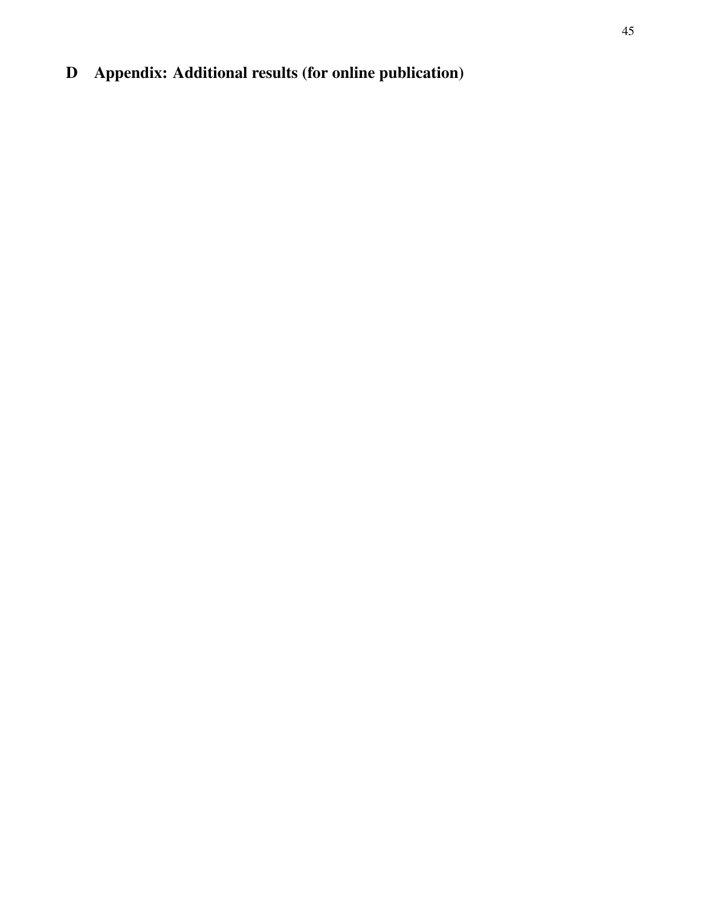# D Appendix: Additional results (for online publication)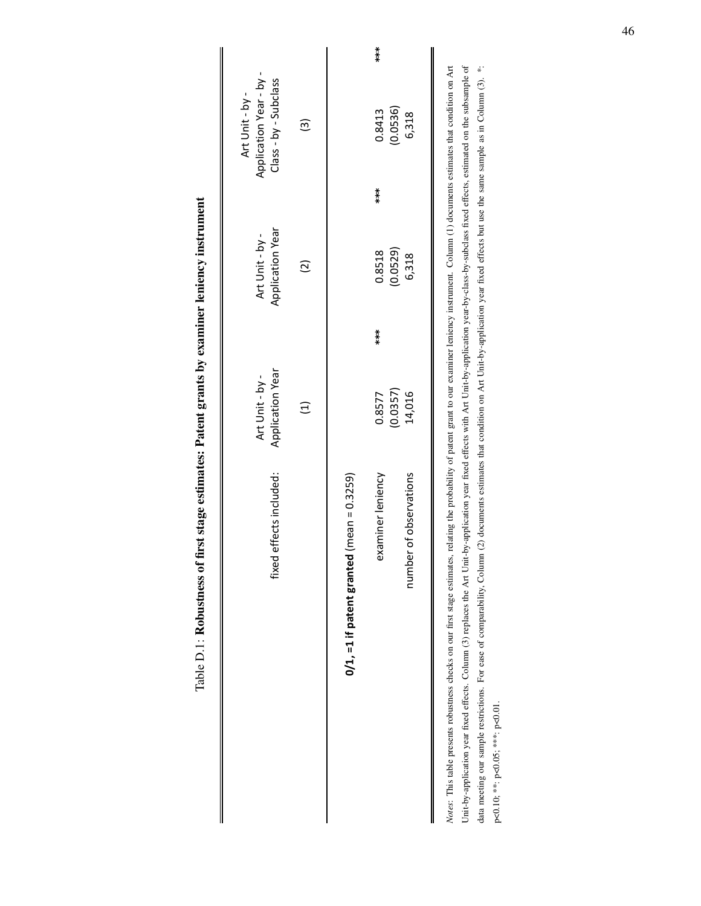Table D.1: Robustness of first stage estimates: Patent grants by examiner leniency instrument Table D.1: Robustness of first stage estimates: Patent grants by examiner leniency instrument

<span id="page-47-0"></span>

| effects included:<br>fixed                                                                                                                                                                                    |                  |       |                  |                       |           |
|---------------------------------------------------------------------------------------------------------------------------------------------------------------------------------------------------------------|------------------|-------|------------------|-----------------------|-----------|
|                                                                                                                                                                                                               | Application Year |       | Application Year | Class - by - Subclass |           |
|                                                                                                                                                                                                               |                  |       |                  |                       |           |
|                                                                                                                                                                                                               | $\widehat{\Xi}$  |       | $\widetilde{c}$  | ⊚                     |           |
|                                                                                                                                                                                                               |                  |       |                  |                       |           |
|                                                                                                                                                                                                               |                  |       |                  |                       |           |
| $\frac{1}{2}$ (mean = 0.3259)<br>$0/1$ , =1 if patent granted                                                                                                                                                 |                  |       |                  |                       |           |
|                                                                                                                                                                                                               |                  |       |                  |                       |           |
|                                                                                                                                                                                                               |                  |       |                  |                       |           |
| examiner leniency                                                                                                                                                                                             | 0.8577           | $***$ | 0.8518           | 0.8413<br>$***$       | $* * * *$ |
|                                                                                                                                                                                                               | (0.0357)         |       | (0.0529)         | (0.0536)              |           |
| number of observations                                                                                                                                                                                        | 14,016           |       | 6,318            | 6,318                 |           |
|                                                                                                                                                                                                               |                  |       |                  |                       |           |
|                                                                                                                                                                                                               |                  |       |                  |                       |           |
| Notes: This table presents robustness checks on our first stage estimates, relating the probability of patent grant to our examiner leniency instrument. Column (1) documents estimates that condition on Art |                  |       |                  |                       |           |

Unit-by-application year fixed effects. Column (3) replaces the Art Unit-by-application with Art Unit-by-application year-by-class-by-subclass fixed effects, estimated on the subsample of data meeting our sample restrictions. For ease of comparability, Column (2) documents estimates that condition on Art Unit-by-application year fixed effects but use the sample as in Column (3). \*: *Notes*: This table presents robustness checks on our first stage estimates, relating the probability of patent grant to our examiner leniency instrument. Column (1) documents estimates that condition on Art<br>Unit-by-applic  $\tilde{d}$ Ļ ŗ. Ĺ,  $a_{\mu}$ p<0.10; \*\*: p<0.05; \*\*\*: p<0.01.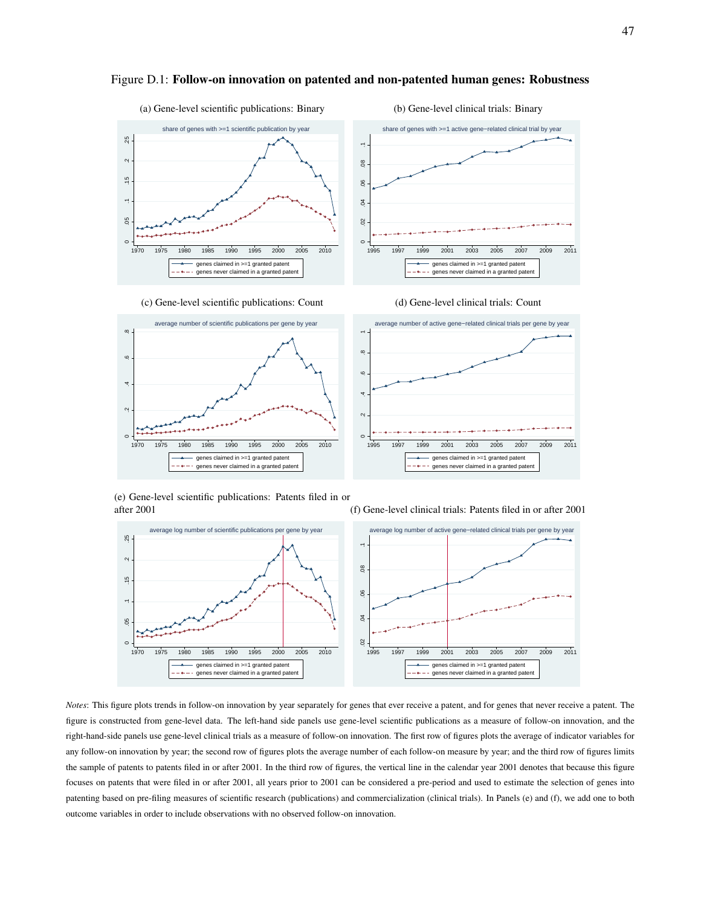

#### <span id="page-48-0"></span>Figure D.1: Follow-on innovation on patented and non-patented human genes: Robustness





(e) Gene-level scientific publications: Patents filed in or after 2001

(f) Gene-level clinical trials: Patents filed in or after 2001



*Notes*: This figure plots trends in follow-on innovation by year separately for genes that ever receive a patent, and for genes that never receive a patent. The figure is constructed from gene-level data. The left-hand side panels use gene-level scientific publications as a measure of follow-on innovation, and the right-hand-side panels use gene-level clinical trials as a measure of follow-on innovation. The first row of figures plots the average of indicator variables for any follow-on innovation by year; the second row of figures plots the average number of each follow-on measure by year; and the third row of figures limits the sample of patents to patents filed in or after 2001. In the third row of figures, the vertical line in the calendar year 2001 denotes that because this figure focuses on patents that were filed in or after 2001, all years prior to 2001 can be considered a pre-period and used to estimate the selection of genes into patenting based on pre-filing measures of scientific research (publications) and commercialization (clinical trials). In Panels (e) and (f), we add one to both outcome variables in order to include observations with no observed follow-on innovation.